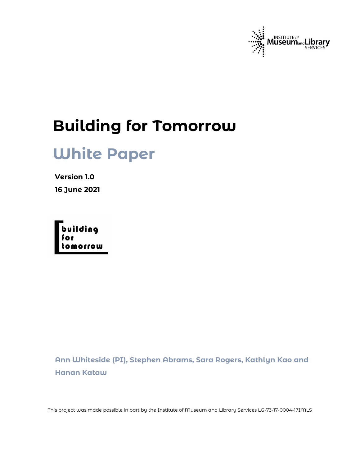

# **Building for Tomorrow**

# **White Paper**

**Version 1.0 16 June 2021** 



**Ann Whiteside (PI), Stephen Abrams, Sara Rogers, Kathlyn Kao and Hanan Kataw**

This project was made possible in part by the Institute of Museum and Library Services LG-73-17-0004-17IMLS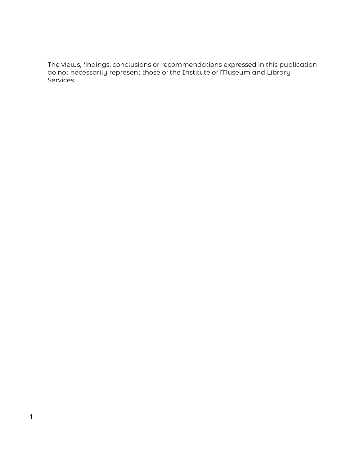The views, findings, conclusions or recommendations expressed in this publication do not necessarily represent those of the Institute of Museum and Library Services.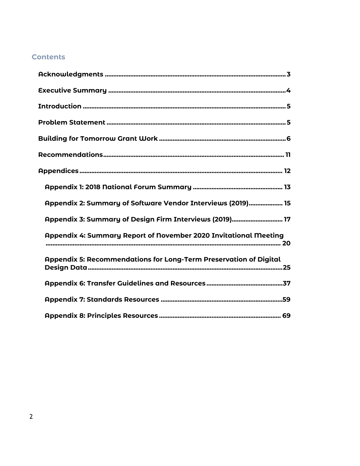# **Contents**

| Appendix 2: Summary of Software Vendor Interviews (2019) 15       |
|-------------------------------------------------------------------|
| Appendix 3: Summary of Design Firm Interviews (2019) 17           |
| Appendix 4: Summary Report of November 2020 Invitational Meeting  |
| Appendix 5: Recommendations for Long-Term Preservation of Digital |
|                                                                   |
|                                                                   |
|                                                                   |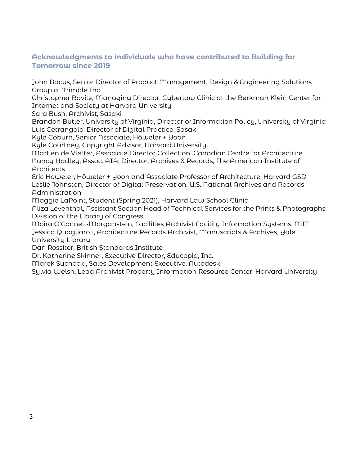# <span id="page-3-0"></span>**Acknowledgments to individuals who have contributed to Building for Tomorrow since 2019**

John Bacus, Senior Director of Product Management, Design & Engineering Solutions Group at Trimble Inc.

Christopher Bavitz, Managing Director, Cyberlaw Clinic at the Berkman Klein Center for Internet and Society at Harvard University

Sara Bush, Archivist, Sasaki

Brandon Butler, University of Virginia, Director of Information Policy, University of Virginia Luis Cetrangolo, Director of Digital Practice, Sasaki

Kyle Coburn, Senior Associate, Höweler + Yoon

Kyle Courtney, Copyright Advisor, Harvard University

Martien de Vletter, Associate Director Collection, Canadian Centre for Architecture Nancy Hadley, Assoc. AIA, Director, Archives & Records, The American Institute of **Architects** 

Eric Howeler, Höweler + Yoon and Associate Professor of Architecture, Harvard GSD Leslie Johnston, Director of Digital Preservation, U.S. National Archives and Records Administration

Maggie LaPoint, Student (Spring 2021), Harvard Law School Clinic

Aliza Leventhal, Assistant Section Head of Technical Services for the Prints & Photographs Division of the Library of Congress

Moira O'Connell-Morganstein, Facilities Archivist Facility Information Systems, MIT Jessica Quagliaroli, Architecture Records Archivist, Manuscripts & Archives, Yale University Library

Dan Rossiter, British Standards Institute

Dr. Katherine Skinner, Executive Director, Educopia, Inc.

Marek Suchocki, Sales Development Executive, Autodesk

Sylvia Welsh, Lead Archivist Property Information Resource Center, Harvard University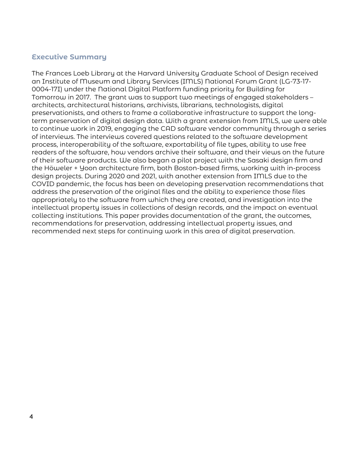# <span id="page-4-0"></span>**Executive Summary**

The Frances Loeb Library at the Harvard University Graduate School of Design received an Institute of Museum and Library Services (IMLS) National Forum Grant (LG-73-17- 0004-17I) under the National Digital Platform funding priority for Building for Tomorrow in 2017. The grant was to support two meetings of engaged stakeholders – architects, architectural historians, archivists, librarians, technologists, digital preservationists, and others to frame a collaborative infrastructure to support the longterm preservation of digital design data. With a grant extension from IMLS, we were able to continue work in 2019, engaging the CAD software vendor community through a series of interviews. The interviews covered questions related to the software development process, interoperability of the software, exportability of file types, ability to use free readers of the software, how vendors archive their software, and their views on the future of their software products. We also began a pilot project with the [Sasaki](https://www.sasaki.com/) design firm and the [Höweler + Yoon](http://www.howeleryoon.com/) architecture firm, both Boston-based firms, working with in-process design projects. During 2020 and 2021, with another extension from IMLS due to the COVID pandemic, the focus has been on developing preservation recommendations that address the preservation of the original files and the ability to experience those files appropriately to the software from which they are created, and investigation into the intellectual property issues in collections of design records, and the impact on eventual collecting institutions. This paper provides documentation of the grant, the outcomes, recommendations for preservation, addressing intellectual property issues, and recommended next steps for continuing work in this area of digital preservation.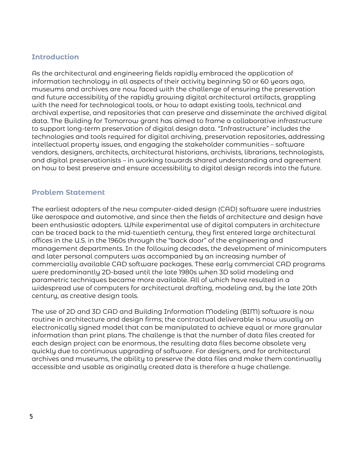# <span id="page-5-0"></span>**Introduction**

As the architectural and engineering fields rapidly embraced the application of information technology in all aspects of their activity beginning 50 or 60 years ago, museums and archives are now faced with the challenge of ensuring the preservation and future accessibility of the rapidly growing digital architectural artifacts, grappling with the need for technological tools, or how to adapt existing tools, technical and archival expertise, and repositories that can preserve and disseminate the archived digital data. The Building for Tomorrow grant has aimed to frame a collaborative infrastructure to support long-term preservation of digital design data. "Infrastructure" includes the technologies and tools required for digital archiving, preservation repositories, addressing intellectual property issues, and engaging the stakeholder communities – software vendors, designers, architects, architectural historians, archivists, librarians, technologists, and digital preservationists – in working towards shared understanding and agreement on how to best preserve and ensure accessibility to digital design records into the future.

# <span id="page-5-1"></span>**Problem Statement**

The earliest adopters of the new computer-aided design (CAD) software were industries like aerospace and automotive, and since then the fields of architecture and design have been enthusiastic adopters. While experimental use of digital computers in architecture can be traced back to the mid-twentieth century, they first entered large architectural offices in the U.S. in the 1960s through the "back door" of the engineering and management departments. In the following decades, the development of minicomputers and later personal computers was accompanied by an increasing number of commercially available CAD software packages. These early commercial CAD programs were predominantly 2D-based until the late 1980s when 3D solid modeling and parametric techniques became more available. All of which have resulted in a widespread use of computers for architectural drafting, modeling and, by the late 20th century, as creative design tools.

The use of 2D and 3D CAD and Building Information Modeling (BIM) software is now routine in architecture and design firms; the contractual deliverable is now usually an electronically signed model that can be manipulated to achieve equal or more granular information than print plans. The challenge is that the number of data files created for each design project can be enormous, the resulting data files become obsolete very quickly due to continuous upgrading of software. For designers, and for architectural archives and museums, the ability to preserve the data files and make them continually accessible and usable as originally created data is therefore a huge challenge.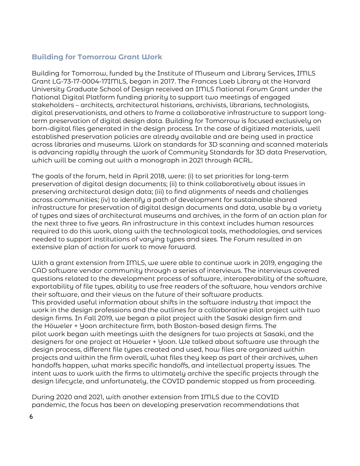# <span id="page-6-0"></span>**Building for Tomorrow Grant Work**

Building for Tomorrow, funded by the Institute of Museum and Library Services, IMLS Grant LG-73-17-0004-17IMLS, began in 2017. The Frances Loeb Library at the Harvard University Graduate School of Design received an IMLS National Forum Grant under the National Digital Platform funding priority to support two meetings of engaged stakeholders – architects, architectural historians, archivists, librarians, technologists, digital preservationists, and others to frame a collaborative infrastructure to support longterm preservation of digital design data. Building for Tomorrow is focused exclusively on born-digital files generated in the design process. In the case of digitized materials, well established preservation policies are already available and are being used in practice across libraries and museums. Work on standards for 3D scanning and scanned materials is advancing rapidly through the work of [Community Standards for 3D data Preservation,](https://cs3dp.org/)  which will be coming out with a monograph in 2021 through ACRL.

The goals of the forum, held in April 2018, were: (i) to set priorities for long-term preservation of digital design documents; (ii) to think collaboratively about issues in preserving architectural design data; (iii) to find alignments of needs and challenges across communities; (iv) to identify a path of development for sustainable shared infrastructure for preservation of digital design documents and data, usable by a variety of types and sizes of architectural museums and archives, in the form of an action plan for the next three to five years. An infrastructure in this context includes human resources required to do this work, along with the technological tools, methodologies, and services needed to support institutions of varying types and sizes. The Forum resulted in an extensive [plan of action](https://projects.iq.harvard.edu/files/buildingtomorrow/files/2019_dade_digital_architecture_design_and_engineering_strategic_directions_and_priorities.pdf) for work to move forward.

With a grant extension from IMLS, we were able to continue work in 2019, engaging the CAD software vendor community through a series of interviews. The interviews covered questions related to the development process of software, interoperability of the software, exportability of file types, ability to use free readers of the software, how vendors archive their software, and their views on the future of their software products. This provided useful information about shifts in the software industry that impact the work in the design professions and the outlines for a collaborative pilot project with two design firms. In Fall 2019, we began a pilot project with the Sasaki design firm and the Höweler + Yoon architecture firm, both Boston-based design firms. The pilot work began with meetings with the designers for two projects at Sasaki, and the designers for one project at Höweler + Yoon. We talked about software use through the design process, different file types created and used, how files are organized within projects and within the firm overall, what files they keep as part of their archives, when handoffs happen, what marks specific handoffs, and intellectual property issues. The intent was to work with the firms to ultimately archive the specific projects through the design lifecycle, and unfortunately, the COVID pandemic stopped us from proceeding.

During 2020 and 2021, with another extension from IMLS due to the COVID pandemic, the focus has been on developing preservation recommendations that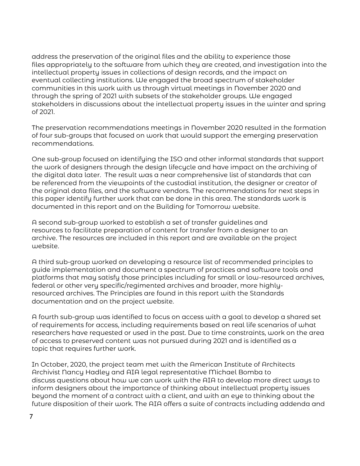address the preservation of the original files and the ability to experience those files appropriately to the software from which they are created, and investigation into the intellectual property issues in collections of design records, and the impact on eventual collecting institutions. We engaged the broad spectrum of stakeholder communities in this work with us through virtual meetings in November 2020 and through the spring of 2021 with subsets of the stakeholder groups. We engaged stakeholders in discussions about the intellectual property issues in the winter and spring of 2021.

The preservation recommendations meetings in November 2020 resulted in the formation of four sub-groups that focused on work that would support the emerging preservation recommendations.

One sub-group focused on identifying the ISO and other informal standards that support the work of designers through the design lifecycle and have impact on the archiving of the digital data later. The result was a near comprehensive list of standards that can be referenced from the viewpoints of the custodial institution, the designer or creator of the original data files, and the software vendors. The recommendations for next steps in this paper identify further work that can be done in this area. The standards work is documented in this report and on the [Building for Tomorrow](https://projects.iq.harvard.edu/buildingtomorrow) website.

A second sub-group worked to establish a set of transfer guidelines and resources to facilitate preparation of content for transfer from a designer to an archive. The resources are included in this report and are available on the project website.

A third sub-group worked on developing a resource list of recommended principles to guide implementation and document a spectrum of practices and software tools and platforms that may satisfy those principles including for small or low-resourced archives, federal or other very specific/regimented archives and broader, more highlyresourced archives. The Principles are found in this report with the Standards documentation and on the project website.

A fourth sub-group was identified to focus on access with a goal to develop a shared set of requirements for access, including requirements based on real life scenarios of what researchers have requested or used in the past. Due to time constraints, work on the area of access to preserved content was not pursued during 2021 and is identified as a topic that requires further work.

In October, 2020, the project team met with the American Institute of Architects Archivist Nancy Hadley and AIA legal representative Michael Bomba to discuss questions about how we can work with the AIA to develop more direct ways to inform designers about the importance of thinking about intellectual property issues beyond the moment of a contract with a client, and with an eye to thinking about the future disposition of their work. The AIA offers a suite of contracts including addenda and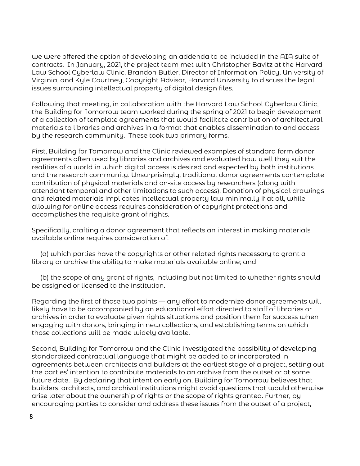we were offered the option of developing an addenda to be included in the AIA suite of contracts. In January, 2021, the project team met with Christopher Bavitz at the Harvard Law School Cyberlaw Clinic, Brandon Butler, Director of Information Policy, University of Virginia, and Kyle Courtney, Copyright Advisor, Harvard University to discuss the legal issues surrounding intellectual property of digital design files.

Following that meeting, in collaboration with the Harvard Law School Cyberlaw Clinic, the Building for Tomorrow team worked during the spring of 2021 to begin development of a collection of template agreements that would facilitate contribution of architectural materials to libraries and archives in a format that enables dissemination to and access by the research community. These took two primary forms.

First, Building for Tomorrow and the Clinic reviewed examples of standard form donor agreements often used by libraries and archives and evaluated how well they suit the realities of a world in which digital access is desired and expected by both institutions and the research community. Unsurprisingly, traditional donor agreements contemplate contribution of physical materials and on-site access by researchers (along with attendant temporal and other limitations to such access). Donation of physical drawings and related materials implicates intellectual property law minimally if at all, while allowing for online access requires consideration of copyright protections and accomplishes the requisite grant of rights.

Specifically, crafting a donor agreement that reflects an interest in making materials available online requires consideration of:

 (a) which parties have the copyrights or other related rights necessary to grant a library or archive the ability to make materials available online; and

 (b) the scope of any grant of rights, including but not limited to whether rights should be assigned or licensed to the institution.

Regarding the first of those two points — any effort to modernize donor agreements will likely have to be accompanied by an educational effort directed to staff of libraries or archives in order to evaluate given rights situations and position them for success when engaging with donors, bringing in new collections, and establishing terms on which those collections will be made widely available.

Second, Building for Tomorrow and the Clinic investigated the possibility of developing standardized contractual language that might be added to or incorporated in agreements between architects and builders at the earliest stage of a project, setting out the parties' intention to contribute materials to an archive from the outset or at some future date. By declaring that intention early on, Building for Tomorrow believes that builders, architects, and archival institutions might avoid questions that would otherwise arise later about the ownership of rights or the scope of rights granted. Further, by encouraging parties to consider and address these issues from the outset of a project,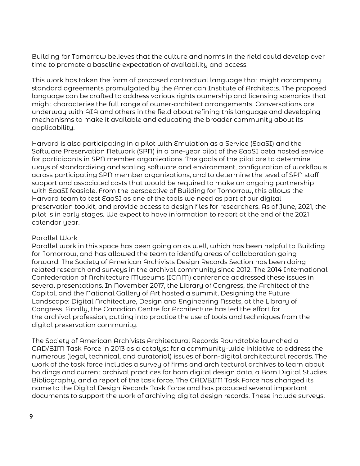Building for Tomorrow believes that the culture and norms in the field could develop over time to promote a baseline expectation of availability and access.

This work has taken the form of proposed contractual language that might accompany standard agreements promulgated by the American Institute of Architects. The proposed language can be crafted to address various rights ownership and licensing scenarios that might characterize the full range of owner-architect arrangements. Conversations are underway with AIA and others in the field about refining this language and developing mechanisms to make it available and educating the broader community about its applicability.

Harvard is also participating in a pilot with Emulation as a Service (EaaSI) and the Software Preservation Network (SPN) in a one-year pilot of the EaaSI beta hosted service for participants in SPN member organizations. The goals of the pilot are to determine ways of standardizing and scaling software and environment, configuration of workflows across participating SPN member organizations, and to determine the level of SPN staff support and associated costs that would be required to make an ongoing partnership with EaaSI feasible. From the perspective of Building for Tomorrow, this allows the Harvard team to test EaaSI as one of the tools we need as part of our digital preservation toolkit, and provide access to design files for researchers. As of June, 2021, the pilot is in early stages. We expect to have information to report at the end of the 2021 calendar year.

#### Parallel Work

Parallel work in this space has been going on as well, which has been helpful to Building for Tomorrow, and has allowed the team to identify areas of collaboration going forward. The Society of American Archivists Design Records Section has been doing related research and surveys in the archival community since 2012. The 2014 International Confederation of Architecture Museums (ICAM) conference addressed these issues in several presentations. In November 2017, the Library of Congress, the Architect of the Capitol, and the National Gallery of Art hosted a summit, [Designing the Future](https://www.digitalpreservation.gov/meetings/ade/ade2017.html)  [Landscape: Digital Architecture, Design and Engineering Assets,](https://www.digitalpreservation.gov/meetings/ade/ade2017.html) at the Library of Congress. Finally, the Canadian Centre for Architecture has led the effort for the archival profession, putting into practice the use of tools and techniques from the digital preservation community.

The Society of American Archivists Architectural Records Roundtable launched a CAD/BIM Task Force in 2013 as a catalyst for a community-wide initiative to address the numerous (legal, technical, and curatorial) issues of born-digital architectural records. The work of the task force includes a survey of firms and architectural archives to learn about holdings and current archival practices for born digital design data, a [Born Digital Studies](http://www2.archivists.org/sites/all/files/AR%20Taskforce_Born%20Digital%20StudiesBibliography_AL+IZ_FinalDraft_revised.pdf)  [Bibliography,](http://www2.archivists.org/sites/all/files/AR%20Taskforce_Born%20Digital%20StudiesBibliography_AL+IZ_FinalDraft_revised.pdf) and a [report](http://www2.archivists.org/groups/architectural-records-roundtable/cadbim-taskforce#.V6SPA6IgGMk) of the task force. The CAD/BIM Task Force has changed its name to the Digital Design Records Task Force and has produced several important documents to support the work of archiving digital design records. These include surveys,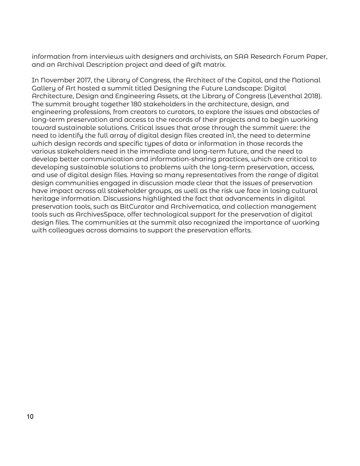information from interviews with designers and archivists, an SAA Research Forum Paper, and an Archival Description project and deed of gift matrix.

In November 2017, the Library of Congress, the Architect of the Capitol, and the National Gallery of Art hosted a summit titled [Designing the Future Landscape: Digital](https://www.digitalpreservation.gov/meetings/ade/ade2017.html)  [Architecture, Design and Engineering Assets,](https://www.digitalpreservation.gov/meetings/ade/ade2017.html) at the Library of Congress (Leventhal 2018). The summit brought together 180 stakeholders in the architecture, design, and engineering professions, from creators to curators, to explore the issues and obstacles of long-term preservation and access to the records of their projects and to begin working toward sustainable solutions. Critical issues that arose through the summit were: the need to identify the full array of digital design files created in1, the need to determine which design records and specific types of data or information in those records the various stakeholders need in the immediate and long-term future, and the need to develop better communication and information-sharing practices, which are critical to developing sustainable solutions to problems with the long-term preservation, access, and use of digital design files. Having so many representatives from the range of digital design communities engaged in discussion made clear that the issues of preservation have impact across all stakeholder groups, as well as the risk we face in losing cultural heritage information. Discussions highlighted the fact that advancements in digital preservation tools, such as BitCurator and Archivematica, and collection management tools such as ArchivesSpace, offer technological support for the preservation of digital design files. The communities at the summit also recognized the importance of working with colleagues across domains to support the preservation efforts.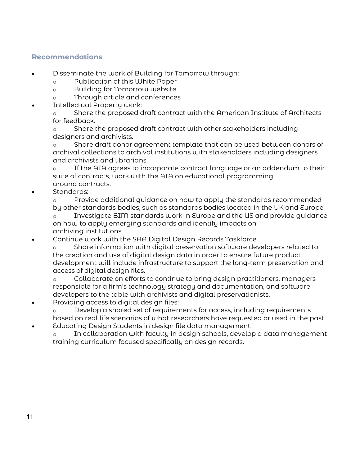# <span id="page-11-0"></span>**Recommendations**

- Disseminate the work of Building for Tomorrow through:
	- o Publication of this White Paper
	- o Building for Tomorrow website
	- o Through article and conferences
- Intellectual Property work:

o Share the proposed draft contract with the American Institute of Architects for feedback.

o Share the proposed draft contract with other stakeholders including designers and archivists.

o Share draft donor agreement template that can be used between donors of archival collections to archival institutions with stakeholders including designers and archivists and librarians.

o If the AIA agrees to incorporate contract language or an addendum to their suite of contracts, work with the AIA on educational programming around contracts.

Standards:

o Provide additional guidance on how to apply the standards recommended by other standards bodies, such as standards bodies located in the UK and Europe

o Investigate BIM standards work in Europe and the US and provide guidance on how to apply emerging standards and identify impacts on archiving institutions.

• Continue work with the SAA Digital Design Records Taskforce

o Share information with digital preservation software developers related to the creation and use of digital design data in order to ensure future product development will include infrastructure to support the long-term preservation and access of digital design files.

o Collaborate on efforts to continue to bring design practitioners, managers responsible for a firm's technology strategy and documentation, and software developers to the table with archivists and digital preservationists.

• Providing access to digital design files:

o Develop a shared set of requirements for access, including requirements based on real life scenarios of what researchers have requested or used in the past. • Educating Design Students in design file data management:

o In collaboration with faculty in design schools, develop a data management training curriculum focused specifically on design records.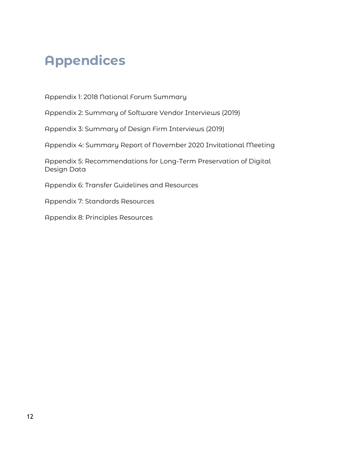# <span id="page-12-0"></span>**Appendices**

Appendix 1: 2018 National Forum Summary

Appendix 2: Summary of Software Vendor Interviews (2019)

Appendix 3: Summary of Design Firm Interviews (2019)

Appendix 4: Summary Report of November 2020 Invitational Meeting

Appendix 5: Recommendations for Long-Term Preservation of Digital Design Data

Appendix 6: Transfer Guidelines and Resources

Appendix 7: Standards Resources

Appendix 8: Principles Resources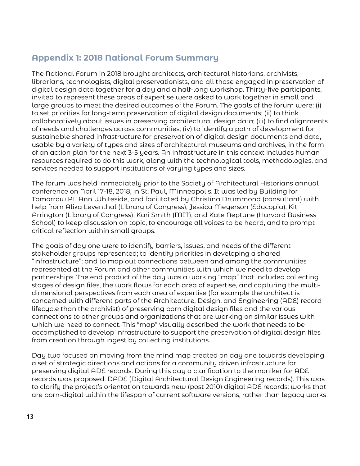# <span id="page-13-0"></span>**Appendix 1: 2018 National Forum Summary**

The National Forum in 2018 brought architects, architectural historians, archivists, librarians, technologists, digital preservationists, and all those engaged in preservation of digital design data together for a day and a half-long workshop. Thirty-five participants, invited to represent these areas of expertise were asked to work together in small and large groups to meet the desired outcomes of the Forum. The goals of the forum were: (i) to set priorities for long-term preservation of digital design documents; (ii) to think collaboratively about issues in preserving architectural design data; (iii) to find alignments of needs and challenges across communities; (iv) to identify a path of development for sustainable shared infrastructure for preservation of digital design documents and data, usable by a variety of types and sizes of architectural museums and archives, in the form of an action plan for the next 3-5 years. An infrastructure in this context includes human resources required to do this work, along with the technological tools, methodologies, and services needed to support institutions of varying types and sizes.

The forum was held immediately prior to the Society of Architectural Historians annual conference on April 17-18, 2018, in St. Paul, Minneapolis. It was led by Building for Tomorrow PI, Ann Whiteside, and facilitated by Christina Drummond (consultant) with help from Aliza Leventhal (Library of Congress), Jessica Meyerson (Educopia), Kit Arrington (Library of Congress), Kari Smith (MIT), and Kate Neptune (Harvard Business School) to keep discussion on topic, to encourage all voices to be heard, and to prompt critical reflection within small groups.

The goals of day one were to identify barriers, issues, and needs of the different stakeholder groups represented; to identify priorities in developing a shared "infrastructure"; and to map out connections between and among the communities represented at the Forum and other communities with which we need to develop partnerships. The end product of the day was a working "map" that included collecting stages of design files, the work flows for each area of expertise, and capturing the multidimensional perspectives from each area of expertise (for example the architect is concerned with different parts of the Architecture, Design, and Engineering (ADE) record lifecycle than the archivist) of preserving born digital design files and the various connections to other groups and organizations that are working on similar issues with which we need to connect. This "map" visually described the work that needs to be accomplished to develop infrastructure to support the preservation of digital design files from creation through ingest by collecting institutions.

Day two focused on moving from the mind map created on day one towards developing a set of strategic directions and actions for a community driven infrastructure for preserving digital ADE records. During this day a clarification to the moniker for ADE records was proposed: DADE (Digital Architectural Design Engineering records). This was to clarify the project's orientation towards new (post 2010) digital ADE records: works that are born-digital within the lifespan of current software versions, rather than legacy works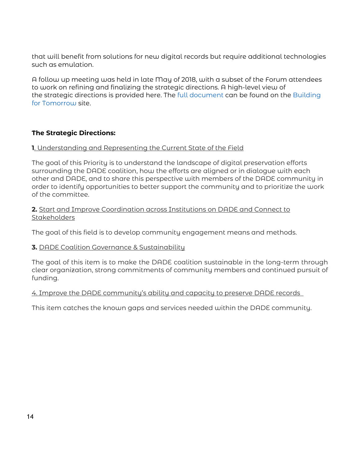that will benefit from solutions for new digital records but require additional technologies such as emulation.

A follow up meeting was held in late May of 2018, with a subset of the Forum attendees to work on refining and finalizing the strategic directions. A high-level view of the strategic directions is provided here. The [full document](https://projects.iq.harvard.edu/files/buildingtomorrow/files/2019_dade_digital_architecture_design_and_engineering_strategic_directions_and_priorities.pdf) can be found on the [Building](https://projects.iq.harvard.edu/buildingtomorrow/resources)  [for Tomorrow](https://projects.iq.harvard.edu/buildingtomorrow/resources) site.

# **The Strategic Directions:**

# **1**. Understanding and Representing the Current State of the Field

The goal of this Priority is to understand the landscape of digital preservation efforts surrounding the DADE coalition, how the efforts are aligned or in dialogue with each other and DADE, and to share this perspective with members of the DADE community in order to identify opportunities to better support the community and to prioritize the work of the committee.

#### **2.** Start and Improve Coordination across Institutions on DADE and Connect to **Stakeholders**

The goal of this field is to develop community engagement means and methods.

# **3.** DADE Coalition Governance & Sustainability

The goal of this item is to make the DADE coalition sustainable in the long-term through clear organization, strong commitments of community members and continued pursuit of funding.

#### 4. Improve the DADE community's ability and capacity to preserve DADE records

This item catches the known gaps and services needed within the DADE community.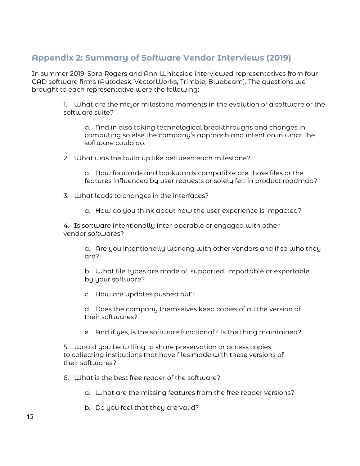# <span id="page-15-0"></span>**Appendix 2: Summary of Software Vendor Interviews (2019)**

In summer 2019, Sara Rogers and Ann Whiteside interviewed representatives from four CAD software firms (Autodesk, VectorWorks, Trimble, Bluebeam). The questions we brought to each representative were the following:

> 1. What are the major milestone moments in the evolution of a software or the software suite?

a. And in also taking technological breakthroughs and changes in computing so else the company's approach and intention in what the software could do.

2. What was the build up like between each milestone?

a. How forwards and backwards compatible are those files or the features influenced by user requests or solely felt in product roadmap?

- 3. What leads to changes in the interfaces?
	- a. How do you think about how the user experience is impacted?

4. Is software intentionally inter-operable or engaged with other vendor softwares?

a. Are you intentionally working with other vendors and if so who they are?

b. What file types are made of, supported, importable or exportable by your software?

c. How are updates pushed out?

d. Does the company themselves keep copies of all the version of their softwares?

e. And if yes, is the software functional? Is the thing maintained?

5. Would you be willing to share preservation or access copies to collecting institutions that have files made with these versions of their softwares?

6. What is the best free reader of the software?

- a. What are the missing features from the free reader versions?
- b. Do you feel that they are valid?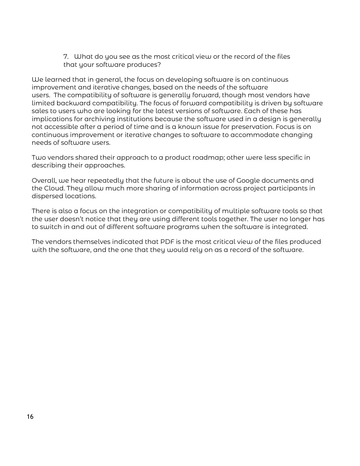7. What do you see as the most critical view or the record of the files that your software produces?

We learned that in general, the focus on developing software is on continuous improvement and iterative changes, based on the needs of the software users. The compatibility of software is generally forward, though most vendors have limited backward compatibility. The focus of forward compatibility is driven by software sales to users who are looking for the latest versions of software. Each of these has implications for archiving institutions because the software used in a design is generally not accessible after a period of time and is a known issue for preservation. Focus is on continuous improvement or iterative changes to software to accommodate changing needs of software users.

Two vendors shared their approach to a product roadmap; other were less specific in describing their approaches.

Overall, we hear repeatedly that the future is about the use of Google documents and the Cloud. They allow much more sharing of information across project participants in dispersed locations.

There is also a focus on the integration or compatibility of multiple software tools so that the user doesn't notice that they are using different tools together. The user no longer has to switch in and out of different software programs when the software is integrated.

The vendors themselves indicated that PDF is the most critical view of the files produced with the software, and the one that they would rely on as a record of the software.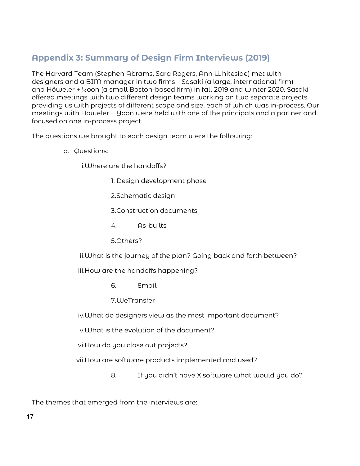# <span id="page-17-0"></span>**Appendix 3: Summary of Design Firm Interviews (2019)**

The Harvard Team (Stephen Abrams, Sara Rogers, Ann Whiteside) met with designers and a BIM manager in two firms – Sasaki (a large, international firm) and Höweler + Yoon (a small Boston-based firm) in fall 2019 and winter 2020. Sasaki offered meetings with two different design teams working on two separate projects, providing us with projects of different scope and size, each of which was in-process. Our meetings with Höweler + Yoon were held with one of the principals and a partner and focused on one in-process project.

The questions we brought to each design team were the following:

a. Questions:

i.Where are the handoffs?

- 1. Design development phase
- 2.Schematic design
- 3.Construction documents
- 4. As-builts
- 5.Others?

ii.What is the journey of the plan? Going back and forth between?

iii.How are the handoffs happening?

- 6. Email
- 7.WeTransfer

iv.What do designers view as the most important document?

v.What is the evolution of the document?

vi.How do you close out projects?

vii.How are software products implemented and used?

8. If you didn't have X software what would you do?

The themes that emerged from the interviews are: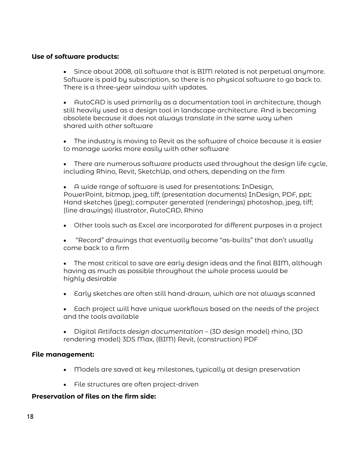#### **Use of software products:**

• Since about 2008, all software that is BIM related is not perpetual anymore. Software is paid by subscription, so there is no physical software to go back to. There is a three-year window with updates.

• AutoCAD is used primarily as a documentation tool in architecture, though still heavily used as a design tool in landscape architecture. And is becoming obsolete because it does not always translate in the same way when shared with other software

- The industry is moving to Revit as the software of choice because it is easier to manage works more easily with other software
- There are numerous software products used throughout the design life cycle, including Rhino, Revit, SketchUp, and others, depending on the firm
- A wide range of software is used for presentations: InDesign, PowerPoint, bitmap, jpeg, tiff; (presentation documents) InDesign, PDF, ppt; Hand sketches (jpeg); computer generated (renderings) photoshop, jpeg, tiff; (line drawings) illustrator, AutoCAD, Rhino
- Other tools such as Excel are incorporated for different purposes in a project
- "Record" drawings that eventually become "as-builts" that don't usually come back to a firm
- The most critical to save are early design ideas and the final BIM, although having as much as possible throughout the whole process would be highly desirable
- Early sketches are often still hand-drawn, which are not always scanned
- Each project will have unique workflows based on the needs of the project and the tools available
- Digital Artifacts *design documentation* (3D design model) rhino, (3D rendering model) 3DS Max, (BIM) Revit, (construction) PDF

#### **File management:**

- Models are saved at key milestones, typically at design preservation
- File structures are often project-driven

#### **Preservation of files on the firm side:**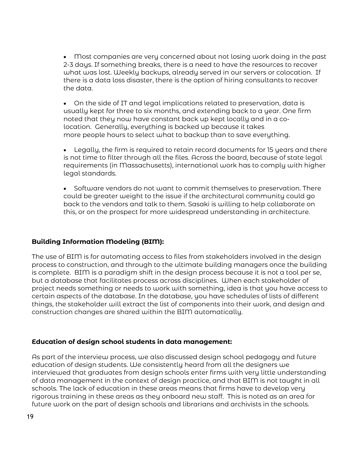• Most companies are very concerned about not losing work doing in the past 2-3 days. If something breaks, there is a need to have the resources to recover what was lost. Weekly backups, already served in our servers or colocation. If there is a data loss disaster, there is the option of hiring consultants to recover the data.

• On the side of IT and legal implications related to preservation, data is usually kept for three to six months, and extending back to a year. One firm noted that they now have constant back up kept locally and in a colocation. Generally, everything is backed up because it takes more people hours to select what to backup than to save everything.

• Legally, the firm is required to retain record documents for 15 years and there is not time to filter through all the files. Across the board, because of state legal requirements (in Massachusetts), international work has to comply with higher legal standards.

• Software vendors do not want to commit themselves to preservation. There could be greater weight to the issue if the architectural community could go back to the vendors and talk to them. Sasaki is willing to help collaborate on this, or on the prospect for more widespread understanding in architecture.

# **Building Information Modeling (BIM):**

The use of BIM is for automating access to files from stakeholders involved in the design process to construction, and through to the ultimate building managers once the building is complete. BIM is a paradigm shift in the design process because it is not a tool per se, but a database that facilitates process across disciplines. When each stakeholder of project needs something or needs to work with something, idea is that you have access to certain aspects of the database. In the database, you have schedules of lists of different things, the stakeholder will extract the list of components into their work, and design and construction changes are shared within the BIM automatically.

# **Education of design school students in data management:**

As part of the interview process, we also discussed design school pedagogy and future education of design students. We consistently heard from all the designers we interviewed that graduates from design schools enter firms with very little understanding of data management in the context of design practice, and that BIM is not taught in all schools. The lack of education in these areas means that firms have to develop very rigorous training in these areas as they onboard new staff. This is noted as an area for future work on the part of design schools and librarians and archivists in the schools.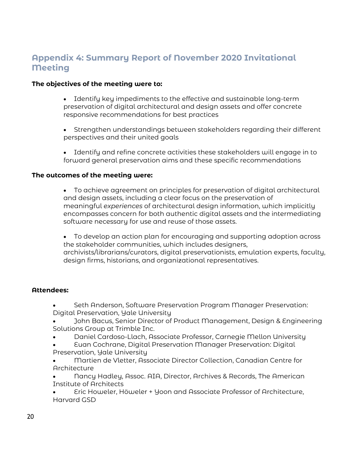# <span id="page-20-0"></span>**Appendix 4: Summary Report of November 2020 Invitational Meeting**

#### **The objectives of the meeting were to:**

- Identify key impediments to the effective and sustainable long-term preservation of digital architectural and design assets and offer concrete responsive recommendations for best practices
- Strengthen understandings between stakeholders regarding their different perspectives and their united goals
- Identify and refine concrete activities these stakeholders will engage in to forward general preservation aims and these specific recommendations

#### **The outcomes of the meeting were:**

• To achieve agreement on principles for preservation of digital architectural and design assets, including a clear focus on the preservation of meaningful *experiences* of architectural design information, which implicitly encompasses concern for both authentic digital assets and the intermediating software necessary for use and reuse of those assets.

• To develop an action plan for encouraging and supporting adoption across the stakeholder communities, which includes designers, archivists/librarians/curators, digital preservationists, emulation experts, faculty, design firms, historians, and organizational representatives.

#### **Attendees:**

- Seth Anderson, Software Preservation Program Manager Preservation: Digital Preservation, Yale University
- John Bacus, Senior Director of Product Management, Design & Engineering Solutions Group at Trimble Inc.
- Daniel Cardoso-Llach, Associate Professor, Carnegie Mellon University
- Euan Cochrane, Digital Preservation Manager Preservation: Digital Preservation, Yale University
- Martien de Vletter, Associate Director Collection, Canadian Centre for Architecture
- Nancy Hadley, Assoc. AIA, Director, Archives & Records, The American Institute of Architects

• Eric Howeler, Höweler + Yoon and Associate Professor of Architecture, Harvard GSD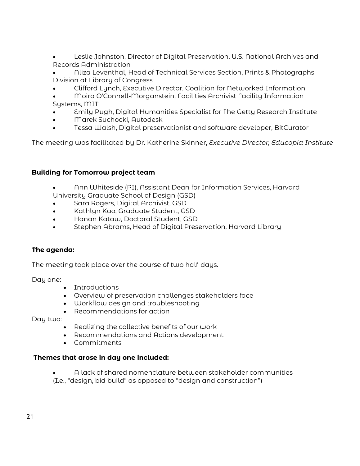• Leslie Johnston, Director of Digital Preservation, U.S. National Archives and Records Administration

• Aliza Leventhal, Head of Technical Services Section, Prints & Photographs Division at Library of Congress

- Clifford Lynch, Executive Director, Coalition for Networked Information
- Moira O'Connell-Morganstein, Facilities Archivist Facility Information Systems, MIT
- Emily Pugh, Digital Humanities Specialist for The Getty Research Institute
- Marek Suchocki, Autodesk
- Tessa Walsh, Digital preservationist and software developer, BitCurator

The meeting was facilitated by Dr. Katherine Skinner, *Executive Director, Educopia Institute*

# **Building for Tomorrow project team**

- Ann Whiteside (PI), Assistant Dean for Information Services, Harvard University Graduate School of Design (GSD)
- Sara Rogers, Digital Archivist, GSD
- Kathlyn Kao, Graduate Student, GSD
- Hanan Kataw, Doctoral Student, GSD
- Stephen Abrams, Head of Digital Preservation, Harvard Library

# **The agenda:**

The meeting took place over the course of two half-days.

Day one:

- Introductions
- Overview of preservation challenges stakeholders face
- Workflow design and troubleshooting
- Recommendations for action

Day two:

- Realizing the collective benefits of our work
- Recommendations and Actions development
- Commitments

# **Themes that arose in day one included:**

- A lack of shared nomenclature between stakeholder communities
- (I.e., "design, bid build" as opposed to "design and construction")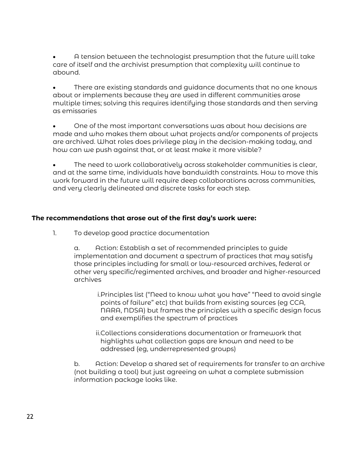• A tension between the technologist presumption that the future will take care of itself and the archivist presumption that complexity will continue to abound.

• There are existing standards and guidance documents that no one knows about or implements because they are used in different communities arose multiple times; solving this requires identifying those standards and then serving as emissaries

• One of the most important conversations was about how decisions are made and who makes them about what projects and/or components of projects are archived. What roles does privilege play in the decision-making today, and how can we push against that, or at least make it more visible?

• The need to work collaboratively across stakeholder communities is clear, and at the same time, individuals have bandwidth constraints. How to move this work forward in the future will require deep collaborations across communities, and very clearly delineated and discrete tasks for each step.

# **The recommendations that arose out of the first day's work were:**

1. To develop good practice documentation

a. Action: Establish a set of recommended principles to guide implementation and document a spectrum of practices that may satisfy those principles including for small or low-resourced archives, federal or other very specific/regimented archives, and broader and higher-resourced archives

i.Principles list ("Need to know what you have" "Need to avoid single points of failure" etc) that builds from existing sources (eg CCA, NARA, NDSA) but frames the principles with a specific design focus and exemplifies the spectrum of practices

ii.Collections considerations documentation or framework that highlights what collection gaps are known and need to be addressed (eg, underrepresented groups)

b. Action: Develop a shared set of requirements for transfer to an archive (not building a tool) but just agreeing on what a complete submission information package looks like.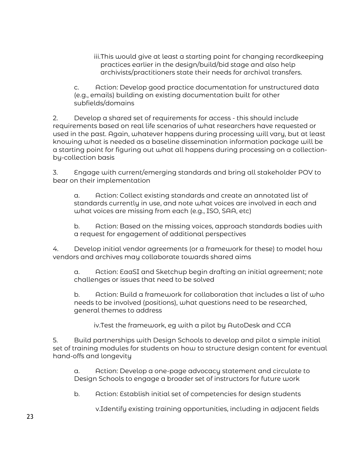iii.This would give at least a starting point for changing recordkeeping practices earlier in the design/build/bid stage and also help archivists/practitioners state their needs for archival transfers.

c. Action: Develop good practice documentation for unstructured data (e.g., emails) building on existing documentation built for other subfields/domains

2. Develop a shared set of requirements for access - this should include requirements based on real life scenarios of what researchers have requested or used in the past. Again, whatever happens during processing will vary, but at least knowing what is needed as a baseline dissemination information package will be a starting point for figuring out what all happens during processing on a collectionby-collection basis

3. Engage with current/emerging standards and bring all stakeholder POV to bear on their implementation

a. Action: Collect existing standards and create an annotated list of standards currently in use, and note what voices are involved in each and what voices are missing from each (e.g., ISO, SAA, etc)

b. Action: Based on the missing voices, approach standards bodies with a request for engagement of additional perspectives

4. Develop initial vendor agreements (or a framework for these) to model how vendors and archives may collaborate towards shared aims

a. Action: EaaSI and Sketchup begin drafting an initial agreement; note challenges or issues that need to be solved

b. Action: Build a framework for collaboration that includes a list of who needs to be involved (positions), what questions need to be researched, general themes to address

iv.Test the framework, eg with a pilot by AutoDesk and CCA

5. Build partnerships with Design Schools to develop and pilot a simple initial set of training modules for students on how to structure design content for eventual hand-offs and longevity

a. Action: Develop a one-page advocacy statement and circulate to Design Schools to engage a broader set of instructors for future work

b. Action: Establish initial set of competencies for design students

v.Identify existing training opportunities, including in adjacent fields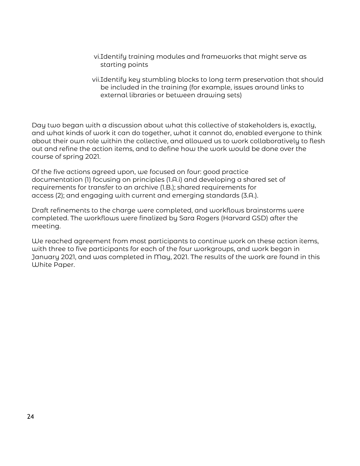- vi.Identify training modules and frameworks that might serve as starting points
- vii.Identify key stumbling blocks to long term preservation that should be included in the training (for example, issues around links to external libraries or between drawing sets)

Day two began with a discussion about what this collective of stakeholders is, exactly, and what kinds of work it can do together, what it cannot do, enabled everyone to think about their own role within the collective, and allowed us to work collaboratively to flesh out and refine the action items, and to define how the work would be done over the course of spring 2021.

Of the five actions agreed upon, we focused on four: good practice documentation (1) focusing on principles (1.A.i) and developing a shared set of requirements for transfer to an archive (1.B.); shared requirements for access (2); and engaging with current and emerging standards (3.A.).

Draft refinements to the charge were completed, and workflows brainstorms were completed. The workflows were finalized by Sara Rogers (Harvard GSD) after the meeting.

We reached agreement from most participants to continue work on these action items, with three to five participants for each of the four workgroups, and work began in January 2021, and was completed in May, 2021. The results of the work are found in this White Paper.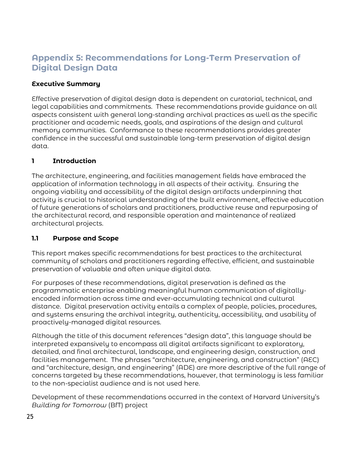# <span id="page-25-0"></span>**Appendix 5: Recommendations for Long-Term Preservation of Digital Design Data**

# **Executive Summary**

Effective preservation of digital design data is dependent on curatorial, technical, and legal capabilities and commitments. These recommendations provide guidance on all aspects consistent with general long-standing archival practices as well as the specific practitioner and academic needs, goals, and aspirations of the design and cultural memory communities. Conformance to these recommendations provides greater confidence in the successful and sustainable long-term preservation of digital design data.

# **1 Introduction**

The architecture, engineering, and facilities management fields have embraced the application of information technology in all aspects of their activity. Ensuring the ongoing viability and accessibility of the digital design artifacts underpinning that activity is crucial to historical understanding of the built environment, effective education of future generations of scholars and practitioners, productive reuse and repurposing of the architectural record, and responsible operation and maintenance of realized architectural projects.

# **1.1 Purpose and Scope**

This report makes specific recommendations for best practices to the architectural community of scholars and practitioners regarding effective, efficient, and sustainable preservation of valuable and often unique digital data.

For purposes of these recommendations, digital preservation is defined as the programmatic enterprise enabling meaningful human communication of digitallyencoded information across time and ever-accumulating technical and cultural distance. Digital preservation activity entails a complex of people, policies, procedures, and systems ensuring the archival integrity, authenticity, accessibility, and usability of proactively-managed digital resources.

Although the title of this document references "design data", this language should be interpreted expansively to encompass all digital artifacts significant to exploratory, detailed, and final architectural, landscape, and engineering design, construction, and facilities management. The phrases "architecture, engineering, and construction" (AEC) and "architecture, design, and engineering" (ADE) are more descriptive of the full range of concerns targeted by these recommendations, however, that terminology is less familiar to the non-specialist audience and is not used here.

Development of these recommendations occurred in the context of Harvard University's *Building for Tomorrow* (BfT) project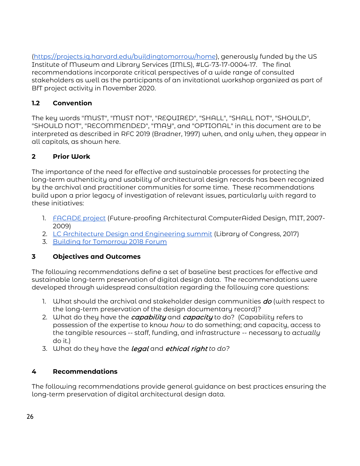[\(https://projects.iq.harvard.edu/buildingtomorrow/home\)](https://projects.iq.harvard.edu/buildingtomorrow/home), generously funded by the US Institute of Museum and Library Services (IMLS), #LG-73-17-0004-17. The final recommendations incorporate critical perspectives of a wide range of consulted stakeholders as well as the participants of an invitational workshop organized as part of BfT project activity in November 2020.

# **1.2 Convention**

The key words "MUST", "MUST NOT", "REQUIRED", "SHALL", "SHALL NOT", "SHOULD", "SHOULD NOT", "RECOMMENDED", "MAY", and "OPTIONAL" in this document are to be interpreted as described in RFC 2019 (Bradner, 1997) when, and only when, they appear in all capitals, as shown here.

# **2 Prior Work**

The importance of the need for effective and sustainable processes for protecting the long-term authenticity and usability of architectural design records has been recognized by the archival and practitioner communities for some time. These recommendations build upon a prior legacy of investigation of relevant issues, particularly with regard to these initiatives:

- 1. [FACADE project](https://projects.iq.harvard.edu/files/buildingtomorrow/files/facadefinalreport.pdf) (Future-proofing Architectural ComputerAided Design, MIT, 2007- 2009)
- 2. [LC Architecture Design and Engineering summit](https://projects.iq.harvard.edu/files/buildingtomorrow/files/designingthefuturelandscapereport.pdf) (Library of Congress, 2017)
- 3. [Building for Tomorrow 2018 Forum](https://projects.iq.harvard.edu/files/buildingtomorrow/files/2018.09.20_building_for_tomorrow_forum_report.pdf)

# **3 Objectives and Outcomes**

The following recommendations define a set of baseline best practices for effective and sustainable long-term preservation of digital design data. The recommendations were developed through widespread consultation regarding the following core questions:

- 1. What should the archival and stakeholder design communities  $d\sigma$  (with respect to the long-term preservation of the design documentary record)?
- 2. What do they have the *capability* and *capacity* to do? (Capability refers to possession of the expertise to know *how* to do something; and capacity, access to the tangible resources -- staff, funding, and infrastructure -- necessary to *actually* do it.)
- 3. What do they have the legal and ethical right *to do?*

# **4 Recommendations**

The following recommendations provide general guidance on best practices ensuring the long-term preservation of digital architectural design data.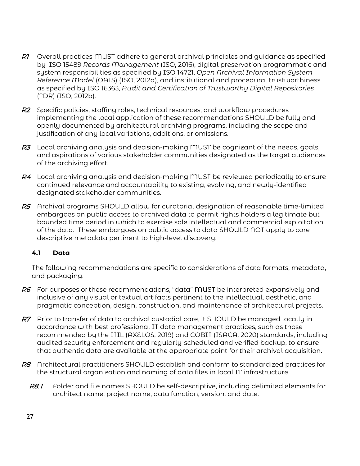- $R1$  Overall practices MUST adhere to general archival principles and guidance as specified by ISO 15489 *Records Management* (ISO, 2016), digital preservation programmatic and system responsibilities as specified by ISO 14721, *Open Archival Information System Reference Model* (OAIS) (ISO, 2012a), and institutional and procedural trustworthiness as specified by ISO 16363, *Audit and Certification of Trustworthy Digital Repositories* (TDR) (ISO, 2012b).
- R<sub>2</sub> Specific policies, staffing roles, technical resources, and workflow procedures implementing the local application of these recommendations SHOULD be fully and openly documented by architectural archiving programs, including the scope and justification of any local variations, additions, or omissions.
- $R<sub>3</sub>$  Local archiving analysis and decision-making MUST be cognizant of the needs, goals, and aspirations of various stakeholder communities designated as the target audiences of the archiving effort.
- $R4$  Local archiving analysis and decision-making MUST be reviewed periodically to ensure continued relevance and accountability to existing, evolving, and newly-identified designated stakeholder communities.
- R5 Archival programs SHOULD allow for curatorial designation of reasonable time-limited embargoes on public access to archived data to permit rights holders a legitimate but bounded time period in which to exercise sole intellectual and commercial exploitation of the data. These embargoes on public access to data SHOULD NOT apply to core descriptive metadata pertinent to high-level discovery.

# **4.1 Data**

The following recommendations are specific to considerations of data formats, metadata, and packaging.

- $R6$  For purposes of these recommendations, "data" MUST be interpreted expansively and inclusive of any visual or textual artifacts pertinent to the intellectual, aesthetic, and pragmatic conception, design, construction, and maintenance of architectural projects.
- R7 Prior to transfer of data to archival custodial care, it SHOULD be managed locally in accordance with best professional IT data management practices, such as those recommended by the ITIL (AXELOS, 2019) and COBIT (ISACA, 2020) standards, including audited security enforcement and regularly-scheduled and verified backup, to ensure that authentic data are available at the appropriate point for their archival acquisition.
- R8 Architectural practitioners SHOULD establish and conform to standardized practices for the structural organization and naming of data files in local IT infrastructure.
	- R8.1 Folder and file names SHOULD be self-descriptive, including delimited elements for architect name, project name, data function, version, and date.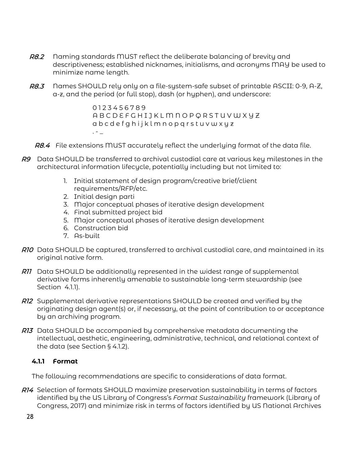- R8.2 Naming standards MUST reflect the deliberate balancing of brevity and descriptiveness; established nicknames, initialisms, and acronyms MAY be used to minimize name length.
- R8.3 Names SHOULD rely only on a file-system-safe subset of printable ASCII: 0-9, A-Z, a-z, and the period (or full stop), dash (or hyphen), and underscore:

0 1 2 3 4 5 6 7 8 9 A B C D E F G H I J K L M N O P Q R S T U V W X Y Z a b c d e f g h i j k l m n o p q r s t u v w x y z  $. - \_$ 

- R8.4 File extensions MUST accurately reflect the underlying format of the data file.
- R9 Data SHOULD be transferred to archival custodial care at various key milestones in the architectural information lifecycle, potentially including but not limited to:
	- 1. Initial statement of design program/creative brief/client requirements/RFP/etc.
	- 2. Initial design parti
	- 3. Major conceptual phases of iterative design development
	- 4. Final submitted project bid
	- 5. Major conceptual phases of iterative design development
	- 6. Construction bid
	- 7. As-built
- R10 Data SHOULD be captured, transferred to archival custodial care, and maintained in its original native form.
- RI1 Data SHOULD be additionally represented in the widest range of supplemental derivative forms inherently amenable to sustainable long-term stewardship (see Section 4.1.1).
- RI2 Supplemental derivative representations SHOULD be created and verified by the originating design agent(s) or, if necessary, at the point of contribution to or acceptance by an archiving program.
- RI3 Data SHOULD be accompanied by comprehensive metadata documenting the intellectual, aesthetic, engineering, administrative, technical, and relational context of the data (see Section § 4.1.2).

# **4.1.1 Format**

The following recommendations are specific to considerations of data format.

R14 Selection of formats SHOULD maximize preservation sustainability in terms of factors identified by the US Library of Congress's *Format Sustainability* framework (Library of Congress, 2017) and minimize risk in terms of factors identified by US National Archives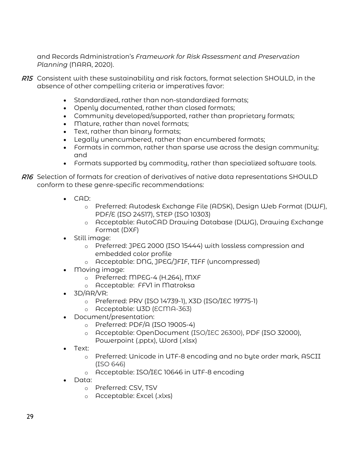and Records Administration's *Framework for Risk Assessment and Preservation Planning* (NARA, 2020).

- R15 Consistent with these sustainability and risk factors, format selection SHOULD, in the absence of other compelling criteria or imperatives favor:
	- Standardized, rather than non-standardized formats;
	- Openly documented, rather than closed formats;
	- Community developed/supported, rather than proprietary formats;
	- Mature, rather than novel formats;
	- Text, rather than binary formats;
	- Legally unencumbered, rather than encumbered formats;
	- Formats in common, rather than sparse use across the design community; and
	- Formats supported by commodity, rather than specialized software tools.
- R16 Selection of formats for creation of derivatives of native data representations SHOULD conform to these genre-specific recommendations:
	- CAD:
		- o Preferred: Autodesk Exchange File (ADSK), Design Web Format (DWF), PDF/E (ISO 24517), STEP (ISO 10303)
		- o Acceptable: AutoCAD Drawing Database (DWG), Drawing Exchange Format (DXF)
	- Still image:
		- o Preferred: JPEG 2000 (ISO 15444) with lossless compression and embedded color profile
		- o Acceptable: DNG, JPEG/JFIF, TIFF (uncompressed)
	- Moving image:
		- o Preferred: MPEG-4 (H.264), MXF
		- o Acceptable: FFV1 in Matroksa
	- $\bullet$  3D/AR/VR:
		- o Preferred: PRV (ISO 14739-1), X3D (ISO/IEC 19775-1)
		- o Acceptable: U3D (ECMA-363)
	- Document/presentation:
		- o Preferred: PDF/A (ISO 19005-4)
		- o Acceptable: OpenDocument (ISO/IEC 26300), PDF (ISO 32000),
		- Powerpoint (.pptx), Word (.xlsx)
	- Text:
		- o Preferred: Unicode in UTF-8 encoding and no byte order mark, ASCII (ISO 646)
		- o Acceptable: ISO/IEC 10646 in UTF-8 encoding
	- Data:
		- o Preferred: CSV, TSV
		- o Acceptable: Excel (.xlxs)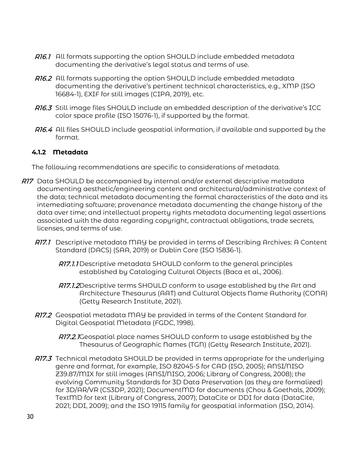- R16.1 All formats supporting the option SHOULD include embedded metadata documenting the derivative's legal status and terms of use.
- R16.2 All formats supporting the option SHOULD include embedded metadata documenting the derivative's pertinent technical characteristics, e.g., XMP (ISO 16684-1), EXIF for still images (CIPA, 2019), etc.
- R16.3 Still image files SHOULD include an embedded description of the derivative's ICC color space profile (ISO 15076-1), if supported by the format.
- R16.4 All files SHOULD include geospatial information, if available and supported by the format.

# **4.1.2 Metadata**

The following recommendations are specific to considerations of metadata.

- R17 Data SHOULD be accompanied by internal and/or external descriptive metadata documenting aesthetic/engineering content and architectural/administrative context of the data; technical metadata documenting the formal characteristics of the data and its intemediating software; provenance metadata documenting the change history of the data over time; and intellectual property rights metadata documenting legal assertions associated with the data regarding copyright, contractual obligations, trade secrets, licenses, and terms of use.
	- R17.1 Descriptive metadata MAY be provided in terms of Describing Archives: A Content Standard (DACS) (SAA, 2019) or Dublin Core (ISO 15836-1).
		- R77.1.1 Descriptive metadata SHOULD conform to the general principles established by Cataloging Cultural Objects (Baca et al., 2006).
		- R77.1.2Descriptive terms SHOULD conform to usage established by the Art and Architecture Thesaurus (AAT) and Cultural Objects Name Authority (CONA) (Getty Research Institute, 2021).
	- R17.2 Geospatial metadata MAY be provided in terms of the Content Standard for Digital Geospatial Metadata (FGDC, 1998).

R17.2.1Geospatial place names SHOULD conform to usage established by the Thesaurus of Geographic Names (TGN) (Getty Research Institute, 2021).

RIZ.3 Technical metadata SHOULD be provided in terms appropriate for the underlying genre and format, for example, ISO 82045-5 for CAD (ISO, 2005); ANSI/NISO Z39.87/MIX for still images (ANSI/NISO, 2006; Library of Congress, 2008); the evolving Community Standards for 3D Data Preservation (as they are formalized) for 3D/AR/VR (CS3DP, 2021); DocumentMD for documents (Chou & Goethals, 2009); TextMD for text (Library of Congress, 2007); DataCite or DDI for data (DataCite, 2021; DDI, 2009); and the ISO 19115 family for geospatial information (ISO, 2014).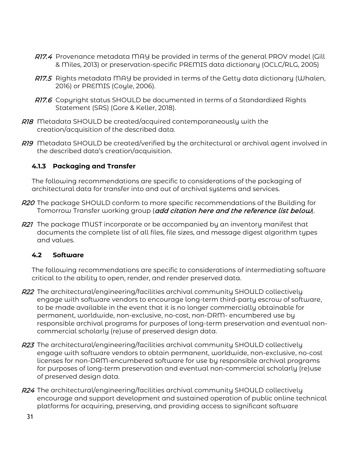- R17.4 Provenance metadata MAY be provided in terms of the general PROV model (Gill & Miles, 2013) or preservation-specific PREMIS data dictionary (OCLC/RLG, 2005)
- R17.5 Rights metadata MAY be provided in terms of the Getty data dictionary (Whalen, 2016) or PREMIS (Coyle, 2006).
- R17.6 Copyright status SHOULD be documented in terms of a Standardized Rights Statement (SRS) (Gore & Keller, 2018).
- R18 Metadata SHOULD be created/acquired contemporaneously with the creation/acquisition of the described data.
- R19 Metadata SHOULD be created/verified by the architectural or archival agent involved in the described data's creation/acquisition.

# **4.1.3 Packaging and Transfer**

The following recommendations are specific to considerations of the packaging of architectural data for transfer into and out of archival systems and services.

- R20 The package SHOULD conform to more specific recommendations of the Building for Tomorrow Transfer working group (add citation here and the reference list below).
- R21 The package MUST incorporate or be accompanied by an inventory manifest that documents the complete list of all files, file sizes, and message digest algorithm types and values.

# **4.2 Software**

The following recommendations are specific to considerations of intermediating software critical to the ability to open, render, and render preserved data.

- R22 The architectural/engineering/facilities archival community SHOULD collectively engage with software vendors to encourage long-term third-party escrow of software, to be made available in the event that it is no longer commercially obtainable for permanent, worldwide, non-exclusive, no-cost, non-DRM- encumbered use by responsible archival programs for purposes of long-term preservation and eventual noncommercial scholarly (re)use of preserved design data.
- **R23** The architectural/engineering/facilities archival community SHOULD collectively engage with software vendors to obtain permanent, worldwide, non-exclusive, no-cost licenses for non-DRM-encumbered software for use by responsible archival programs for purposes of long-term preservation and eventual non-commercial scholarly (re)use of preserved design data.
- R24 The architectural/engineering/facilities archival community SHOULD collectively encourage and support development and sustained operation of public online technical platforms for acquiring, preserving, and providing access to significant software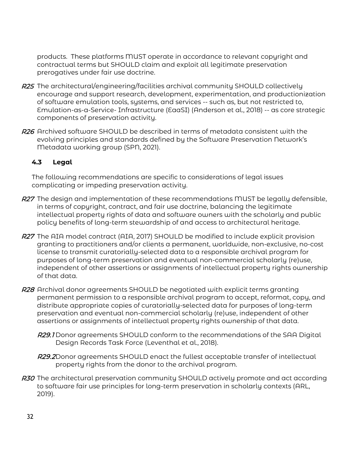products. These platforms MUST operate in accordance to relevant copyright and contractual terms but SHOULD claim and exploit all legitimate preservation prerogatives under fair use doctrine.

- **R25** The architectural/engineering/facilities archival community SHOULD collectively encourage and support research, development, experimentation, and productionization of software emulation tools, systems, and services -- such as, but not restricted to, Emulation-as-a-Service- Infrastructure (EaaSI) (Anderson et al., 2018) -- as core strategic components of preservation activity.
- R26 Archived software SHOULD be described in terms of metadata consistent with the evolving principles and standards defined by the Software Preservation Network's Metadata working group (SPN, 2021).

# **4.3 Legal**

The following recommendations are specific to considerations of legal issues complicating or impeding preservation activity.

- R27 The design and implementation of these recommendations MUST be legally defensible, in terms of copyright, contract, and fair use doctrine, balancing the legitimate intellectual property rights of data and software owners with the scholarly and public policy benefits of long-term stewardship of and access to architectural heritage.
- R27 The AIA model contract (AIA, 2017) SHOULD be modified to include explicit provision granting to practitioners and/or clients a permanent, worldwide, non-exclusive, no-cost license to transmit curatorially-selected data to a responsible archival program for purposes of long-term preservation and eventual non-commercial scholarly (re)use, independent of other assertions or assignments of intellectual property rights ownership of that data.
- R28 Archival donor agreements SHOULD be negotiated with explicit terms granting permanent permission to a responsible archival program to accept, reformat, copy, and distribute appropriate copies of curatorially-selected data for purposes of long-term preservation and eventual non-commercial scholarly (re)use, independent of other assertions or assignments of intellectual property rights ownership of that data.
	- R29.1 Donor agreements SHOULD conform to the recommendations of the SAA Digital Design Records Task Force (Leventhal et al., 2018).
	- R29.2Donor agreements SHOULD enact the fullest acceptable transfer of intellectual property rights from the donor to the archival program.
- R30 The architectural preservation community SHOULD actively promote and act according to software fair use principles for long-term preservation in scholarly contexts (ARL, 2019).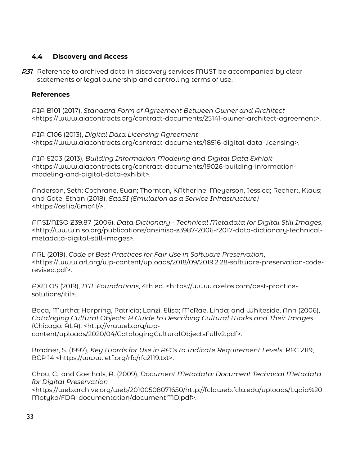# **4.4 Discovery and Access**

R31 Reference to archived data in discovery services MUST be accompanied by clear statements of legal ownership and controlling terms of use.

# **References**

AIA B101 (2017), *Standard Form of Agreement Between Owner and Architect* <https://www.aiacontracts.org/contract-documents/25141-owner-architect-agreement>.

AIA C106 (2013), *Digital Data Licensing Agreement* <https://www.aiacontracts.org/contract-documents/18516-digital-data-licensing>.

AIA E203 (2013), *Building Information Modeling and Digital Data Exhibit* <https://www.aiacontracts.org/contract-documents/19026-building-informationmodeling-and-digital-data-exhibit>.

Anderson, Seth; Cochrane, Euan; Thornton, KAtherine; Meyerson, Jessica; Rechert, Klaus; and Gate, Ethan (2018), *EaaSI (Emulation as a Service Infrastructure)* <https://osf.io/6mc4f/>.

ANSI/NISO Z39.87 (2006), *Data Dictionary - Technical Metadata for Digital Still Images*, <http://www.niso.org/publications/ansiniso-z3987-2006-r2017-data-dictionary-technicalmetadata-digital-still-images>.

ARL (2019), *Code of Best Practices for Fair Use in Software Preservation*, <https://www.arl.org/wp-content/uploads/2018/09/2019.2.28-software-preservation-coderevised.pdf>.

AXELOS (2019), *ITIL Foundations*, 4th ed. <https://www.axelos.com/best-practicesolutions/itil>.

Baca, Murtha; Harpring, Patricia; Lanzi, Elisa; McRae, Linda; and Whiteside, Ann (2006), *Cataloging Cultural Objects: A Guide to Describing Cultural Works and Their Images* (Chicago: ALA), <http://vraweb.org/wpcontent/uploads/2020/04/CatalogingCulturalObjectsFullv2.pdf>.

Bradner, S. (1997), *Key Words for Use in RFCs to Indicate Requirement Levels*, RFC 2119, BCP 14 <https://www.ietf.org/rfc/rfc2119.txt>.

Chou, C.; and Goethals, A. (2009), *Document Metadata: Document Technical Metadata for Digital Preservation*

<https://web.archive.org/web/20100508071650/http://fclaweb.fcla.edu/uploads/Lydia%20 Motyka/FDA\_documentation/documentMD.pdf>.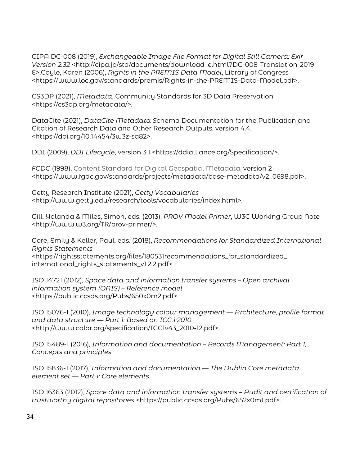CIPA DC-008 (2019), *Exchangeable Image File Format for Digital Still Camera: Exif Version 2.32* <http://cipa.jp/std/documents/download\_e.html?DC-008-Translation-2019- E>.Coyle, Karen (2006), *Rights in the PREMIS Data Model*, Library of Congress <https://www.loc.gov/standards/premis/Rights-in-the-PREMIS-Data-Model.pdf>.

CS3DP (2021), *Metadata*, Community Standards for 3D Data Preservation <https://cs3dp.org/metadata/>.

DataCite (2021), *DataCite Metadata S*chema Documentation for the Publication and Citation of Research Data and Other Research Outputs, version 4.4, <https://doi.org/10.14454/3w3z-sa82>.

DDI (2009), *DDI Lifecycle*, version 3.1 <https://ddialliance.org/Specification/>.

FCDC (1998), Content Standard for Digital Geospatial Metadata, version 2 <https://www.fgdc.gov/standards/projects/metadata/base-metadata/v2\_0698.pdf>.

Getty Research Institute (2021), *Getty Vocabularies* <http://www.getty.edu/research/tools/vocabularies/index.html>.

Gill, Yolanda & Miles, Simon, eds. (2013), *PROV Model Primer*, W3C Working Group Note <http://www.w3.org/TR/prov-primer/>.

Gore, Emily & Keller, Paul, eds. (2018), *Recommendations for Standardized International Rights Statements*  <https://rightsstatements.org/files/180531recommendations\_for\_standardized\_ international\_rights\_statements\_v1.2.2.pdf>.

ISO 14721 (2012), *Space data and information transfer systems – Open archival information system (OAIS) – Reference model* <https://public.ccsds.org/Pubs/650x0m2.pdf>.

ISO 15076-1 (2010), *Image technology colour management — Architecture, profile format and data structure — Part 1: Based on ICC.1:2010* <http://www.color.org/specification/ICC1v43\_2010-12.pdf>.

ISO 15489-1 (2016), *Information and documentation – Records Management: Part 1, Concepts and principles*.

ISO 15836-1 (2017), *Information and documentation — The Dublin Core metadata element set — Part 1: Core elements*.

ISO 16363 (2012), *Space data and information transfer systems – Audit and certification of trustworthy digital repositories* <https://public.ccsds.org/Pubs/652x0m1.pdf>.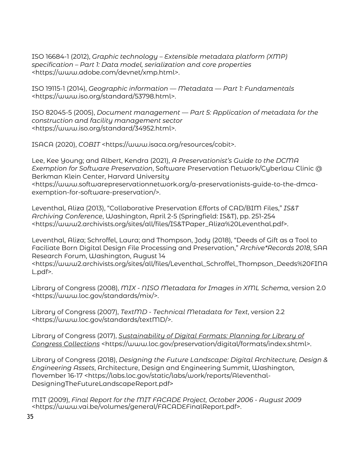ISO 16684-1 (2012), *Graphic technology – Extensible metadata platform (XMP) specification – Part 1: Data model, serialization and core properties* <https://www.adobe.com/devnet/xmp.html>.

ISO 19115-1 (2014), *Geographic information — Metadata — Part 1: Fundamentals*  <https://www.iso.org/standard/53798.html>.

ISO 82045-5 (2005), *Document management — Part 5: Application of metadata for the construction and facility management sector* <https://www.iso.org/standard/34952.html>.

ISACA (2020), *COBIT* <https://www.isaca.org/resources/cobit>.

Lee, Kee Young; and Albert, Kendra (2021), *A Preservationist's Guide to the DCMA Exemption for Software Preservation*, Software Preservation Network/Cyberlaw Clinic @ Berkman Klein Center, Harvard University <https://www.softwarepreservationnetwork.org/a-preservationists-guide-to-the-dmcaexemption-for-software-preservation/>.

Leventhal, Aliza (2013), "Collaborative Preservation Efforts of CAD/BIM Files," *IS&T Archiving Conference*, Washington, April 2-5 (Springfield: IS&T), pp. 251-254 <https://www2.archivists.org/sites/all/files/IS&TPaper\_Aliza%20Leventhal.pdf>.

Leventhal, Aliza; Schroffel, Laura; and Thompson, Jody (2018), "Deeds of Gift as a Tool to Faciliate Born Digital Design File Processing and Preservation," *Archive\*Records 2018*, SAA Research Forum, Washington, August 14

<https://www2.archivists.org/sites/all/files/Leventhal\_Schroffel\_Thompson\_Deeds%20FINA L.pdf>.

Library of Congress (2008), *MIX - NISO Metadata for Images in XML Schema*, version 2.0 <https://www.loc.gov/standards/mix/>.

Library of Congress (2007), *TextMD - Technical Metadata for Text*, version 2.2 <https://www.loc.gov/standards/textMD/>.

Library of Congress (2017), *[Sustainability of Digital Formats: Planning for Library of](https://www.loc.gov/preservation/digital/formats/index.html)  [Congress Collections](https://www.loc.gov/preservation/digital/formats/index.html)* <https://www.loc.gov/preservation/digital/formats/index.shtml>.

Library of Congress (2018), *Designing the Future Landscape: Digital Architecture, Design & Engineering Assets*, Architecture, Design and Engineering Summit, Washington, November 16-17 <https://labs.loc.gov/static/labs/work/reports/Aleventhal-DesigningTheFutureLandscapeReport.pdf>

MIT (2009), *Final Report for the MIT FACADE Project, October 2006 - August 2009* <https://www.vai.be/volumes/general/FACADEFinalReport.pdf>.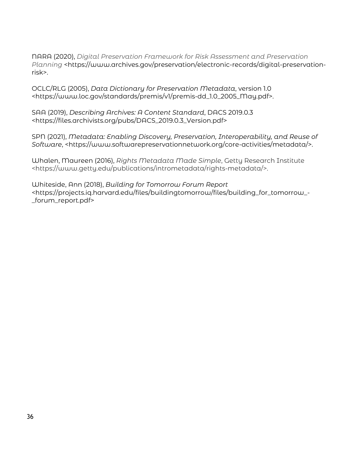NARA (2020), *Digital Preservation Framework for Risk Assessment and Preservation Planning* <https://www.archives.gov/preservation/electronic-records/digital-preservationrisk>.

OCLC/RLG (2005), *Data Dictionary for Preservation Metadata*, version 1.0 <https://www.loc.gov/standards/premis/v1/premis-dd\_1.0\_2005\_May.pdf>.

SAA (2019), *Describing Archives: A Content Standard*, DACS 2019.0.3 <https://files.archivists.org/pubs/DACS\_2019.0.3\_Version.pdf>

SPN (2021), *Metadata: Enabling Discovery, Preservation, Interoperability, and Reuse of Software*, <https://www.softwarepreservationnetwork.org/core-activities/metadata/>.

Whalen, Maureen (2016), *Rights Metadata Made Simple*, Getty Research Institute <https://www.getty.edu/publications/intrometadata/rights-metadata/>.

Whiteside, Ann (2018), *Building for Tomorrow Forum Report*  <https://projects.iq.harvard.edu/files/buildingtomorrow/files/building\_for\_tomorrow\_- \_forum\_report.pdf>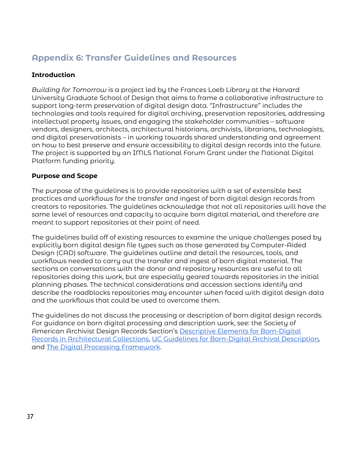# **Appendix 6: Transfer Guidelines and Resources**

## **Introduction**

*Building for Tomorrow* is a project led by the Frances Loeb Library at the Harvard University Graduate School of Design that aims to frame a collaborative infrastructure to support long-term preservation of digital design data. "Infrastructure" includes the technologies and tools required for digital archiving, preservation repositories, addressing intellectual property issues, and engaging the stakeholder communities – software vendors, designers, architects, architectural historians, archivists, librarians, technologists, and digital preservationists – in working towards shared understanding and agreement on how to best preserve and ensure accessibility to digital design records into the future. The project is supported by an IMLS National Forum Grant under the National Digital Platform funding priority.

## **Purpose and Scope**

The purpose of the guidelines is to provide repositories with a set of extensible best practices and workflows for the transfer and ingest of born digital design records from creators to repositories. The guidelines acknowledge that not all repositories will have the same level of resources and capacity to acquire born digital material, and therefore are meant to support repositories at their point of need.

The guidelines build off of existing resources to examine the unique challenges posed by explicitly born digital design file types such as those generated by Computer-Aided Design (CAD) software. The guidelines outline and detail the resources, tools, and workflows needed to carry out the transfer and ingest of born digital material. The sections on conversations with the donor and repository resources are useful to all repositories doing this work, but are especially geared towards repositories in the initial planning phases. The technical considerations and accession sections identify and describe the roadblocks repositories may encounter when faced with digital design data and the workflows that could be used to overcome them.

The guidelines do not discuss the processing or description of born digital design records. For guidance on born digital processing and description work, see: the Society of American Archivist Design Records Section's [Descriptive Elements for Born-Digital](https://www2.archivists.org/sites/all/files/Descriptive%20Elements%20for%20Born-Digital%20Records%20in%20Architectural%20Collections%201.0_0.pdf)  [Records in Architectural Collections,](https://www2.archivists.org/sites/all/files/Descriptive%20Elements%20for%20Born-Digital%20Records%20in%20Architectural%20Collections%201.0_0.pdf) [UC Guidelines for Born-Digital Archival Description](https://escholarship.org/uc/item/9cg222jc)*,*  and [The Digital Processing Framework.](https://ecommons.cornell.edu/handle/1813/57659)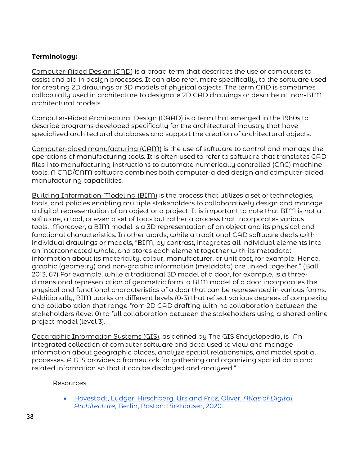## **Terminology:**

Computer-Aided Design (CAD) is a broad term that describes the use of computers to assist and aid in design processes. It can also refer, more specifically, to the software used for creating 2D drawings or 3D models of physical objects. The term CAD is sometimes colloquially used in architecture to designate 2D CAD drawings or describe all non-BIM architectural models.

Computer-Aided Architectural Design (CAAD) is a term that emerged in the 1980s to describe programs developed specifically for the architectural industry that have specialized architectural databases and support the creation of architectural objects.

Computer-aided manufacturing (CAM) is the use of software to control and manage the operations of manufacturing tools. It is often used to refer to software that translates CAD files into manufacturing instructions to automate numerically controlled (CNC) machine tools. A CAD/CAM software combines both computer-aided design and computer-aided manufacturing capabilities.

Building Information Modeling (BIM) is the process that utilizes a set of technologies, tools, and policies enabling multiple stakeholders to collaboratively design and manage a digital representation of an object or a project. It is important to note that BIM is not a software, a tool, or even a set of tools but rather a process that incorporates various tools. Moreover, a BIM model is a 3D representation of an object and its physical and functional characteristics. In other words, while a traditional CAD software deals with individual drawings or models, "BIM, by contrast, integrates all individual elements into an interconnected whole, and stores each element together with its metadata: information about its materiality, colour, manufacturer, or unit cost, for example. Hence, graphic (geometry) and non-graphic information (metadata) are linked together." (Ball 2013, 67) For example, while a traditional 3D model of a door, for example, is a threedimensional representation of geometric form, a BIM model of a door incorporates the physical and functional characteristics of a door that can be represented in various forms. Additionally, BIM works on different levels (0-3) that reflect various degrees of complexity and collaboration that range from 2D CAD drafting with no collaboration between the stakeholders (level 0) to full collaboration between the stakeholders using a shared online project model (level 3).

Geographic Information Systems (GIS), as defined by The GIS Encyclopedia, is "An integrated collection of computer software and data used to view and manage information about geographic places, analyze spatial relationships, and model spatial processes. A GIS provides a framework for gathering and organizing spatial data and related information so that it can be displayed and analyzed."

Resources:

• [Hovestadt, Ludger, Hirschberg, Urs and Fritz, Oliver.](https://www-degruyter-com.ezp-prod1.hul.harvard.edu/document/doi/10.1515/9783035620115/html) *Atlas of Digital Architecture,* [Berlin, Boston: Birkhäuser, 2020.](https://www-degruyter-com.ezp-prod1.hul.harvard.edu/document/doi/10.1515/9783035620115/html)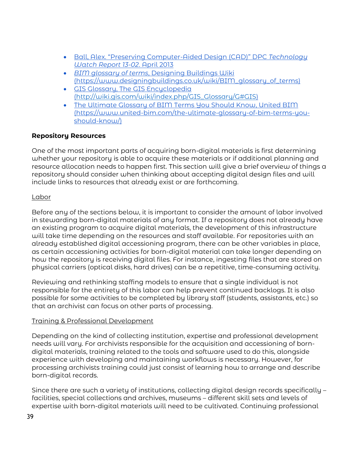- [Ball, Alex. "Preserving Computer-Aided Design \(CAD\)" DPC](https://www.dpconline.org/docs/technology-watch-reports/896-dpctw13-02-pdf/file) *Technology [Watch Report 13-02](https://www.dpconline.org/docs/technology-watch-reports/896-dpctw13-02-pdf/file)*. April 2013
- *BIM glossary of terms*[, Designing Buildings Wiki](https://www.designingbuildings.co.uk/wiki/BIM_glossary_of_terms) (https://www.designingbuildings.co.uk/wiki/BIM\_glossary\_of\_terms)
- [GIS Glossary, The GIS Encyclopedia](http://wiki.gis.com/wiki/index.php/GIS_Glossary/G#GIS) [\(http://wiki.gis.com/wiki/index.php/GIS\\_Glossary/G#GIS\)](http://wiki.gis.com/wiki/index.php/GIS_Glossary/G#GIS)
- [The Ultimate Glossary of BIM Terms You Should Know, United BIM](https://www.united-bim.com/the-ultimate-glossary-of-bim-terms-you-should-know/) (https://www.united-bim.com/the-ultimate-glossary-of-bim-terms-youshould-know/)

## **Repository Resources**

One of the most important parts of acquiring born-digital materials is first determining whether your repository is able to acquire these materials or if additional planning and resource allocation needs to happen first. This section will give a brief overview of things a repository should consider when thinking about accepting digital design files and will include links to resources that already exist or are forthcoming.

## Labor

Before any of the sections below, it is important to consider the amount of labor involved in stewarding born-digital materials of any format. If a repository does not already have an existing program to acquire digital materials, the development of this infrastructure will take time depending on the resources and staff available. For repositories with an already established digital accessioning program, there can be other variables in place, as certain accessioning activities for born-digital material can take longer depending on how the repository is receiving digital files. For instance, ingesting files that are stored on physical carriers (optical disks, hard drives) can be a repetitive, time-consuming activity.

Reviewing and rethinking staffing models to ensure that a single individual is not responsible for the entirety of this labor can help prevent continued backlogs. It is also possible for some activities to be completed by library staff (students, assistants, etc.) so that an archivist can focus on other parts of processing.

## Training & Professional Development

Depending on the kind of collecting institution, expertise and professional development needs will vary. For archivists responsible for the acquisition and accessioning of borndigital materials, training related to the tools and software used to do this, alongside experience with developing and maintaining workflows is necessary. However, for processing archivists training could just consist of learning how to arrange and describe born-digital records.

Since there are such a variety of institutions, collecting digital design records specifically – facilities, special collections and archives, museums – different skill sets and levels of expertise with born-digital materials will need to be cultivated. Continuing professional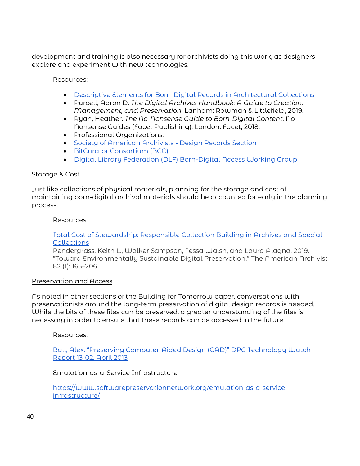development and training is also necessary for archivists doing this work, as designers explore and experiment with new technologies.

Resources:

- [Descriptive Elements for Born-Digital Records in Architectural Collections](https://www2.archivists.org/sites/all/files/Descriptive%20Elements%20for%20Born-Digital%20Records%20in%20Architectural%20Collections%201.0_0.pdf)
- Purcell, Aaron D. *The Digital Archives Handbook: A Guide to Creation, Management, and Preservation*. Lanham: Rowman & Littlefield, 2019.
- Ryan, Heather. *The No-Nonsense Guide to Born-Digital Content*. No-Nonsense Guides (Facet Publishing). London: Facet, 2018.
- Professional Organizations:
- [Society of American Archivists Design Records Section](https://www2.archivists.org/groups/design-records-section)
- [BitCurator Consortium \(BCC\)](https://bitcuratorconsortium.org/)
- [Digital Library Federation \(DLF\) Born-Digital Access Working Group](https://www.diglib.org/groups/born-digital-access-group/)

#### Storage & Cost

Just like collections of physical materials, planning for the storage and cost of maintaining born-digital archival materials should be accounted for early in the planning process.

#### Resources:

#### [Total Cost of Stewardship: Responsible Collection Building in Archives and Special](https://www.oclc.org/research/publications/2021/oclcresearch-total-cost-of-stewardship.html)  **[Collections](https://www.oclc.org/research/publications/2021/oclcresearch-total-cost-of-stewardship.html)**

Pendergrass, Keith L., Walker Sampson, Tessa Walsh, and Laura Alagna. 2019. "Toward Environmentally Sustainable Digital Preservation." The American Archivist 82 (1): 165–206

#### Preservation and Access

As noted in other sections of the Building for Tomorrow paper, conversations with preservationists around the long-term preservation of digital design records is needed. While the bits of these files can be preserved, a greater understanding of the files is necessary in order to ensure that these records can be accessed in the future.

Resources:

[Ball, Alex. "Preserving Computer-Aided Design \(CAD\)" DPC Technology Watch](https://www.dpconline.org/docs/technology-watch-reports/896-dpctw13-02-pdf/file)  [Report 13-02. April 2013](https://www.dpconline.org/docs/technology-watch-reports/896-dpctw13-02-pdf/file)

#### Emulation-as-a-Service Infrastructure

[https://www.softwarepreservationnetwork.org/emulation-as-a-service](https://www.softwarepreservationnetwork.org/emulation-as-a-service-infrastructure/)[infrastructure/](https://www.softwarepreservationnetwork.org/emulation-as-a-service-infrastructure/)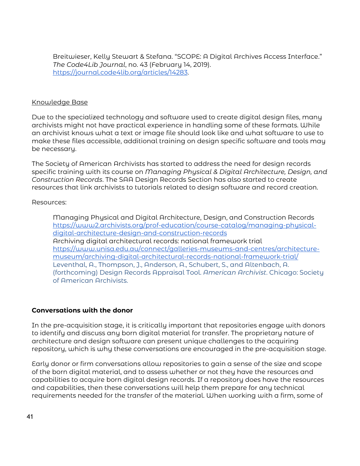Breitwieser, Kelly Stewart & Stefana. "SCOPE: A Digital Archives Access Interface." *The Code4Lib Journal*, no. 43 (February 14, 2019). [https://journal.code4lib.org/articles/14283.](https://journal.code4lib.org/articles/14283)

#### Knowledge Base

Due to the specialized technology and software used to create digital design files, many archivists might not have practical experience in handling some of these formats. While an archivist knows what a text or image file should look like and what software to use to make these files accessible, additional training on design specific software and tools may be necessary.

The Society of American Archivists has started to address the need for design records specific training with its course on *Managing Physical & Digital Architecture, Design, and Construction Records*. The SAA Design Records Section has also started to create resources that link archivists to tutorials related to design software and record creation.

#### Resources:

Managing Physical and Digital Architecture, Design, and Construction Records [https://www2.archivists.org/prof-education/course-catalog/managing-physical](https://www2.archivists.org/prof-education/course-catalog/managing-physical-digital-architecture-design-and-construction-records)[digital-architecture-design-and-construction-records](https://www2.archivists.org/prof-education/course-catalog/managing-physical-digital-architecture-design-and-construction-records) Archiving digital architectural records: national framework trial [https://www.unisa.edu.au/connect/galleries-museums-and-centres/architecture](https://www.unisa.edu.au/connect/galleries-museums-and-centres/architecture-museum/archiving-digital-architectural-records-national-framework-trial/)[museum/archiving-digital-architectural-records-national-framework-trial/](https://www.unisa.edu.au/connect/galleries-museums-and-centres/architecture-museum/archiving-digital-architectural-records-national-framework-trial/) Leventhal, A., Thompson, J., Anderson, A., Schubert, S., and Altenbach, A. (forthcoming) Design Records Appraisal Tool. *American Archivist*. Chicago: Society of American Archivists.

#### **Conversations with the donor**

In the pre-acquisition stage, it is critically important that repositories engage with donors to identify and discuss any born digital material for transfer. The proprietary nature of architecture and design software can present unique challenges to the acquiring repository, which is why these conversations are encouraged in the pre-acquisition stage.

Early donor or firm conversations allow repositories to gain a sense of the size and scope of the born digital material, and to assess whether or not they have the resources and capabilities to acquire born digital design records. If a repository does have the resources and capabilities, then these conversations will help them prepare for any technical requirements needed for the transfer of the material. When working with a firm, some of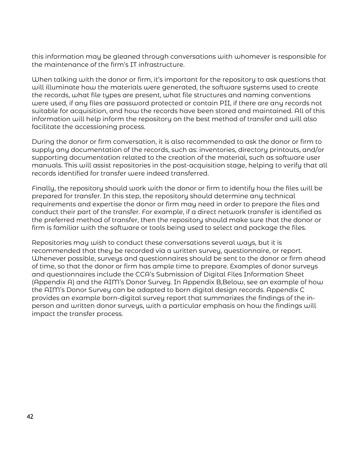this information may be gleaned through conversations with whomever is responsible for the maintenance of the firm's IT infrastructure.

When talking with the donor or firm, it's important for the repository to ask questions that will illuminate how the materials were generated, the software systems used to create the records, what file types are present, what file structures and naming conventions were used, if any files are password protected or contain PII, if there are any records not suitable for acquisition, and how the records have been stored and maintained. All of this information will help inform the repository on the best method of transfer and will also facilitate the accessioning process.

During the donor or firm conversation, it is also recommended to ask the donor or firm to supply any documentation of the records, such as: inventories, directory printouts, and/or supporting documentation related to the creation of the material, such as software user manuals. This will assist repositories in the post-acquisition stage, helping to verify that all records identified for transfer were indeed transferred.

Finally, the repository should work with the donor or firm to identify how the files will be prepared for transfer. In this step, the repository should determine any technical requirements and expertise the donor or firm may need in order to prepare the files and conduct their part of the transfer. For example, if a direct network transfer is identified as the preferred method of transfer, then the repository should make sure that the donor or firm is familiar with the software or tools being used to select and package the files.

Repositories may wish to conduct these conversations several ways, but it is recommended that they be recorded via a written survey, questionnaire, or report. Whenever possible, surveys and questionnaires should be sent to the donor or firm ahead of time, so that the donor or firm has ample time to prepare. Examples of donor surveys and questionnaires include the CCA's Submission of Digital Files Information Sheet (Appendix A) and the AIM's Donor Survey. In Appendix B,Below, see an example of how the AIM's Donor Survey can be adapted to born digital design records. Appendix C provides an example born-digital survey report that summarizes the findings of the inperson and written donor surveys, with a particular emphasis on how the findings will impact the transfer process.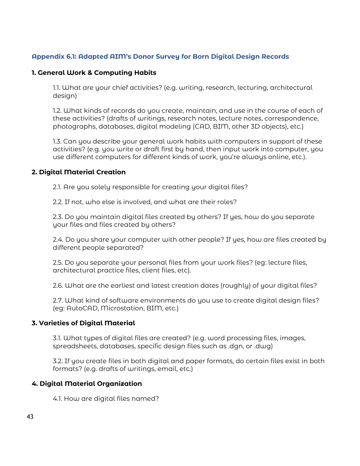## **Appendix 6.1: Adapted AIM's Donor Survey for Born Digital Design Records**

#### **1. General Work & Computing Habits**

1.1. What are your chief activities? (e.g. writing, research, lecturing, architectural design)

1.2. What kinds of records do you create, maintain, and use in the course of each of these activities? (drafts of writings, research notes, lecture notes, correspondence, photographs, databases, digital modeling (CAD, BIM, other 3D objects), etc.)

1.3. Can you describe your general work habits with computers in support of these activities? (e.g. you write or draft first by hand, then input work into computer, you use different computers for different kinds of work, you're always online, etc.).

## **2. Digital Material Creation**

2.1. Are you solely responsible for creating your digital files?

2.2. If not, who else is involved, and what are their roles?

2.3. Do you maintain digital files created by others? If yes, how do you separate your files and files created by others?

2.4. Do you share your computer with other people? If yes, how are files created by different people separated?

2.5. Do you separate your personal files from your work files? (eg: lecture files, architectural practice files, client files, etc).

2.6. What are the earliest and latest creation dates (roughly) of your digital files?

2.7. What kind of software environments do you use to create digital design files? (eg: AutoCAD, Microstation, BIM, etc.)

## **3. Varieties of Digital Material**

3.1. What types of digital files are created? (e.g. word processing files, images, spreadsheets, databases, specific design files such as .dgn, or .dwg)

3.2. If you create files in both digital and paper formats, do certain files exist in both formats? (e.g. drafts of writings, email, etc.)

## **4. Digital Material Organization**

4.1. How are digital files named?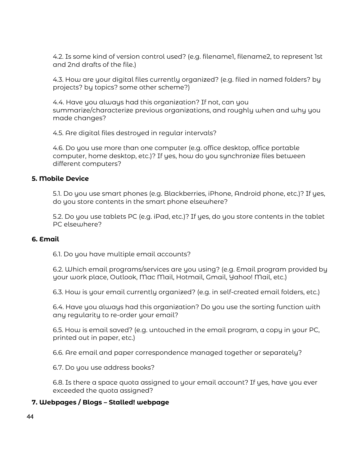4.2. Is some kind of version control used? (e.g. filename1, filename2, to represent 1st and 2nd drafts of the file.)

4.3. How are your digital files currently organized? (e.g. filed in named folders? by projects? by topics? some other scheme?)

4.4. Have you always had this organization? If not, can you summarize/characterize previous organizations, and roughly when and why you made changes?

4.5. Are digital files destroyed in regular intervals?

4.6. Do you use more than one computer (e.g. office desktop, office portable computer, home desktop, etc.)? If yes, how do you synchronize files between different computers?

#### **5. Mobile Device**

5.1. Do you use smart phones (e.g. Blackberries, iPhone, Android phone, etc.)? If yes, do you store contents in the smart phone elsewhere?

5.2. Do you use tablets PC (e.g. iPad, etc.)? If yes, do you store contents in the tablet PC elsewhere?

#### **6. Email**

6.1. Do you have multiple email accounts?

6.2. Which email programs/services are you using? (e.g. Email program provided by your work place, Outlook, Mac Mail, Hotmail, Gmail, Yahoo! Mail, etc.)

6.3. How is your email currently organized? (e.g. in self-created email folders, etc.)

6.4. Have you always had this organization? Do you use the sorting function with any regularity to re-order your email?

6.5. How is email saved? (e.g. untouched in the email program, a copy in your PC, printed out in paper, etc.)

6.6. Are email and paper correspondence managed together or separately?

6.7. Do you use address books?

6.8. Is there a space quota assigned to your email account? If yes, have you ever exceeded the quota assigned?

#### **7. Webpages / Blogs – Stalled! webpage**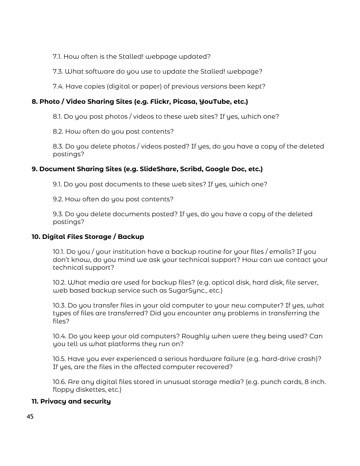7.1. How often is the Stalled! webpage updated?

7.3. What software do you use to update the Stalled! webpage?

7.4. Have copies (digital or paper) of previous versions been kept?

## **8. Photo / Video Sharing Sites (e.g. Flickr, Picasa, YouTube, etc.)**

8.1. Do you post photos / videos to these web sites? If yes, which one?

8.2. How often do you post contents?

8.3. Do you delete photos / videos posted? If yes, do you have a copy of the deleted postings?

## **9. Document Sharing Sites (e.g. SlideShare, Scribd, Google Doc, etc.)**

9.1. Do you post documents to these web sites? If yes, which one?

9.2. How often do you post contents?

9.3. Do you delete documents posted? If yes, do you have a copy of the deleted postings?

#### **10. Digital Files Storage / Backup**

10.1. Do you / your institution have a backup routine for your files / emails? If you don't know, do you mind we ask your technical support? How can we contact your technical support?

10.2. What media are used for backup files? (e.g. optical disk, hard disk, file server, web based backup service such as SugarSync., etc.)

10.3. Do you transfer files in your old computer to your new computer? If yes, what types of files are transferred? Did you encounter any problems in transferring the files?

10.4. Do you keep your old computers? Roughly when were they being used? Can you tell us what platforms they run on?

10.5. Have you ever experienced a serious hardware failure (e.g. hard-drive crash)? If yes, are the files in the affected computer recovered?

10.6. Are any digital files stored in unusual storage media? (e.g. punch cards, 8 inch. floppy diskettes, etc.)

## **11. Privacy and security**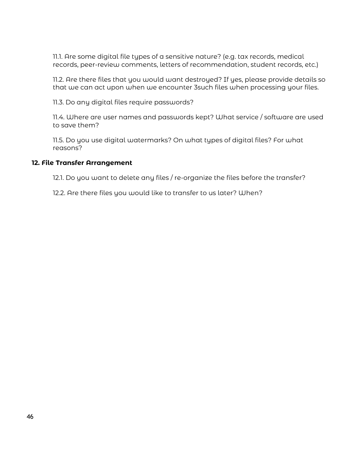11.1. Are some digital file types of a sensitive nature? (e.g. tax records, medical records, peer-review comments, letters of recommendation, student records, etc.)

11.2. Are there files that you would want destroyed? If yes, please provide details so that we can act upon when we encounter 3such files when processing your files.

11.3. Do any digital files require passwords?

11.4. Where are user names and passwords kept? What service / software are used to save them?

11.5. Do you use digital watermarks? On what types of digital files? For what reasons?

#### **12. File Transfer Arrangement**

12.1. Do you want to delete any files / re-organize the files before the transfer?

12.2. Are there files you would like to transfer to us later? When?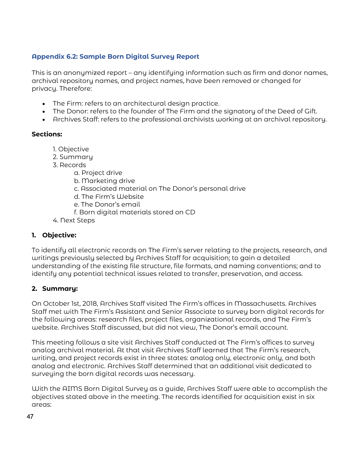## **Appendix 6.2: Sample Born Digital Survey Report**

This is an anonymized report – any identifying information such as firm and donor names, archival repository names, and project names, have been removed or changed for privacy. Therefore:

- The Firm: refers to an architectural design practice.
- The Donor: refers to the founder of The Firm and the signatory of the Deed of Gift.
- Archives Staff: refers to the professional archivists working at an archival repository.

#### **Sections:**

- 1. Objective
- 2. Summary
- 3. Records
	- a. Project drive
	- b. Marketing drive
	- c. Associated material on The Donor's personal drive
	- d. The Firm's Website
	- e. The Donor's email
	- f. Born digital materials stored on CD
- 4. Next Steps

## **1. Objective:**

To identify all electronic records on The Firm's server relating to the projects, research, and writings previously selected by Archives Staff for acquisition; to gain a detailed understanding of the existing file structure, file formats, and naming conventions; and to identify any potential technical issues related to transfer, preservation, and access.

#### **2. Summary:**

On October 1st, 2018, Archives Staff visited The Firm's offices in Massachusetts. Archives Staff met with The Firm's Assistant and Senior Associate to survey born digital records for the following areas: research files, project files, organizational records, and The Firm's website. Archives Staff discussed, but did not view, The Donor's email account.

This meeting follows a site visit Archives Staff conducted at The Firm's offices to survey analog archival material. At that visit Archives Staff learned that The Firm's research, writing, and project records exist in three states: analog only, electronic only, and both analog and electronic. Archives Staff determined that an additional visit dedicated to surveying the born digital records was necessary.

With the AIMS Born Digital Survey as a guide, Archives Staff were able to accomplish the objectives stated above in the meeting. The records identified for acquisition exist in six areas: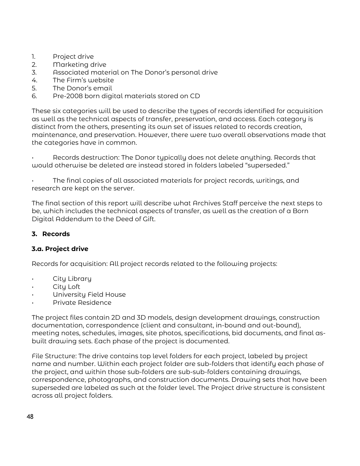- 1. Project drive
- 2. Marketing drive
- 3. Associated material on The Donor's personal drive
- 4. The Firm's website
- 5. The Donor's email
- 6. Pre-2008 born digital materials stored on CD

These six categories will be used to describe the types of records identified for acquisition as well as the technical aspects of transfer, preservation, and access. Each category is distinct from the others, presenting its own set of issues related to records creation, maintenance, and preservation. However, there were two overall observations made that the categories have in common.

• Records destruction: The Donor typically does not delete anything. Records that would otherwise be deleted are instead stored in folders labeled "superseded."

• The final copies of all associated materials for project records, writings, and research are kept on the server.

The final section of this report will describe what Archives Staff perceive the next steps to be, which includes the technical aspects of transfer, as well as the creation of a Born Digital Addendum to the Deed of Gift.

## **3. Records**

#### **3.a. Project drive**

Records for acquisition: All project records related to the following projects:

- City Library
- City Loft
- University Field House
- Private Residence

The project files contain 2D and 3D models, design development drawings, construction documentation, correspondence (client and consultant, in-bound and out-bound), meeting notes, schedules, images, site photos, specifications, bid documents, and final asbuilt drawing sets. Each phase of the project is documented.

File Structure: The drive contains top level folders for each project, labeled by project name and number. Within each project folder are sub-folders that identify each phase of the project, and within those sub-folders are sub-sub-folders containing drawings, correspondence, photographs, and construction documents. Drawing sets that have been superseded are labeled as such at the folder level. The Project drive structure is consistent across all project folders.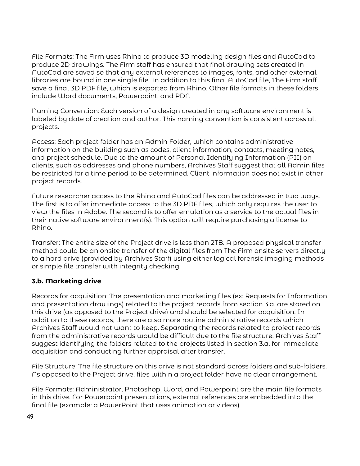File Formats: The Firm uses Rhino to produce 3D modeling design files and AutoCad to produce 2D drawings. The Firm staff has ensured that final drawing sets created in AutoCad are saved so that any external references to images, fonts, and other external libraries are bound in one single file. In addition to this final AutoCad file, The Firm staff save a final 3D PDF file, which is exported from Rhino. Other file formats in these folders include Word documents, Powerpoint, and PDF.

Naming Convention: Each version of a design created in any software environment is labeled by date of creation and author. This naming convention is consistent across all projects.

Access: Each project folder has an Admin Folder, which contains administrative information on the building such as codes, client information, contacts, meeting notes, and project schedule. Due to the amount of Personal Identifying Information (PII) on clients, such as addresses and phone numbers, Archives Staff suggest that all Admin files be restricted for a time period to be determined. Client information does not exist in other project records.

Future researcher access to the Rhino and AutoCad files can be addressed in two ways. The first is to offer immediate access to the 3D PDF files, which only requires the user to view the files in Adobe. The second is to offer emulation as a service to the actual files in their native software environment(s). This option will require purchasing a license to Rhino.

Transfer: The entire size of the Project drive is less than 2TB. A proposed physical transfer method could be an onsite transfer of the digital files from The Firm onsite servers directly to a hard drive (provided by Archives Staff) using either logical forensic imaging methods or simple file transfer with integrity checking.

## **3.b. Marketing drive**

Records for acquisition: The presentation and marketing files (ex: Requests for Information and presentation drawings) related to the project records from section 3.a. are stored on this drive (as opposed to the Project drive) and should be selected for acquisition. In addition to these records, there are also more routine administrative records which Archives Staff would not want to keep. Separating the records related to project records from the administrative records would be difficult due to the file structure. Archives Staff suggest identifying the folders related to the projects listed in section 3.a. for immediate acquisition and conducting further appraisal after transfer.

File Structure: The file structure on this drive is not standard across folders and sub-folders. As opposed to the Project drive, files within a project folder have no clear arrangement.

File Formats: Administrator, Photoshop, Word, and Powerpoint are the main file formats in this drive. For Powerpoint presentations, external references are embedded into the final file (example: a PowerPoint that uses animation or videos).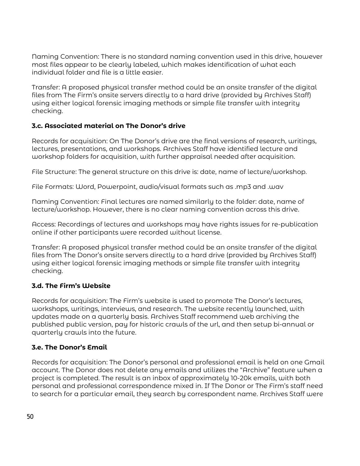Naming Convention: There is no standard naming convention used in this drive, however most files appear to be clearly labeled, which makes identification of what each individual folder and file is a little easier.

Transfer: A proposed physical transfer method could be an onsite transfer of the digital files from The Firm's onsite servers directly to a hard drive (provided by Archives Staff) using either logical forensic imaging methods or simple file transfer with integrity checking.

## **3.c. Associated material on The Donor's drive**

Records for acquisition: On The Donor's drive are the final versions of research, writings, lectures, presentations, and workshops. Archives Staff have identified lecture and workshop folders for acquisition, with further appraisal needed after acquisition.

File Structure: The general structure on this drive is: date, name of lecture/workshop.

File Formats: Word, Powerpoint, audio/visual formats such as .mp3 and .wav

Naming Convention: Final lectures are named similarly to the folder: date, name of lecture/workshop. However, there is no clear naming convention across this drive.

Access: Recordings of lectures and workshops may have rights issues for re-publication online if other participants were recorded without license.

Transfer: A proposed physical transfer method could be an onsite transfer of the digital files from The Donor's onsite servers directly to a hard drive (provided by Archives Staff) using either logical forensic imaging methods or simple file transfer with integrity checking.

#### **3.d. The Firm's Website**

Records for acquisition: The Firm's website is used to promote The Donor's lectures, workshops, writings, interviews, and research. The website recently launched, with updates made on a quarterly basis. Archives Staff recommend web archiving the published public version, pay for historic crawls of the url, and then setup bi-annual or quarterly crawls into the future.

#### **3.e. The Donor's Email**

Records for acquisition: The Donor's personal and professional email is held on one Gmail account. The Donor does not delete any emails and utilizes the "Archive" feature when a project is completed. The result is an inbox of approximately 10-20k emails, with both personal and professional correspondence mixed in. If The Donor or The Firm's staff need to search for a particular email, they search by correspondent name. Archives Staff were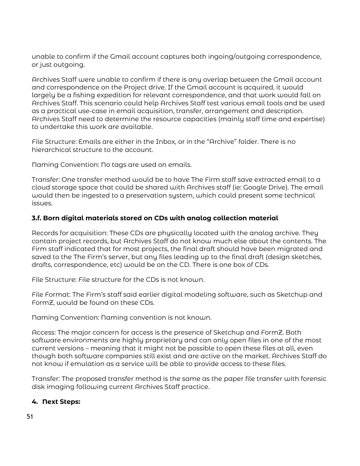unable to confirm if the Gmail account captures both ingoing/outgoing correspondence, or just outgoing.

Archives Staff were unable to confirm if there is any overlap between the Gmail account and correspondence on the Project drive. If the Gmail account is acquired, it would largely be a fishing expedition for relevant correspondence, and that work would fall on Archives Staff. This scenario could help Archives Staff test various email tools and be used as a practical use-case in email acquisition, transfer, arrangement and description. Archives Staff need to determine the resource capacities (mainly staff time and expertise) to undertake this work are available.

File Structure: Emails are either in the Inbox, or in the "Archive" folder. There is no hierarchical structure to the account.

Naming Convention: No tags are used on emails.

Transfer: One transfer method would be to have The Firm staff save extracted email to a cloud storage space that could be shared with Archives staff (ie: Google Drive). The email would then be ingested to a preservation system, which could present some technical issues.

#### **3.f. Born digital materials stored on CDs with analog collection material**

Records for acquisition: These CDs are physically located with the analog archive. They contain project records, but Archives Staff do not know much else about the contents. The Firm staff indicated that for most projects, the final draft should have been migrated and saved to the The Firm's server, but any files leading up to the final draft (design sketches, drafts, correspondence, etc) would be on the CD. There is one box of CDs.

File Structure: File structure for the CDs is not known.

File Format: The Firm's staff said earlier digital modeling software, such as Sketchup and FormZ, would be found on these CDs.

Naming Convention: Naming convention is not known.

Access: The major concern for access is the presence of Sketchup and FormZ. Both software environments are highly proprietary and can only open files in one of the most current versions – meaning that it might not be possible to open these files at all, even though both software companies still exist and are active on the market. Archives Staff do not know if emulation as a service will be able to provide access to these files.

Transfer: The proposed transfer method is the same as the paper file transfer with forensic disk imaging following current Archives Staff practice.

#### **4. Next Steps:**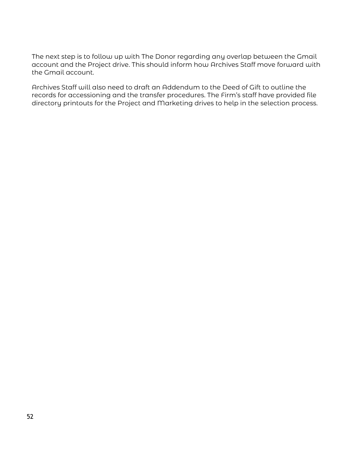The next step is to follow up with The Donor regarding any overlap between the Gmail account and the Project drive. This should inform how Archives Staff move forward with the Gmail account.

Archives Staff will also need to draft an Addendum to the Deed of Gift to outline the records for accessioning and the transfer procedures. The Firm's staff have provided file directory printouts for the Project and Marketing drives to help in the selection process.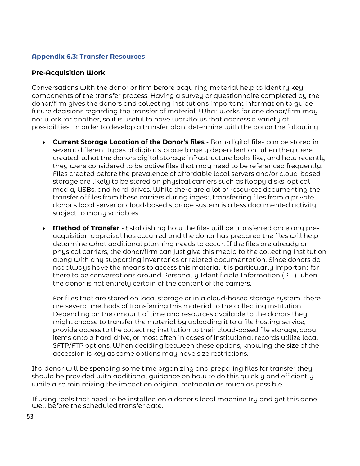#### **Appendix 6.3: Transfer Resources**

#### **Pre-Acquisition Work**

Conversations with the donor or firm before acquiring material help to identify key components of the transfer process. Having a survey or questionnaire completed by the donor/firm gives the donors and collecting institutions important information to guide future decisions regarding the transfer of material. What works for one donor/firm may not work for another, so it is useful to have workflows that address a variety of possibilities. In order to develop a transfer plan, determine with the donor the following:

- **Current Storage Location of the Donor's files** Born-digital files can be stored in several different types of digital storage largely dependent on when they were created, what the donors digital storage infrastructure looks like, and how recently they were considered to be active files that may need to be referenced frequently. Files created before the prevalence of affordable local servers and/or cloud-based storage are likely to be stored on physical carriers such as floppy disks, optical media, USBs, and hard-drives. While there are a lot of resources documenting the transfer of files from these carriers during ingest, transferring files from a private donor's local server or cloud-based storage system is a less documented activity subject to many variables.
- **Method of Transfer**  Establishing how the files will be transferred once any preacquisition appraisal has occurred and the donor has prepared the files will help determine what additional planning needs to occur. If the files are already on physical carriers, the donor/firm can just give this media to the collecting institution along with any supporting inventories or related documentation. Since donors do not always have the means to access this material it is particularly important for there to be conversations around Personally Identifiable Information (PII) when the donor is not entirely certain of the content of the carriers.

For files that are stored on local storage or in a cloud-based storage system, there are several methods of transferring this material to the collecting institution. Depending on the amount of time and resources available to the donors they might choose to transfer the material by uploading it to a file hosting service, provide access to the collecting institution to their cloud-based file storage, copy items onto a hard-drive, or most often in cases of institutional records utilize local SFTP/FTP options. When deciding between these options, knowing the size of the accession is key as some options may have size restrictions.

If a donor will be spending some time organizing and preparing files for transfer they should be provided with additional guidance on how to do this quickly and efficiently while also minimizing the impact on original metadata as much as possible.

If using tools that need to be installed on a donor's local machine try and get this done well before the scheduled transfer date.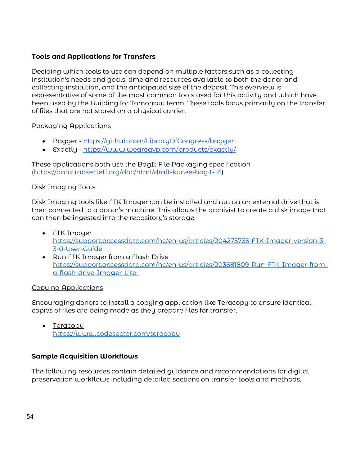## **Tools and Applications for Transfers**

Deciding which tools to use can depend on multiple factors such as a collecting institution's needs and goals, time and resources available to both the donor and collecting institution, and the anticipated size of the deposit. This overview is representative of some of the most common tools used for this activity and which have been used by the Building for Tomorrow team. These tools focus primarily on the transfer of files that are not stored on a physical carrier.

## Packaging Applications

- Bagger -<https://github.com/LibraryOfCongress/bagger>
- Exactly -<https://www.weareavp.com/products/exactly/>

These applications both use the BagIt File Packaging specification [\(https://datatracker.ietf.org/doc/html/draft-kunze-bagit-14\)](https://datatracker.ietf.org/doc/html/draft-kunze-bagit-14)

## Disk Imaging Tools

Disk Imaging tools like FTK Imager can be installed and run on an external drive that is then connected to a donor's machine. This allows the archivist to create a disk image that can then be ingested into the repository's storage.

- FTK Imager [https://support.accessdata.com/hc/en-us/articles/204275735-FTK-Imager-version-3-](https://support.accessdata.com/hc/en-us/articles/204275735-FTK-Imager-version-3-3-0-User-Guide) [3-0-User-Guide](https://support.accessdata.com/hc/en-us/articles/204275735-FTK-Imager-version-3-3-0-User-Guide)
- Run FTK Imager from a Flash Drive [https://support.accessdata.com/hc/en-us/articles/203681809-Run-FTK-Imager-from](https://support.accessdata.com/hc/en-us/articles/203681809-Run-FTK-Imager-from-a-flash-drive-Imager-Lite-)[a-flash-drive-Imager-Lite-](https://support.accessdata.com/hc/en-us/articles/203681809-Run-FTK-Imager-from-a-flash-drive-Imager-Lite-)

#### Copying Applications

Encouraging donors to install a copying application like Teracopy to ensure identical copies of files are being made as they prepare files for transfer.

• Teracopy <https://www.codesector.com/teracopy>

## **Sample Acquisition Workflows**

The following resources contain detailed guidance and recommendations for digital preservation workflows including detailed sections on transfer tools and methods.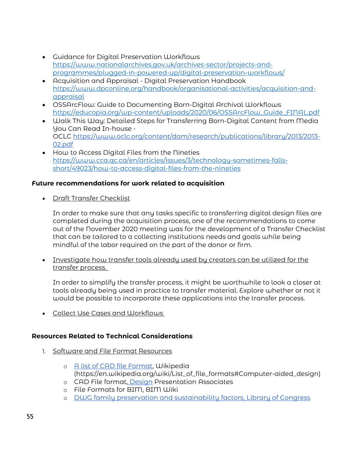- Guidance for Digital Preservation Workflows [https://www.nationalarchives.gov.uk/archives-sector/projects-and](https://www.nationalarchives.gov.uk/archives-sector/projects-and-programmes/plugged-in-powered-up/digital-preservation-workflows/)[programmes/plugged-in-powered-up/digital-preservation-workflows/](https://www.nationalarchives.gov.uk/archives-sector/projects-and-programmes/plugged-in-powered-up/digital-preservation-workflows/)
- Acquisition and Appraisal Digital Preservation Handbook [https://www.dpconline.org/handbook/organisational-activities/acquisition-and](https://www.dpconline.org/handbook/organisational-activities/acquisition-and-appraisal)[appraisal](https://www.dpconline.org/handbook/organisational-activities/acquisition-and-appraisal)
- OSSArcFlow: Guide to Documenting Born-Digital Archival Workflows [https://educopia.org/wp-content/uploads/2020/06/OSSArcFlow\\_Guide\\_FINAL.pdf](https://educopia.org/wp-content/uploads/2020/06/OSSArcFlow_Guide_FINAL.pdf)
- Walk This Way: Detailed Steps for Transferring Born-Digital Content from Media You Can Read In-house - OCLC [https://www.oclc.org/content/dam/research/publications/library/2013/2013-](https://www.oclc.org/content/dam/research/publications/library/2013/2013-02.pdf) [02.pdf](https://www.oclc.org/content/dam/research/publications/library/2013/2013-02.pdf)
- How to Access Digital Files from the Nineties [https://www.cca.qc.ca/en/articles/issues/3/technology-sometimes-falls](https://www.cca.qc.ca/en/articles/issues/3/technology-sometimes-falls-short/49023/how-to-access-digital-files-from-the-nineties)[short/49023/how-to-access-digital-files-from-the-nineties](https://www.cca.qc.ca/en/articles/issues/3/technology-sometimes-falls-short/49023/how-to-access-digital-files-from-the-nineties)

## **Future recommendations for work related to acquisition**

• Draft Transfer Checklist

In order to make sure that any tasks specific to transferring digital design files are completed during the acquisition process, one of the recommendations to come out of the November 2020 meeting was for the development of a Transfer Checklist that can be tailored to a collecting institutions needs and goals while being mindful of the labor required on the part of the donor or firm.

• Investigate how transfer tools already used by creators can be utilized for the transfer process.

In order to simplify the transfer process, it might be worthwhile to look a closer at tools already being used in practice to transfer material. Explore whether or not it would be possible to incorporate these applications into the transfer process.

• Collect Use Cases and Workflows

## **Resources Related to Technical Considerations**

- 1. Software and File Format Resources
	- o [A list of CAD file Format,](https://en.wikipedia.org/wiki/List_of_file_formats#Computer-aided_design) Wikipedia (https://en.wikipedia.org/wiki/List\_of\_file\_formats#Computer-aided\_design)
	- o CAD File format, [Design](https://www.designpresentation.com/blog/cad-file-formats/) Presentation Associates
	- o File Formats for BIM, BIM Wiki
	- o [DWG family preservation and sustainability factors, Library of Congress](https://www.loc.gov/preservation/digital/formats/fdd/fdd000445.shtml)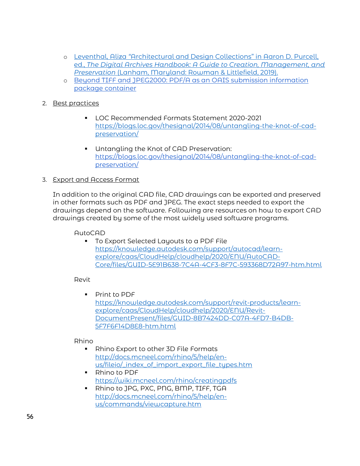- o Leventhal, Aliza *"*[Architectural and Design Collections" in Aaron D. Purcell,](https://rowman.com/ISBN/9781538122389/The-Digital-Archives-Handbook-A-Guide-to-Creation-Management-and-Preservation) ed., *[The Digital Archives Handbook: A Guide to Creation, Management, and](https://rowman.com/ISBN/9781538122389/The-Digital-Archives-Handbook-A-Guide-to-Creation-Management-and-Preservation)  Preservation* [\(Lanham, Maryland: Rowman & Littlefield, 2019\).](https://rowman.com/ISBN/9781538122389/The-Digital-Archives-Handbook-A-Guide-to-Creation-Management-and-Preservation)
- o [Beyond TIFF and JPEG2000: PDF/A as an OAIS submission information](https://www.researchgate.net/publication/283197706_Beyond_TIFF_and_JPEG2000_PDFA_as_an_OAIS_submission_information_package_container) [package container](https://www.researchgate.net/publication/283197706_Beyond_TIFF_and_JPEG2000_PDFA_as_an_OAIS_submission_information_package_container)
- 2. Best practices
	- LOC Recommended Formats Statement 2020-2021 [https://blogs.loc.gov/thesignal/2014/08/untangling-the-knot-of-cad](https://blogs.loc.gov/thesignal/2014/08/untangling-the-knot-of-cad-preservation/)[preservation/](https://blogs.loc.gov/thesignal/2014/08/untangling-the-knot-of-cad-preservation/)
	- **Untangling the Knot of CAD Preservatio[n:](https://blogs.loc.gov/thesignal/2014/08/untangling-the-knot-of-cad-preservation/)** [https://blogs.loc.gov/thesignal/2014/08/untangling-the-knot-of-cad](https://blogs.loc.gov/thesignal/2014/08/untangling-the-knot-of-cad-preservation/)[preservation/](https://blogs.loc.gov/thesignal/2014/08/untangling-the-knot-of-cad-preservation/)
- 3. Export and Access Format

In addition to the original CAD file, CAD drawings can be exported and preserved in other formats such as PDF and JPEG. The exact steps needed to export the drawings depend on the software. Following are resources on how to export CAD drawings created by some of the most widely used software programs.

AutoCAD

**To Export Selected Layouts to a PDF File** [https://knowledge.autodesk.com/support/autocad/learn](https://knowledge.autodesk.com/support/autocad/learn-explore/caas/CloudHelp/cloudhelp/2020/ENU/AutoCAD-Core/files/GUID-5E91B638-7C4A-4CF3-8F7C-593368D72A97-htm.html)[explore/caas/CloudHelp/cloudhelp/2020/ENU/AutoCAD-](https://knowledge.autodesk.com/support/autocad/learn-explore/caas/CloudHelp/cloudhelp/2020/ENU/AutoCAD-Core/files/GUID-5E91B638-7C4A-4CF3-8F7C-593368D72A97-htm.html)[Core/files/GUID-5E91B638-7C4A-4CF3-8F7C-593368D72A97-htm.html](https://knowledge.autodesk.com/support/autocad/learn-explore/caas/CloudHelp/cloudhelp/2020/ENU/AutoCAD-Core/files/GUID-5E91B638-7C4A-4CF3-8F7C-593368D72A97-htm.html)

Revit

**Print to PDF** [https://knowledge.autodesk.com/support/revit-products/learn](https://knowledge.autodesk.com/support/revit-products/learn-explore/caas/CloudHelp/cloudhelp/2020/ENU/Revit-DocumentPresent/files/GUID-8B7424DD-C07A-4FD7-B4DB-5F7F6F14D8E8-htm.html)[explore/caas/CloudHelp/cloudhelp/2020/ENU/Revit-](https://knowledge.autodesk.com/support/revit-products/learn-explore/caas/CloudHelp/cloudhelp/2020/ENU/Revit-DocumentPresent/files/GUID-8B7424DD-C07A-4FD7-B4DB-5F7F6F14D8E8-htm.html)[DocumentPresent/files/GUID-8B7424DD-C07A-4FD7-B4DB-](https://knowledge.autodesk.com/support/revit-products/learn-explore/caas/CloudHelp/cloudhelp/2020/ENU/Revit-DocumentPresent/files/GUID-8B7424DD-C07A-4FD7-B4DB-5F7F6F14D8E8-htm.html)[5F7F6F14D8E8-htm.html](https://knowledge.autodesk.com/support/revit-products/learn-explore/caas/CloudHelp/cloudhelp/2020/ENU/Revit-DocumentPresent/files/GUID-8B7424DD-C07A-4FD7-B4DB-5F7F6F14D8E8-htm.html)

Rhino

- Rhino Export to other 3D File Formats [http://docs.mcneel.com/rhino/5/help/en](http://docs.mcneel.com/rhino/5/help/en-us/fileio/_index_of_import_export_file_types.htm)[us/fileio/\\_index\\_of\\_import\\_export\\_file\\_types.htm](http://docs.mcneel.com/rhino/5/help/en-us/fileio/_index_of_import_export_file_types.htm)
- Rhino to PDF <https://wiki.mcneel.com/rhino/creatingpdfs>
- Rhino to JPG, PXC, PNG, BMP, TIFF, TGA [http://docs.mcneel.com/rhino/5/help/en](http://docs.mcneel.com/rhino/5/help/en-us/commands/viewcapture.htm)[us/commands/viewcapture.htm](http://docs.mcneel.com/rhino/5/help/en-us/commands/viewcapture.htm)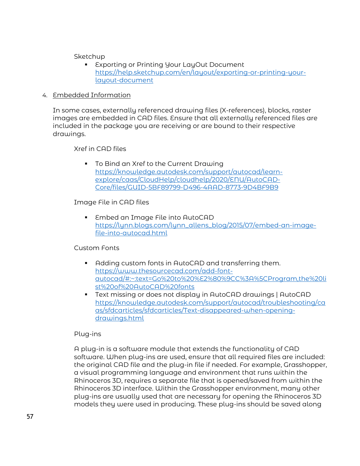**Sketchup** 

- **Exporting or Printing Your LayOut Document** [https://help.sketchup.com/en/layout/exporting-or-printing-your](https://help.sketchup.com/en/layout/exporting-or-printing-your-layout-document)[layout-document](https://help.sketchup.com/en/layout/exporting-or-printing-your-layout-document)
- 4. Embedded Information

In some cases, externally referenced drawing files (X-references), blocks, raster images are embedded in CAD files. Ensure that all externally referenced files are included in the package you are receiving or are bound to their respective drawings.

Xref in CAD files

 To Bind an Xref to the Current Drawing [https://knowledge.autodesk.com/support/autocad/learn](https://knowledge.autodesk.com/support/autocad/learn-explore/caas/CloudHelp/cloudhelp/2020/ENU/AutoCAD-Core/files/GUID-5BF89799-D496-4AAD-8773-9D4BF9B9)[explore/caas/CloudHelp/cloudhelp/2020/ENU/AutoCAD-](https://knowledge.autodesk.com/support/autocad/learn-explore/caas/CloudHelp/cloudhelp/2020/ENU/AutoCAD-Core/files/GUID-5BF89799-D496-4AAD-8773-9D4BF9B9)[Core/files/GUID-5BF89799-D496-4AAD-8773-9D4BF9B9](https://knowledge.autodesk.com/support/autocad/learn-explore/caas/CloudHelp/cloudhelp/2020/ENU/AutoCAD-Core/files/GUID-5BF89799-D496-4AAD-8773-9D4BF9B9)

Image File in CAD files

 Embed an Image File into AutoCAD [https://lynn.blogs.com/lynn\\_allens\\_blog/2015/07/embed-an-image](https://lynn.blogs.com/lynn_allens_blog/2015/07/embed-an-image-file-into-autocad.html)[file-into-autocad.html](https://lynn.blogs.com/lynn_allens_blog/2015/07/embed-an-image-file-into-autocad.html)

Custom Fonts

- Adding custom fonts in AutoCAD and transferring them. [https://www.thesourcecad.com/add-font](https://www.thesourcecad.com/add-font-autocad/#:%7E:text=Go%20to%20%E2%80%9CC%3A%5CProgram,the%20list%20of%20AutoCAD%20fonts)[autocad/#:~:text=Go%20to%20%E2%80%9CC%3A%5CProgram,the%20li](https://www.thesourcecad.com/add-font-autocad/#:%7E:text=Go%20to%20%E2%80%9CC%3A%5CProgram,the%20list%20of%20AutoCAD%20fonts) [st%20of%20AutoCAD%20fonts](https://www.thesourcecad.com/add-font-autocad/#:%7E:text=Go%20to%20%E2%80%9CC%3A%5CProgram,the%20list%20of%20AutoCAD%20fonts)
- Text missing or does not display in AutoCAD drawings | AutoCAD [https://knowledge.autodesk.com/support/autocad/troubleshooting/ca](https://knowledge.autodesk.com/support/autocad/troubleshooting/caas/sfdcarticles/sfdcarticles/Text-disappeared-when-opening-drawings.html) [as/sfdcarticles/sfdcarticles/Text-disappeared-when-opening](https://knowledge.autodesk.com/support/autocad/troubleshooting/caas/sfdcarticles/sfdcarticles/Text-disappeared-when-opening-drawings.html)[drawings.html](https://knowledge.autodesk.com/support/autocad/troubleshooting/caas/sfdcarticles/sfdcarticles/Text-disappeared-when-opening-drawings.html)

#### Plug-ins

A plug-in is a software module that extends the functionality of CAD software. When plug-ins are used, ensure that all required files are included: the original CAD file and the plug-in file if needed. For example, Grasshopper, a visual programming language and environment that runs within the Rhinoceros 3D, requires a separate file that is opened/saved from within the Rhinoceros 3D interface. Within the Grasshopper environment, many other plug-ins are usually used that are necessary for opening the Rhinoceros 3D models they were used in producing. These plug-ins should be saved along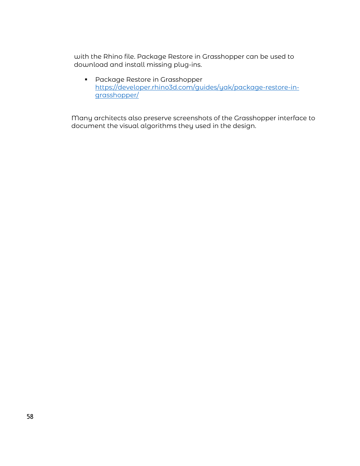with the Rhino file. Package Restore in Grasshopper can be used to download and install missing plug-ins.

**•** Package Restore in Grasshopper [https://developer.rhino3d.com/guides/yak/package-restore-in](https://developer.rhino3d.com/guides/yak/package-restore-in-grasshopper/)[grasshopper/](https://developer.rhino3d.com/guides/yak/package-restore-in-grasshopper/)

Many architects also preserve screenshots of the Grasshopper interface to document the visual algorithms they used in the design.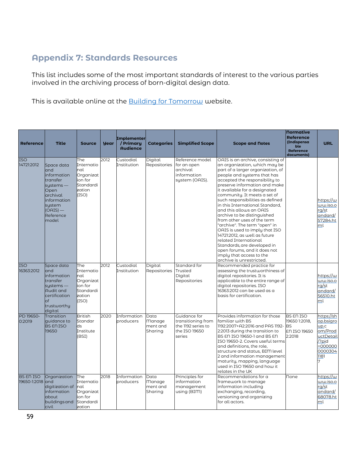## **Appendix 7: Standards Resources**

This list includes some of the most important standards of interest to the various parties involved in the archiving process of born-digital design data.

This is available online at the **Building for Tomorrow** website.

| <b>Reference</b>                 | <b>Title</b>                                                                                                                                      | <b>Source</b>                                                                    | <b>year</b> | <b>Implementer</b><br>/ Primary<br><b>Audience</b> | <b>Categories</b>                            | <b>Simplified Scope</b>                                                             | <b>Scope and Notes</b>                                                                                                                                                                                                                                                                                                                                                                                                                                                                                                                                                                                                                                                                         | <b>Normative</b><br><b>Reference</b><br><b>(Indispensa)</b><br>ble<br><b>Reference</b><br>documents) | <b>URL</b>                                                                                                    |
|----------------------------------|---------------------------------------------------------------------------------------------------------------------------------------------------|----------------------------------------------------------------------------------|-------------|----------------------------------------------------|----------------------------------------------|-------------------------------------------------------------------------------------|------------------------------------------------------------------------------------------------------------------------------------------------------------------------------------------------------------------------------------------------------------------------------------------------------------------------------------------------------------------------------------------------------------------------------------------------------------------------------------------------------------------------------------------------------------------------------------------------------------------------------------------------------------------------------------------------|------------------------------------------------------------------------------------------------------|---------------------------------------------------------------------------------------------------------------|
| <b>ISO</b><br>14721:2012         | Space data<br>and<br>information<br>transfer<br>systems -<br>Open<br>archival<br><i>information</i><br>system<br>$(OAIS)$ —<br>Reference<br>model | The<br>Internatio<br>nal<br>Organizat<br>ion for<br>Standardi<br>zation<br>(ISO) | 2012        | Custodial<br>Institution                           | Digital<br>Repositories                      | Reference model<br>for an open<br>archival<br>information<br>system (OAIS).         | OAIS is an archive, consisting of<br>an organization, which may be<br>part of a larger organization, of<br>people and systems that has<br>accepted the responsibility to<br>preserve information and make<br>it available for a designated<br>community. It meets a set of<br>such responsibilities as defined<br>in this International Standard,<br>and this allows an OAIS<br>archive to be distinguished<br>from other uses of the term<br>"archive". The term "open" in<br>OAIS is used to imply that ISO<br>14721:2012, as well as future<br>related International<br>Standards, are developed in<br>open forums, and it does not<br>imply that access to the<br>archive is unrestricted. |                                                                                                      | https://w<br>ww.iso.o<br>rq/st<br>andard/<br>57284.ht<br>ml                                                   |
| <b>ISO</b><br>16363:2012         | Space data<br>and<br>information<br>transfer<br>systems -<br>Audit and<br>certification<br>$\circ$ f<br>trustworthy<br>digital                    | The<br>Internatio<br>nal<br>Organizat<br>ion for<br>Standardi<br>zation<br>(ISO) | 2012        | Custodial<br>Institution                           | Digital<br>Repositories                      | Standard for<br>Trusted<br>Digital<br>Repositories                                  | Recommended practice for<br>assessing the trustworthiness of<br>digital repositories. It is<br>applicable to the entire range of<br>digital repositories. ISO<br>16363:2012 can be used as a<br>basis for certification.                                                                                                                                                                                                                                                                                                                                                                                                                                                                       |                                                                                                      | https://w<br>ww.iso.o<br>rq/st<br>andard/<br>56510.ht<br>ml                                                   |
| PD 19650-<br>0:2019              | Transition<br>quidance to<br><b>BS EN ISO</b><br>19650                                                                                            | <b>British</b><br>Standar<br>lds<br>Institute<br>(BSI)                           | 2020        | Information<br>producers                           | Data<br><b>Manage</b><br>ment and<br>Sharing | Guidance for<br>transitioning from<br>the 1192 series to<br>the ISO 19650<br>series | Provides information for those<br>familiar with BS<br>1192:2007+A2:2016 and PAS 1192-<br>2:2013 during the transition to<br>BS EN ISO 19650-1 and BS EN<br>ISO 19650-2. Covers useful terms<br>and definitions, the role,<br>structure and status, BIM level<br>2 and information management<br>maturity, mapping, language<br>used in ISO 19650 and how it<br>relates in the UK                                                                                                                                                                                                                                                                                                               | BS EN ISO<br>19650 1:2018.<br><b>BS</b><br>EN ISO 19650<br>2:2018                                    | https://sh<br>op.bsigro<br>up.c<br>om/Prod<br>uctDetail<br>/?pid<br>$=000000$<br>0000304<br><u> 1181</u><br>7 |
| <b>BS EN ISO</b><br>19650-1:2018 | Organization<br>land<br>digitization of<br>information<br>about<br>buildings and<br>civil                                                         | The<br>Internatio<br>Inal<br>Organizat<br>ion for<br>Standardi<br>zation         | 2018        | Information<br>producers                           | Data<br><b>Manage</b><br>ment and<br>Sharing | Principles for<br>information<br>management<br>using (BIM)                          | Recommendations for a<br>framework to manage<br>information including<br>exchanging, recording,<br>versioning and organizing<br>for all actors.                                                                                                                                                                                                                                                                                                                                                                                                                                                                                                                                                | None                                                                                                 | https://w<br>ww.iso.o<br>rg/st<br>andard/<br>68078.ht<br>ml                                                   |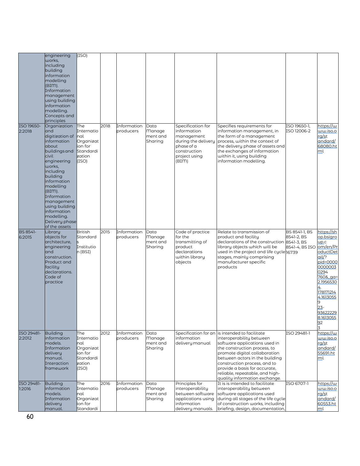|                           | engineering<br>works,<br>including<br>building<br>information<br>modelling<br>(BIM).<br>Information<br>management<br>using building<br>information<br>modelling.<br>Concepts and<br>principles                                                                                                  | (ISO)                                                                             |      |                          |                                              |                                                                                                                               |                                                                                                                                                                                                                                                                                                                                                     |                                               |                                                                                                                                                                                                      |
|---------------------------|-------------------------------------------------------------------------------------------------------------------------------------------------------------------------------------------------------------------------------------------------------------------------------------------------|-----------------------------------------------------------------------------------|------|--------------------------|----------------------------------------------|-------------------------------------------------------------------------------------------------------------------------------|-----------------------------------------------------------------------------------------------------------------------------------------------------------------------------------------------------------------------------------------------------------------------------------------------------------------------------------------------------|-----------------------------------------------|------------------------------------------------------------------------------------------------------------------------------------------------------------------------------------------------------|
| ISO 19650-<br>2:2018      | Organization<br>and<br>digitization of<br>information<br>about<br>buildings and<br>civil<br>engineering<br>works,<br>including<br>building<br>information<br>modelling<br>(BIM).<br>Information<br>management<br>using building<br>information<br>modelling.<br>Delivery phase<br>of the assets | The<br>Internatio<br>Inal<br>Organizat<br>ion for<br>Standardi<br>zation<br>(ISO) | 2018 | Information<br>producers | Data<br><b>Manage</b><br>ment and<br>Sharing | Specification for<br>information<br>management<br>during the delivery<br>phase of a<br>construction<br>project using<br>(BIM) | Specifies requirements for<br>information management, in<br>the form of a management<br>process, within the context of<br>the delivery phase of assets and<br>the exchanges of information<br>within it, using building<br>information modelling.                                                                                                   | ISO 19650-1.<br>ISO 12006-2                   | https://w<br>ww.iso.o<br>rg/st<br>andard/<br>68080.ht<br>ml                                                                                                                                          |
| <b>BS 8541-</b><br>6:2015 | Library<br>objects for<br>architecture,<br>engineering<br>and<br>construction.<br>Product and<br>facility<br>declarations.<br>Code of<br>practice                                                                                                                                               | <b>British</b><br>Standard<br>Institutio<br>n (BSI)                               | 2015 | Information<br>producers | Data<br><b>Manage</b><br>ment and<br>Sharing | Code of practice<br>for the<br>transmitting of<br>product<br>declarations<br>within library<br>objects                        | Relate to transmission of<br>product and facility<br>declarations of the construction 8541-3, BS<br>library objects which will be<br>used in the project and life cycle 16739<br>stages, mainly comprising<br>manufacturer specific<br>products                                                                                                     | BS 8541-1, BS<br>8541-2, BS<br>8541-4, BS ISO | https://sh<br>op.bsigro<br>up.c<br>om/en/Pr<br>oductDet<br>ail/?<br>pid=0000<br>0000003<br>0294<br>$7608$ $qa=$<br>2.1956530<br>178171214<br>4.1613055<br>$23 -$<br>93622229<br>8.1613055<br>92<br>3 |
| ISO 29481-<br>2:2012      | <b>Building</b><br>information<br>models.<br>Information<br>delivery<br>manual.<br>Interaction<br>framework                                                                                                                                                                                     | The<br>Internatio<br>nal<br>Organizat<br>ion for<br>Standardi<br>zation<br>(ISO)  | 2012 | Information<br>producers | Data<br>Manage<br>ment and<br>Sharing        | information<br>delivery manual                                                                                                | Specification for an is intended to facilitate<br>interoperability between<br>software applications used in<br>the construction process, to<br>promote digital collaboration<br>between actors in the building<br>construction process, and to<br>provide a basis for accurate,<br>reliable, repeatable, and high-<br>quality information exchange. | ISO 29481-1                                   | https://w<br>ww.iso.o<br>rq/st<br>andard/<br>55691.ht<br>ml                                                                                                                                          |
| ISO 29481-<br>1:2016      | <b>Building</b><br>information<br>models.<br>Information<br>delivery<br>manual.                                                                                                                                                                                                                 | The<br>Internatio<br>nal<br>Organizat<br>ion for<br>Standardi                     | 2016 | Information<br>producers | Data<br>Manage<br>ment and<br>Sharing        | Principles for<br>interoperability<br>between software<br>applications using<br>information<br>delivery manuals.              | It is is intended to facilitate<br>interoperability between<br>software applications used<br>during all stages of the life cycle<br>of construction works, including<br>briefing, design, documentation,                                                                                                                                            | ISO 6707-1                                    | https://w<br>o.ozi.wu<br>rq/st<br>andard/<br>60553.ht<br>ml                                                                                                                                          |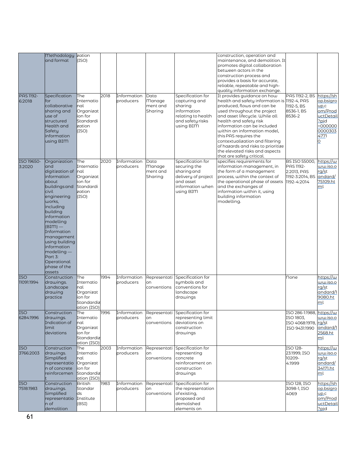|                            | <b>Methodology</b><br>and format                                                                                                                                                                                                                                                                                    | zation<br>(ISO)                                                                      |      |                          |                                       |                                                                                                                       | construction, operation and<br>maintenance, and demolition. It<br>promotes digital collaboration<br>between actors in the<br>construction process and<br>provides a basis for accurate,<br>reliable, repeatable and high-<br>quality information exchange.                                                                                                                                                                           |                                                                             |                                                                                                           |
|----------------------------|---------------------------------------------------------------------------------------------------------------------------------------------------------------------------------------------------------------------------------------------------------------------------------------------------------------------|--------------------------------------------------------------------------------------|------|--------------------------|---------------------------------------|-----------------------------------------------------------------------------------------------------------------------|--------------------------------------------------------------------------------------------------------------------------------------------------------------------------------------------------------------------------------------------------------------------------------------------------------------------------------------------------------------------------------------------------------------------------------------|-----------------------------------------------------------------------------|-----------------------------------------------------------------------------------------------------------|
| <b>PAS 1192-</b><br>6:2018 | Specification<br>or<br>collaborative<br>sharing and<br>use of<br>structured<br>Health and<br>Safety<br>information<br>using BIM                                                                                                                                                                                     | The<br>Internatio<br>nal<br>Organizat<br>ion for<br>Standardi<br>zation<br>(ISO)     | 2018 | Information<br>producers | Data<br>Manage<br>ment and<br>Sharing | Specification for<br>capturing and<br>sharing<br>information<br>relating to health<br>and safety risks<br>using BIM   | It provides guidance on how<br>health and safety information is 1192-4, PAS<br>produced, flows and can be<br>used throughout the project<br>and asset lifecycle. While all<br>health and safety risk<br>information can be included<br>within an information model,<br>this PAS requires the<br>contextualization and filtering<br>of hazards and risks to prioritize<br>the elevated risks and aspects<br>that are safety critical. | PAS 1192-2, BS<br>1192-5, BS<br>8536-1, BS<br>8536-2                        | https://sh<br>op.bsigro<br>up.c<br>om/Prod<br><u>uctDetail</u><br>?pid<br>-000000<br>0000303<br>4771<br>O |
| ISO 19650-<br>3:2020       | Organization<br>and<br>digitization of<br>information<br>about<br>buildings and<br>civil<br>engineering<br>works,<br>including<br>building<br>information<br>modelling<br>$(BIM)$ —<br>Information<br>management<br>using building<br>information<br>modelling-<br>Part 3:<br>Operational<br>phase of the<br>assets | The<br>Internatio<br>Inal<br>Organizat<br>ion for<br>Standardi<br>zation<br>(ISO)    | 2020 | Information<br>producers | Data<br>Manage<br>ment and<br>Sharing | Specification for<br>securing the<br>sharing and<br>delivery of project<br>and asset<br>information when<br>using BIM | specifies requirements for<br>information management, in<br>the form of a management<br>process, within the context of<br>the operational phase of assets<br>and the exchanges of<br>information within it, using<br>building information<br>modelling.                                                                                                                                                                              | BS ISO 55000,<br>PAS 1192-<br>2:2013, PAS<br>1192-3:2014, BS<br>1192-4:2014 | https://w<br><u>ww.iso.o</u><br>rg/st<br>andard/<br>75109.ht<br>ml                                        |
| <b>ISO</b><br>11091:1994   | Construction<br>drawings.<br>Landscape<br>drawing<br>practice                                                                                                                                                                                                                                                       | <b>The</b><br>Internatio<br>nal<br>Organizat<br>ion for<br>Standardiz<br>ation (ISO) | 1994 | Information<br>producers | Representati<br>on<br>conventions     | Specification for<br>sumbols and<br>conventions for<br>landscape<br>drawings                                          |                                                                                                                                                                                                                                                                                                                                                                                                                                      | none                                                                        | https://w<br><u>ww.iso.o</u><br>rg/st<br>andard/1<br>9080.ht<br>ml                                        |
| <b>ISO</b><br>6284:1996    | Construction<br>drawings.<br>Indication of<br>limit<br>deviations                                                                                                                                                                                                                                                   | The<br>Internatio<br>Inal<br>Organizat<br>ion for<br>Standardiz<br>ation (ISO)       | 1996 | producers                | on<br>conventions                     | Information Representati Specification for<br>representing limit<br>deviations on<br>construction<br>drawings         |                                                                                                                                                                                                                                                                                                                                                                                                                                      | ISO 286-1:1988, https://w<br>ISO 1803,<br>ISO 4068:1978,<br>ISO 9431:1990   | ww.iso.o<br>rg/st<br>andard/1<br>2568.ht<br>ml                                                            |
| <b>ISO</b><br>3766:2003    | Construction<br>drawings.<br>Simplified<br>representatio<br>n of concrete<br>einforcemen                                                                                                                                                                                                                            | The<br>Internatio<br>nal<br>Organizat<br>ion for<br>Standardiz<br>ation (ISO)        | 2003 | Information<br>producers | Representati<br>on<br>conventions     | Specification for<br>representing<br>concrete<br>reinforcement on<br>construction<br>drawings                         |                                                                                                                                                                                                                                                                                                                                                                                                                                      | ISO 128-<br>23:1999. ISO<br>10209-<br>4:1999                                | https://w<br>o.ozi.ww<br>rg/st<br>andard/<br>34171.ht<br>ml                                               |
| <b>ISO</b><br>7518:1983    | Construction<br>drawings.<br>Simplified<br>representatio<br>n of<br>demolition                                                                                                                                                                                                                                      | <b>British</b><br>Standar<br>ds<br>Institute<br>(BSI)                                | 1983 | Information<br>producers | Representati<br>on<br>conventions     | Specification for<br>the representation<br>of existing,<br>proposed and<br>demolished<br>elements on                  |                                                                                                                                                                                                                                                                                                                                                                                                                                      | ISO 128, ISO<br>3098-1, ISO<br>4069                                         | https://sh<br>op.bsigro<br>up.c<br>om/Prod<br>uctDetail<br>?pid                                           |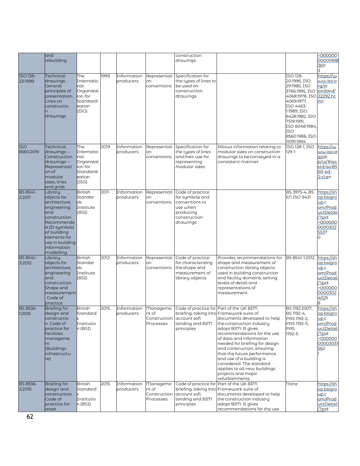|                           | and<br>rebuilding                                                                                                                                                                          |                                                                                  |      |                          |                                                                    | construction<br>drawings.                                                                                  |                                                                                                                                                                                                                                                                                                                                                                                                                       |                                                                                                                                                                                                                                 | $=000000$<br>00001998<br>360                                                                                       |
|---------------------------|--------------------------------------------------------------------------------------------------------------------------------------------------------------------------------------------|----------------------------------------------------------------------------------|------|--------------------------|--------------------------------------------------------------------|------------------------------------------------------------------------------------------------------------|-----------------------------------------------------------------------------------------------------------------------------------------------------------------------------------------------------------------------------------------------------------------------------------------------------------------------------------------------------------------------------------------------------------------------|---------------------------------------------------------------------------------------------------------------------------------------------------------------------------------------------------------------------------------|--------------------------------------------------------------------------------------------------------------------|
| ISO 128-<br>23:1999       | Technical<br>drawings.<br>General<br>principles of<br>presentation.<br>Lines on<br>constructio<br>drawings                                                                                 | The<br>Internatio<br>nal<br>Organizat<br>ion for<br>Standardi<br>zation<br>(ISO) | 1999 | Information<br>producers | Representati<br>on<br>conventions                                  | Specification for<br>the types of lines to<br>be used on<br>construction<br>drawings.                      |                                                                                                                                                                                                                                                                                                                                                                                                                       | ISO 128-<br>20:1996, ISO<br>29:1985, ISO<br>3766:1995, ISO<br>4068:1978, ISO 22292.ht<br>4069:1977,<br>ISO 4463-<br>1:1989, ISO<br>6428:1982, ISO<br>7519:1991,<br>ISO 8048:1984,<br><b>ISO</b><br>8560:1986, ISO<br>11091:1994 | https://w<br><u>ww.iso.o</u><br>ra/st<br>andard/<br>ml                                                             |
| ISO<br>8560:2019          | Technical<br>drawings --<br>Construction<br>drawings --<br>Representati<br>on of<br>modular<br>sizes, lines<br>and grids                                                                   | The<br>Internatio<br>nal<br>Organizat<br>ion for<br>Standardi<br>zation<br>(ISO) | 2019 | Information<br>producers | Representati<br>on<br>conventions                                  | Specification for<br>the types of lines<br>and their use for<br>representing<br>modular sizes              | Allows information relating to<br>modular sizes on construction<br>drawings to be conveyed in a<br>consistent manner                                                                                                                                                                                                                                                                                                  | ISO 128-1, ISO<br>$129-1$                                                                                                                                                                                                       | https://w<br>ww.iso.or<br>$g$ /ob<br>p/ui/#iso:<br>std:iso:85<br>60:ed-<br>2:v1:en                                 |
| <b>BS 8541-</b><br>2:2011 | Library<br>objects for<br>architecture,<br>engineering<br>and<br>construction.<br>Recommende<br>d 2D symbols<br>of building<br>elements for<br>use in building<br>information<br>modelling | <b>British</b><br>Standar<br>ds<br>Institute<br>(BSI)                            | 2011 | Information<br>producers | Representati<br>on<br>conventions                                  | Code of practice<br>for symbols and<br>conventions to<br>use when<br>producing<br>construction<br>drawings |                                                                                                                                                                                                                                                                                                                                                                                                                       | BS 3975-4. BS<br>EN ISO 9431                                                                                                                                                                                                    | https://sh<br>op.bsigro<br>up.c<br>om/Prod<br>uctDetail<br>?pid<br>$=000000$<br>0000302<br>5537<br>0               |
| <b>BS 8541-</b><br>3:2012 | Library<br>objects for<br>architecture,<br>engineering<br>and<br>construction.<br>Shape and<br>measurement<br>Code of<br>practice                                                          | <b>British</b><br>Standar<br>lds.<br>Institute<br>(BSI)                          | 2012 | Information<br>producers | Representati<br>on<br>conventions                                  | Code of practice<br>for characterizing<br>the shape and<br>measurement of<br>library objects               | Provides recommendations for<br>shape and measurement of<br>construction library objects<br>used in building construction<br>and facility domains, setting<br>levels of detail and<br>representations of<br>measurement.                                                                                                                                                                                              | BS 8541-1:2012                                                                                                                                                                                                                  | https://sh<br><u>op.bsigro</u><br>up.c<br>om/Prod<br><u>uctDetail</u><br>?pid<br>$=000000$<br>0000302<br>4025<br>8 |
| <b>BS 8536-</b><br>1:2015 | <b>Briefing for</b><br>design and<br>constructio<br>n. Code of<br>practice for<br>facilities<br>manageme<br>nt<br>(Buildings<br>infrastructu<br>re)                                        | <b>British</b><br>Standard<br>ls.<br>Institutio<br>n (BSI)                       | 2015 | Information<br>producers | <b>Manageme</b><br>nt of<br>Construction account soft<br>Processes | Code of practice for Part of the UK BIM<br>landing and BIM<br>principles                                   | briefing; taking into Framework suite of<br>documents developed to help<br>the construction industry<br>adopt BIM. It gives<br>recommendations for the use<br>of data and information<br>needed for briefing for design<br>and construction, ensuring<br>that the future performance<br>and use of a building is<br>considered. The standard<br>applies to all new buildings<br>projects and major<br>refurbishments. | BS 1192:2007,<br>BS 1192-4,<br>PAS 1192-2,<br>PAS 1192-3,<br>PAS<br>1192-5                                                                                                                                                      | https://sh<br>op.bsigro<br>up.c<br>om/Prod<br>uctDetail<br>/?pid<br>-000000<br>00003031<br>562                     |
| <b>BS 8536-</b><br>2:2015 | <b>Briefing for</b><br>desian and<br>construction.<br>Code of<br>practice for<br>asset                                                                                                     | <b>British</b><br>Standard<br>Institutio<br>n(BSI)                               | 2015 | Information<br>producers | <b>Manageme</b><br>nt of<br>Construction<br>Processes              | Code of practice for Part of the UK BIM<br>account soft<br>landing and BIM<br>principles                   | briefing; taking into Framework suite of<br>documents developed to help<br>the construction industry<br>adopt BIM. It gives<br>recommendations for the use                                                                                                                                                                                                                                                            | None                                                                                                                                                                                                                            | https://sh<br>op.bsigro<br>up.c<br>om/Prod<br>uctDetail<br>?pid                                                    |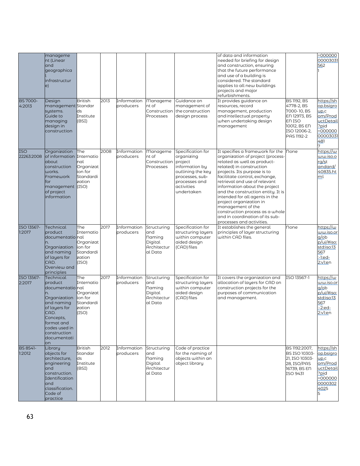| <b>BS 7000-</b><br>4:2013 | manageme<br>nt (Linear<br>and<br>geographica<br>infrastructur<br>e)<br>Design<br>management Standar<br>systems.<br>Guide to<br>managing<br>design in<br>construction                                | <b>British</b><br>ds<br>Institute<br>(BSI)                                 | 2013 | Information<br>producers | Manageme<br>nt of<br>Processes                                    | Guidance on<br>management of<br>Construction the construction<br>design process                                                        | of data and information<br>needed for briefing for design<br>and construction, ensuring<br>that the future performance<br>and use of a building is<br>considered. The standard<br>applies to all new buildings<br>projects and major<br>refurbishments.<br>It provides guidance on<br>resources, record<br>management, production<br>and intellectual property<br>when undertaking design<br>management                                                                                       | <b>BS 1192, BS</b><br>4778-2, BS<br>7000-10, BS<br>EN 12973, BS<br>EN ISO<br>10012, BS EN<br>ISO 12006-2,<br>PAS 1192-2 | $=000000$<br>00003031<br>562<br>https://sh<br><u>op.bsigro</u><br>up.c<br>om/Prod<br>uctDetail<br>?pid<br>=000000<br>00003031 |
|---------------------------|-----------------------------------------------------------------------------------------------------------------------------------------------------------------------------------------------------|----------------------------------------------------------------------------|------|--------------------------|-------------------------------------------------------------------|----------------------------------------------------------------------------------------------------------------------------------------|-----------------------------------------------------------------------------------------------------------------------------------------------------------------------------------------------------------------------------------------------------------------------------------------------------------------------------------------------------------------------------------------------------------------------------------------------------------------------------------------------|-------------------------------------------------------------------------------------------------------------------------|-------------------------------------------------------------------------------------------------------------------------------|
| ISO<br>22263:2008         | Organization<br>of information<br>about<br>construction<br>works.<br>Framework<br>for<br>management (ISO)<br>of project<br>information                                                              | The<br>Internatio<br>nal<br>Organizat<br>ion for<br>Standardi<br>zation    | 2008 | Information<br>producers | Manageme<br>nt of<br>Construction project<br>Processes            | Specification for<br>organizing<br>information by<br>outlining the key<br>processes, sub-<br>processes and<br>activities<br>undertaken | It specifies a framework for the<br>organization of project (process-<br>related as well as product-<br>related) in construction<br>projects. Its purpose is to<br>facilitate control, exchange,<br>retrieval and use of relevant<br>information about the project<br>and the construction entity. It is<br>intended for all agents in the<br>project organization in<br>management of the<br>construction process as a whole<br>and in coordination of its sub-<br>processes and activities. | <b>none</b>                                                                                                             | 481<br>7<br>https://w<br>ww.iso.o<br>rq/st<br>andard/<br>40835.ht<br>ml                                                       |
| ISO 13567-<br>1:2017      | Technical<br>product<br>documentatio nal<br>n.<br>Organization<br>and naming<br>of layers for<br>CAD.<br>Overview and<br>principles                                                                 | The<br>Internatio<br>Organizat<br>ion for<br>Standardi<br>zation<br>(ISO)  | 2017 | Information<br>producers | Structuring<br>and<br>naming<br>Digital<br>Architectur<br>al Data | Specification for<br>structuring layers<br>within computer<br>aided design<br>(CAD) files                                              | It establishes the general<br>principles of layer structuring<br>within CAD files.                                                                                                                                                                                                                                                                                                                                                                                                            | <b>none</b>                                                                                                             | https://w<br>ww.iso.or<br>a/ob<br>p/ui/#iso:<br>std:iso:13<br>567<br>:-1:ed-<br>2:v1:en                                       |
| ISO 13567-<br>2:2017      | Technical<br>product<br>documentatio <mark>nal</mark><br>n.<br>Organization<br>and naming<br>of layers for<br>CAD.<br>Concepts,<br>format and<br>codes used in<br>construction<br>documentati<br>on | The<br>Internatio<br>Organizat<br>lion for<br>Standardi<br>zation<br>(ISO) | 2017 | Information<br>producers | Structuring<br>and<br>Naming<br>Digital<br>Architectur<br>al Data | Specification for<br>structuring layers<br>within computer<br>aided design<br>(CAD) files                                              | It covers the organization and<br>allocation of layers for CAD on<br>construction projects for the<br>purposes of communication<br>and management.                                                                                                                                                                                                                                                                                                                                            | ISO 13567-1                                                                                                             | https://w<br>ww.iso.or<br>q <sub>ob</sub><br>p/ui/#iso:<br>std:iso:13<br>567<br>-2:ed-<br>2:v1:en                             |
| <b>BS 8541-</b><br>1:2012 | Library<br>objects for<br>architecture,<br>engineering<br>and<br>construction.<br>Identification<br>and<br>classification.<br>Code of<br>practice                                                   | <b>British</b><br>Standar<br>ds<br>Institute<br>(BSI)                      | 2012 | Information<br>producers | Structuring<br>and<br>Naming<br>Digital<br>Architectur<br>al Data | Code of practice<br>for the naming of<br>objects within an<br>obiect libraru                                                           |                                                                                                                                                                                                                                                                                                                                                                                                                                                                                               | BS 1192:2007,<br>BS ISO 10303-<br>21, ISO 10303-<br>28, ISO/PAS<br>16739, BS EN<br>ISO 9431                             | https://sh<br>op.bsigro<br>up.c<br>om/Prod<br>uctDetail<br>?pid<br>$= 000000$<br>0000302<br>4025<br>5                         |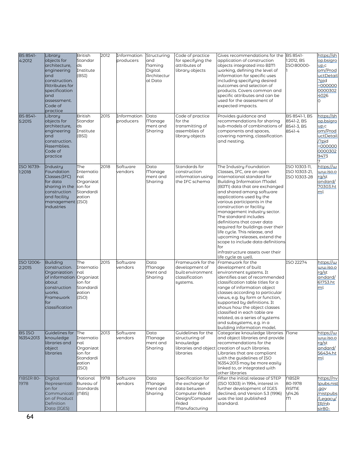| BS 8541-<br>4:2012          | Library<br>objects for<br>architecture,<br>engineering<br>and<br>construction.<br><b>Attributes for</b><br>specification<br>and<br>assessment.<br>Code of<br>practice | <b>British</b><br>Standar<br>ds<br>Institute<br>(BSI)                            | 2012 | Information<br>producers | Structuring<br>and<br><b>naming</b><br>Digital<br>Architectur<br>al Data | Code of practice<br>for specifying the<br>attributes of<br>library objects                                          | Gives recommendations for the BS 8541-<br>application of construction<br>objects integrated into BIM<br>working, defining the level of<br>information for specific uses<br>including specifying desired<br>outcomes and selection of<br>products. Covers common and<br>specific attributes and can be<br>used for the assessment of<br>expected impacts.                                                                                                                                                                                                                          | 1:2012. BS<br>ISO 80000-                              | https://sh<br>op.bsigro<br>up.c<br>om/Prod<br>uctDetail<br>?pid<br>-000000<br>0000302<br>4026<br>O |
|-----------------------------|-----------------------------------------------------------------------------------------------------------------------------------------------------------------------|----------------------------------------------------------------------------------|------|--------------------------|--------------------------------------------------------------------------|---------------------------------------------------------------------------------------------------------------------|-----------------------------------------------------------------------------------------------------------------------------------------------------------------------------------------------------------------------------------------------------------------------------------------------------------------------------------------------------------------------------------------------------------------------------------------------------------------------------------------------------------------------------------------------------------------------------------|-------------------------------------------------------|----------------------------------------------------------------------------------------------------|
| <b>BS 8541-</b><br>5:2015   | Library<br>objects for<br>architecture,<br>engineering<br>and<br>construction.<br>Assemblies.<br>Code of<br>practice                                                  | <b>British</b><br>Standar<br>ds<br>Institute<br>(BSI)                            | 2015 | Information<br>producers | Data<br>Manage<br>ment and<br>Sharing                                    | Code of practice<br>for the<br>transmitting of<br>assemblies of<br>library objects                                  | Provides guidance and<br>recommendations for sharing<br>sub-models of combinations of<br>components and spaces,<br>covering naming, classification<br>and nesting.                                                                                                                                                                                                                                                                                                                                                                                                                | BS 8541-1, BS<br>8541-2, BS<br>8541-3, BS<br>8541-4   | https://sh<br>op.bsigro<br>up.c<br>om/Prod<br>uctDetail<br>/?pid<br>$-000000$<br>0000302<br>9473   |
| ISO 16739-<br>1:2018        | Industry<br><b>Foundation</b><br>Classes (IFC)<br>for data<br>sharing in the<br>construction<br>and facilitu<br>management (ISO)<br>industries                        | The<br>Internatio<br>nal<br>Organizat<br>ion for<br>Standardi<br>zation          | 2018 | Software<br>vendors      | Data<br>Manage<br>ment and<br>Sharing                                    | Standards for<br>construction<br>information using<br>the IFC schema                                                | The Industry Foundation<br>Classes, IFC, are an open<br>international standard for<br><b>Building Information Model</b><br>(BIM) data that are exchanged<br>and shared among software<br>applications used by the<br>various participants in the<br>construction or facility<br>management industry sector.<br>The standard includes<br>definitions that cover data<br>required for buildings over their<br>life cycle. This release, and<br>upcoming releases, extend the<br>scope to include data definitions<br>for<br>infrastructure assets over their<br>life cycle as well. | ISO 10303-11,<br>ISO 10303-21,<br>ISO 10303-28        | https://w<br><u>ww.iso.o</u><br>rq/st<br>andard/<br>70303.ht<br>ml                                 |
| ISO 12006-<br>2:2015        | Building<br>construction.<br>Organization<br>of information Organizat<br>about<br>construction<br>works.<br>Framework<br>for<br>classification                        | The<br>Internatio<br>nal<br>ion for<br>Standardi<br>zation<br>(ISO)              | 2015 | Software<br>vendors      | Data<br><b>Manage</b><br>ment and<br>Sharing                             | Framework for the<br>development of<br>builtenvironment<br>classification<br>systems.                               | Framework for the<br>development of built<br>environment systems. It<br>identifies a set of recommended<br>classification table titles for a<br>range of information object<br>classes according to particular<br>views, e.g. by form or function,<br>supported by definitions. It<br>shows how the object classes<br>classified in each table are<br>related, as a series of systems<br>and subsystems, e.g. in a<br>building information model.                                                                                                                                 | ISO 22274                                             | https://w<br>o.ozi.ww<br>rg/st<br>andard/<br>61753.ht<br>ml                                        |
| <b>BS ISO</b><br>16354:2013 | Guidelines for<br>knowledge<br>libraries and<br>object<br>libraries                                                                                                   | The<br>Internatio<br>nal<br>Organizat<br>ion for<br>Standardi<br>zation<br>(ISO) | 2013 | Software<br>vendors      | Data<br><b>Manage</b><br>ment and<br>Sharing                             | Guidelines for the<br>structuring of<br>knowledge<br>libraries                                                      | Categorize knowledge libraries<br>and object libraries and provide<br>recommendations for the<br>libraries and object creation of such libraries.<br>Libraries that are compliant<br>with the guidelines of ISO<br>16354:2013 may be more easily<br>linked to, or integrated with<br>other libraries                                                                                                                                                                                                                                                                              | none                                                  | https://w<br>o.ozi.ww<br>rg/st<br>andard/<br>56434.ht<br>ml                                        |
| <b>NBSIR 80-</b><br>1978    | Digital<br>Representati<br>on for<br>Communicati<br>on of Product<br>Definition<br>Data (IGES)                                                                        | National<br>Bureau of<br>Standards<br>(NBS)                                      | 1978 | Software<br>vendors      | Data<br>Manage<br>ment and<br>Sharing                                    | Specification for<br>the exchange of<br>data between<br>Computer Aided<br>Design/Computer<br>Aided<br>Manufacturing | After the initial release of STEP<br>(ISO 10303) in 1994, interest in<br>further development of IGES<br>declined, and Version 5.3 (1996)<br>was the last published<br>standard.                                                                                                                                                                                                                                                                                                                                                                                                   | <b>NBSIR</b><br>80-1978<br>ASME<br><b>Y14.26</b><br>m | https://nv<br><u>lpubs.nist</u><br>.gov<br>nistpubs<br>Legacy/<br>IR/nb<br>sir <sub>80</sub> -     |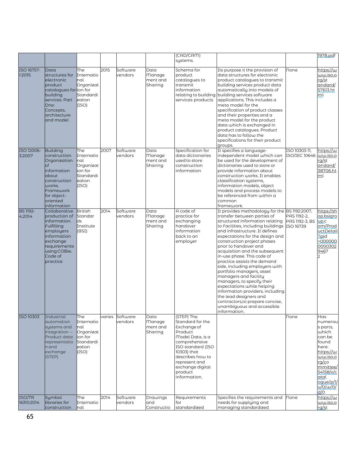|                           |                                                                                                                                                                 |                                                                                  |      |                            |                                              | (CAD/CAM)<br>systems.                                                                                                                                                                                                 |                                                                                                                                                                                                                                                                                                                                                                                                                                                                                                                                                                                                                                                                                                |                                | 1978.pdf                                                                                                                                                                  |
|---------------------------|-----------------------------------------------------------------------------------------------------------------------------------------------------------------|----------------------------------------------------------------------------------|------|----------------------------|----------------------------------------------|-----------------------------------------------------------------------------------------------------------------------------------------------------------------------------------------------------------------------|------------------------------------------------------------------------------------------------------------------------------------------------------------------------------------------------------------------------------------------------------------------------------------------------------------------------------------------------------------------------------------------------------------------------------------------------------------------------------------------------------------------------------------------------------------------------------------------------------------------------------------------------------------------------------------------------|--------------------------------|---------------------------------------------------------------------------------------------------------------------------------------------------------------------------|
| ISO 16757-<br>1:2015      | Data<br>structures for<br>electronic<br>product<br>catalogues for ion for<br>building<br>services. Part<br>One:<br>Concepts,<br>architecture<br>and model       | The<br>Internatio<br>nal<br>Organizat<br>Standardi<br>zation<br>(ISO)            | 2015 | Software<br>vendors        | Data<br><b>Manage</b><br>ment and<br>Sharing | Schema for<br>product<br>catalogues to<br>transmit<br>information<br>relating to building<br>services products                                                                                                        | Its purpose it the provision of<br>data structures for electronic<br>product catalogues to transmit<br>building services product data<br>automatically into models of<br>building services software<br>applications. This includes a<br>meta model for the<br>specification of product classes<br>and their properties and a<br>meta model for the product<br>data which is exchanged in<br>product catalogues. Product<br>data has to follow the<br>specifications for their product<br>groups.                                                                                                                                                                                               | <b>None</b>                    | https://w<br>ww.iso.o<br>rg/st<br>andard/<br>57613.ht<br>ml                                                                                                               |
| ISO 12006-<br>3:2007      | <b>Building</b><br>construction.<br>Organization<br>of<br>information<br>about<br>construction<br>works.<br>Framework<br>for object-<br>oriented<br>information | The<br>Internatio<br>nal<br>Organizat<br>ion for<br>Standardi<br>zation<br>(ISO) | 2007 | Software<br>vendors        | Data<br>Manage<br>ment and<br>Sharing        | Specification for<br>data dictionaries<br>used to store<br>construction<br>information                                                                                                                                | It specifies a language-<br>independent model which can<br>be used for the development of<br>dictionaries used to store or<br>provide information about<br>construction works. It enables<br>classification systems,<br>information models, object<br>models and process models to<br>be referenced from within a<br>common<br>framework.                                                                                                                                                                                                                                                                                                                                                      | ISO 10303-11,<br>ISO/IEC 10646 | https://w<br>ww.iso.o<br>rq/st<br>andard/<br>38706.ht<br>ml                                                                                                               |
| <b>BS 1192-</b><br>4:2014 | Collaborative<br>production of<br>information.<br>Fulfilling<br>employers<br>information<br>exchange<br>requirements<br>using COBie.<br>Code of<br>practice     | <b>British</b><br>Standar<br>lds.<br>Institute<br>(BSI)                          | 2014 | Software<br>vendors        | Data<br>Manage<br>ment and<br>Sharing        | A code of<br>practice for<br>exchanging<br>handover<br>information<br>back to an<br>employer                                                                                                                          | It provides methodology for the BS 1192:2007,<br>transfer between parties of<br>structured information relating<br>to Facilities, including buildings ISO 16739<br>and infrastructure. It defines<br>expectations for the design and<br>construction project phases<br>prior to handover and<br>acquisition and the subsequent<br>in-use phase. This code of<br>practice assists the demand<br>side, including employers with<br>portfolio managers, asset<br>managers and facility<br>managers, to specify their<br>expectations while helping<br>information providers, including<br>the lead designers and<br>contractors,to prepare concise,<br>unambiguous and accessible<br>information. | PAS 1192-2,<br>PAS 1192-3, BS  | https://sh<br>op.bsigro<br>up.c<br>om/Prod<br><u>uctDetail</u><br>?pid<br>-000000<br>0000302<br>9467<br>2                                                                 |
| ISO 10303                 | <b>Industrial</b><br>automation<br>systems and<br>integration --<br>Product data<br>representatio<br>nand<br>exchange<br>(STEP)                                 | The<br>Internatio<br>nal<br>Organizat<br>ion for<br>Standardi<br>zation<br>(ISO) |      | varies Software<br>vendors | Data<br>Manage<br>ment and<br>Sharing        | (STEP) The<br>Standard for the<br>Exchange of<br>Product<br>Model Data, is a<br>comprehensive<br>ISO standard (ISO<br>10303) that<br>describes how to<br>represent and<br>exchange digital<br>product<br>information. |                                                                                                                                                                                                                                                                                                                                                                                                                                                                                                                                                                                                                                                                                                | <b>None</b>                    | Has<br>numerou<br>s parts,<br>which<br>can be<br>found<br>here:<br>https://w<br><u>ww.iso.o</u><br>rg/co<br>mmittee/<br>54158/x/c<br>atal<br>oque/p/1/<br>u/0/w/0/<br>d/0 |
| ISO/TR<br>16310:2014      | Symbol<br>libraries for<br>construction                                                                                                                         | The<br>Internatio<br>nal                                                         | 2014 | Software<br>vendors        | Drawings<br>and<br>Constructio               | Requirements<br>for<br>standardized                                                                                                                                                                                   | Specifies the requirements and<br>needs for supplying and<br>managing standardized                                                                                                                                                                                                                                                                                                                                                                                                                                                                                                                                                                                                             | <b>None</b>                    | https://w<br><u>ww.iso.o</u><br>rg/st                                                                                                                                     |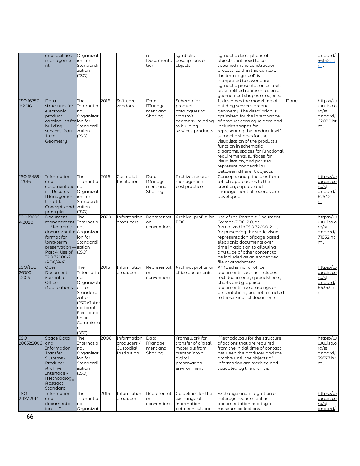|                             | and facilities<br>manageme<br>nt                                                                                                                                        | Organizat<br>ion for<br>Standardi<br>zation<br>(ISO)                                                                                             |      |                                                       | n<br>Documenta<br>tion                       | symbolic<br>descriptions of<br>objects                                                                             | symbolic descriptions of<br>objects that need to be<br>specified in the construction<br>process. Within this context.<br>the term "symbol" is<br>interpreted to cover pure<br>symbolic presentation as well<br>as simplified representation of<br>geometrical shapes of objects.                                                                                                                                                                                      |      | andard/<br>56142.ht<br>ml                                           |
|-----------------------------|-------------------------------------------------------------------------------------------------------------------------------------------------------------------------|--------------------------------------------------------------------------------------------------------------------------------------------------|------|-------------------------------------------------------|----------------------------------------------|--------------------------------------------------------------------------------------------------------------------|-----------------------------------------------------------------------------------------------------------------------------------------------------------------------------------------------------------------------------------------------------------------------------------------------------------------------------------------------------------------------------------------------------------------------------------------------------------------------|------|---------------------------------------------------------------------|
| ISO 16757-<br>2:2016        | Data<br>structures for<br>electronic<br>product<br>catalogues for ion for<br>building<br>services. Part<br>Two:<br>Geometry                                             | The<br>Internatio<br>nal<br>Organizat<br>Standardi<br>zation<br>(ISO)                                                                            | 2016 | Software<br>vendors                                   | Data<br><b>Manage</b><br>ment and<br>Sharing | Schema for<br>product<br>catalogues to<br>transmit<br>geometry relating<br>to building<br>services products        | It describes the modelling of<br>building services product<br>geometry. The description is<br>optimized for the interchange<br>of product catalogue data and<br>includes shapes for<br>representing the product itself,<br>symbolic shapes for the<br>visualization of the product's<br>function in schematic<br>diagrams, spaces for functional<br>requirements, surfaces for<br>visualization, and ports to<br>represent connectivity<br>between different objects. | None | https://w<br>ww.iso.o<br><u>rg/s</u> t<br>andard/<br>62080.ht<br>ml |
| ISO 15489-<br>1:2016        | Information<br>and<br>documentatio<br>n – Records<br><b>Managemen</b><br>t: Part 1,<br>Concepts and<br>principles                                                       | The<br>Internatio<br>nal<br>Organizat<br>lion for<br>Standardi<br>zation<br>(ISO)                                                                | 2016 | Custodial<br>Institution                              | Data<br><b>Manage</b><br>ment and<br>Sharing | Archival records<br>management<br>best practice                                                                    | Concepts and principles from<br>which approaches to the<br>creation, capture and<br>management of records are<br>developed                                                                                                                                                                                                                                                                                                                                            |      | https://w<br>ww.iso.o<br>rg/st<br>andard/<br>62542.ht<br>ml         |
| ISO 19005-<br>4:2020        | Document<br>management Internatio<br>Electronic<br>document file Organizat<br>format for<br>long-term<br>preservation –<br>Part 4: Use of<br>ISO 32000-2<br>$(PDF/A-4)$ | The<br>Inal<br>ion for<br>Standardi<br>zation<br>(ISO)                                                                                           | 2020 | Information<br>producers                              | on<br>conventions                            | Representati Archival profile for<br>PDF                                                                           | use of the Portable Document<br>Format (PDF) 2.0, as<br>formalized in ISO 32000-2:-<br>for preserving the static visual<br>representation of page based<br>electronic documents over<br>time in addition to allowing<br>any type of other content to<br>be included as an embedded<br>file or attachment                                                                                                                                                              |      | https://w<br>ww.iso.o<br>rg/st<br>andard/<br>71832.ht<br>ml         |
| ISO/IEC<br>26300-<br>1:2015 | Open<br>Document<br>Format for<br><b>Office</b><br><b>Applications</b>                                                                                                  | The<br>Internatio<br>nal<br>Organizati<br>on for<br>Standardi<br>zation<br>(ISO)/Inter<br>national<br>Electrotec<br>hnical<br>Commissio<br>(IEC) | 2015 | Information<br>producers                              | on<br>conventions                            | Representati Archival profile for<br>office documents                                                              | XML schema for office<br>documents such as includes<br>text documents, spreadsheets,<br>charts and graphical<br>documents like drawings or<br>presentations, but not restricted<br>to these kinds of documents                                                                                                                                                                                                                                                        |      | https://w<br>o.ozi.ww<br>rq/st<br>andard/<br>66363.ht<br>ml         |
| <b>ISO</b><br>20652:2006    | Space Data<br>and<br>Information<br>Transfer<br>Systems -<br>Producer-<br>Archive<br>Interface -<br>Methodology<br>Abstract<br>Standard                                 | The<br>Internatio<br>nal<br>Organizat<br>ion for<br>Standardi<br>zation<br>(ISO)                                                                 | 2006 | Information<br>producers/<br>Custodial<br>Institution | Data<br><b>Manage</b><br>ment and<br>Sharing | Framework for<br>transfer of digital<br>materials from<br>creator into a<br>digital<br>preservation<br>environment | Methodology for the structure<br>of actions that are reauired<br>from the initial time of contact<br>between the producer and the<br>archive until the objects of<br>information are received and<br>validated by the archive.                                                                                                                                                                                                                                        |      | https://w<br>ww.iso.o<br>rq/st<br>andard/<br>39577.ht<br>ml         |
| <b>ISO</b><br>21127:2014    | Information<br>and<br>documentat<br>ion — A                                                                                                                             | The<br>Internatio<br>Inal<br>Organizat                                                                                                           | 2014 | Information<br>producers                              | on<br>conventions                            | Representati Guidelines for the<br>exchange of<br>information<br>between cultural                                  | Exchange and integration of<br>heterogeneous scientific<br>documentation relating to<br>museum collections.                                                                                                                                                                                                                                                                                                                                                           |      | https://w<br>ww.iso.o<br>rg/st<br>andard/                           |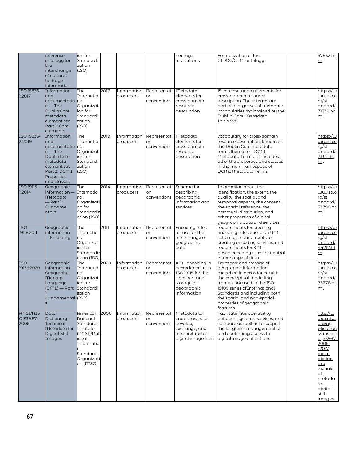|                              | reference<br>ontology for<br>the<br>interchange<br>of cultural<br>heritage<br>information                                                                   | ion for<br>Standardi<br>zation<br>(ISO)                                                                                                 |      |                                                   |                                            | heritage<br>institutions                                                                                                        | Formalization of the<br>CIDOC/CRM ontology.                                                                                                                                                                                                                                        | 57832.ht<br>ml                                                                                                                                                                                |
|------------------------------|-------------------------------------------------------------------------------------------------------------------------------------------------------------|-----------------------------------------------------------------------------------------------------------------------------------------|------|---------------------------------------------------|--------------------------------------------|---------------------------------------------------------------------------------------------------------------------------------|------------------------------------------------------------------------------------------------------------------------------------------------------------------------------------------------------------------------------------------------------------------------------------|-----------------------------------------------------------------------------------------------------------------------------------------------------------------------------------------------|
| ISO 15836-<br>1:2017         | Information<br>and<br>documentatio <mark>I</mark> nal<br>$n$ – The<br>Dublin Core<br>metadata<br>element set —<br>Part 1: Core<br>elements                  | The<br>Internatio<br>Organizat<br>ion for<br>Standardi<br>zation<br>(ISO)                                                               | 2017 | Information<br>producers                          | Representati Metadata<br>on<br>conventions | elements for<br>cross-domain<br>resource<br>description                                                                         | 15 core metadata elements for<br>cross-domain resource<br>description. These terms are<br>part of a larger set of metadata<br>vocabularies maintained by the<br>Dublin Core Metadata<br>Initiative                                                                                 | https://w<br>ww.iso.o<br>rg/st<br>andard/<br>71339.ht<br>ml                                                                                                                                   |
| ISO 15836-<br>2:2019         | Information<br>and<br>documentatio <mark>I</mark> nal<br>$n$ – The<br>Dublin Core<br>metadata<br>element set —<br>Part 2: DCMI<br>Properties<br>and classes | The<br>Internatio<br>Organizat<br>ion for<br>Standardi<br>zation<br>(ISO)                                                               | 2019 | Information<br>producers                          | Representati Metadata<br>on<br>conventions | elements for<br>cross-domain<br>resource<br>description                                                                         | vocabulary for cross-domain<br>resource description, known as<br>the Dublin Core metadata<br>terms (hereafter DCMI<br>Metadata Terms). It includes<br>all of the properties and classes<br>in the main namespace of<br>DCMI Metadata Terms                                         | https://w<br>ww.iso.o<br>rg/st<br>andard/<br>71341.ht<br>ml                                                                                                                                   |
| ISO 19115-<br>1:2014         | Geographic<br>$information-$<br>Metadata<br>Part 1:<br>Fundame<br>ntals                                                                                     | The<br>Internatio<br>nal<br>Organizati<br>on for<br>Standardiz<br>ation (ISO)                                                           | 2014 | Information<br>producers                          | Representati<br>on<br>conventions          | Schema for<br>describing<br>geographic<br>information and<br>services                                                           | Information about the<br>identification, the extent, the<br>quality, the spatial and<br>temporal aspects, the content,<br>the spatial reference, the<br>portrayal, distribution, and<br>other properties of digital<br>geographic data and services                                | https://w<br><u>ww.iso.o</u><br>rq/st<br>andard/<br>53798.ht<br>ml                                                                                                                            |
| <b>ISO</b><br>19118:2011     | Geographic<br>information<br><b>Encoding</b>                                                                                                                | The<br>Internatio<br>nal<br>Organizat<br>ion for<br>Standardiz<br>ation (ISO)                                                           | 2011 | Information<br>producers                          | on<br>conventions                          | Representati Encoding rules<br>for use for the<br>interchange of<br>geographic<br>data                                          | requirements for creating<br>encoding rules based on UML<br>schemas, requirements for<br>creating encoding services, and<br>requirements for XML-<br>based encoding rules for neutral<br>interchange of data                                                                       | https://w<br><u>ww.iso.o</u><br>rq/st<br>andard/<br>44212.ht<br>ml                                                                                                                            |
| <b>ISO</b><br>19136:2020     | Geographic<br>nformation-<br>Geography<br><b>Markup</b><br>Language<br>(GML) — Part Standardi<br>Fundamental (ISO)                                          | The<br>Internatio<br>nal<br>Organizat<br>ion for<br>zation                                                                              | 2020 | Information<br>producers                          | on<br>conventions                          | Representati XML encoding in<br>accordance with<br>ISO19118 for the<br>transport and<br>storage of<br>geographic<br>information | Transport and storage of<br>geographic information<br>modelled in accordance with<br>the conceptual modelling<br>framework used in the ISO<br>19100 series of International<br>Standards and including both<br>the spatial and non-spatial<br>properties of geographic<br>features | https://w<br>ww.iso.o<br>rq/st<br>andard/<br>75676.ht<br>ml                                                                                                                                   |
| ANSI/NIS<br>OZ39.87-<br>2006 | Data<br>Dictionary -<br>Technical<br>Metadata for<br>Digital Still<br>Images                                                                                | American 2006<br><b>National</b><br>Standards<br>Institute<br>(ANSI)/Nat<br>ional<br>Informatio<br>Standards<br>Organizati<br>on (NISO) |      | Information Representati Metadata to<br>producers | on<br>conventions                          | enable users to<br>develop,<br>exchange, and<br>interpret raster<br>digital image files                                         | Facilitate interoperability<br>between systems, services, and<br>software as well as to support<br>the longterm management of<br>and continuing access to<br>digital image collections                                                                                             | http://w<br>ww.niso.<br>org/pu<br>blication<br>s/ansinis<br>o-z3987-<br>2006-<br>r2017-<br>data-<br>diction<br>ary-<br>technic<br>al-<br>metada<br><u>ta-</u><br>digital-<br>still-<br>images |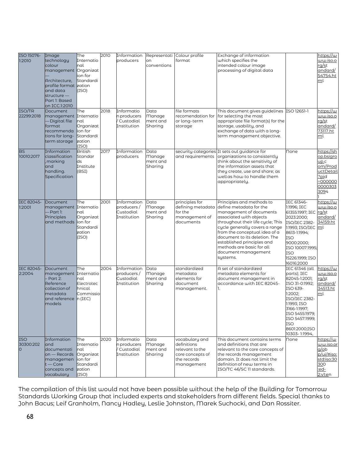| ISO 15076-<br>1:2010<br>ISO/TR<br>22299:2018 | Image<br>technology<br>colour<br>management Organizat<br>Architecture,<br>profile format zation<br>and data<br>structure —<br>Part 1: Based<br>on ICC.1:2010<br>Document<br>management Internatio | The<br>Internatio<br>nal<br>ion for<br>Standardi<br>(ISO)<br>The                  | 2010<br>2018 | Information<br>producers<br>Informatio<br>n producers<br>/ Custodial | on<br>conventions<br>Data<br>Manage          | Representati Colour profile<br>format<br>file formats<br>recomendation for                        | Exchange of information<br>which specifies the<br>intended colour image<br>processing of digital data<br>This document gives guidelines ISO 12651-1<br>for selecting the most                                                                                                                                                                     |                                                                                                                                                                                                                             | https://w<br>ww.iso.o<br>rq/st<br>andard/<br>54754.ht<br>ml<br>https://w<br>ww.iso.o                    |
|----------------------------------------------|---------------------------------------------------------------------------------------------------------------------------------------------------------------------------------------------------|-----------------------------------------------------------------------------------|--------------|----------------------------------------------------------------------|----------------------------------------------|---------------------------------------------------------------------------------------------------|---------------------------------------------------------------------------------------------------------------------------------------------------------------------------------------------------------------------------------------------------------------------------------------------------------------------------------------------------|-----------------------------------------------------------------------------------------------------------------------------------------------------------------------------------------------------------------------------|---------------------------------------------------------------------------------------------------------|
|                                              | Digital file<br>format<br>recommenda<br>tions for long-<br>term storage                                                                                                                           | nal<br>Organizat<br>lion for<br>Standardi<br>zation<br>(ISO)                      |              | Institution                                                          | ment and<br>Sharing                          | or long-term<br>storage                                                                           | appropriate file format(s) for the<br>storage, usability, and<br>exchange of data with a long-<br>term management objective.                                                                                                                                                                                                                      |                                                                                                                                                                                                                             | rg/st<br>andard/<br>73117.ht<br>ml                                                                      |
| <b>BS</b><br>10010:2017                      | Information<br>classification<br>, marking<br>and<br>handling.<br>Specification                                                                                                                   | <b>British</b><br>Standar<br>ds<br>Institute<br>(BSI)                             | 2017         | Information<br>producers                                             | Data<br>Manage<br>ment and<br>Sharing        | security categories<br>and requirements                                                           | It sets out guidance for<br>organizations to consistently<br>think about the sensitivity of<br>the information assets that<br>they create, use and share; as<br>wellas how to handle them<br>appropriately.                                                                                                                                       | None                                                                                                                                                                                                                        | https://sh<br>op.bsigro<br>up.c<br>om/Prod<br>uctDetail<br>?pid<br>-000000<br>0000303<br>3094           |
| IEC 82045-<br>1:2001                         | Document<br>management Internatio<br>Part 1:<br><b>Principles</b><br>and methods                                                                                                                  | The<br>nal<br>Organizat<br>lion for<br>Standardi<br>zation<br>(ISO)               | 2001         | Information<br>producers/<br>Custodial<br>Institution                | Data<br><b>Manage</b><br>ment and<br>Sharing | principles for<br>defining metadata<br>for the<br>management of<br>documents                      | Principles and methods to<br>define metadata for the<br>management of documents<br>associated with objects<br>throughout their life cycle; This<br>cycle generally covers a range<br>from the conceptual idea of a<br>document to its deletion. The<br>established principles and<br>methods are basic for all<br>document management<br>systems. | <b>IEC 61346-</b><br>1:1996; IEC<br>61355:1997: IEC<br>2023:2000;<br><b>ISO/IEC 2382-</b><br>1:1993; ISO/IEC <u> m</u> l<br>8613-1:1994;<br>ISO<br>9000:2000;<br>ISO 10007:1995;<br>ISO<br>15226:1999; ISO<br>16016:2000    | https://w<br>ww.iso.o<br>rq/st<br>andard/<br>34159.ht                                                   |
| IEC 82045-<br>2:2004                         | Document<br>management Internatio<br>Part 2:<br>Reference<br>collection of<br>metadata<br>and reference<br>models                                                                                 | The<br>nal<br>Electrotec<br>hnical<br>Commissio<br>$n$ (IEC)                      | 2004         | Information<br>producers/<br>Custodial<br>Institution                | Data<br>Manage<br>ment and<br>Sharing        | standardized<br>metadata<br>elements for<br>document<br>management.                               | A set of standardized<br>metadata elements for<br>document management in<br>accordance with IEC 82045-<br>1.                                                                                                                                                                                                                                      | <b>IEC 61346 (all</b><br>parts); IEC<br>82045-1:2001;<br>ISO 31-0:1992;<br>ISO 639-<br>1:2002<br>ISO/IEC 2382-<br>1:1993; ISO<br>3166-1:1997;<br>ISO 5455:1979;<br>ISO 5457:1999;<br>ISO<br>8601:2000;ISO<br>10303- 1:1994, | https://w<br><u>ww.iso.o</u><br>rg/st<br><u>andard/</u><br>34513.ht<br>ml                               |
| <b>ISO</b><br>30300:202<br>Ō                 | Information<br>and<br>documentati<br>on - Records<br>managemen<br>$t$ – Core<br>concepts and<br>vocabulary                                                                                        | The<br>Internatio<br>nal<br>Organizat<br>lion for<br>Standardi<br>zation<br>(ISO) | 2020         | <b>Informatio</b><br>n producers<br>/ Custodial<br>Institution       | Data<br>Manage<br>ment and<br>Sharing        | vocabulary and<br>definitions<br>relevant to the<br>core concepts of<br>the records<br>management | This document contains terms<br>and definitions that are<br>relevant to the core concepts of<br>the records management<br>domain. It does not limit the<br>definition of new terms in<br>ISO/TC 46/SC 11 standards.                                                                                                                               | <b>None</b>                                                                                                                                                                                                                 | https://w<br><u>ww.iso.or</u><br>$q$ /ob<br>p/ui/#iso:<br>std:iso:30<br>300<br>:ed-<br>2: <u>v1:e</u> n |

The compilation of this list would not have been possible without the help of the Building for Tomorrow Standards Working Group that included experts and stakeholders from different fields. Special thanks to John Bacus; Leif Granholm, Nancy Hadley, Leslie Johnston, Marek Suchocki, and Dan Rossiter.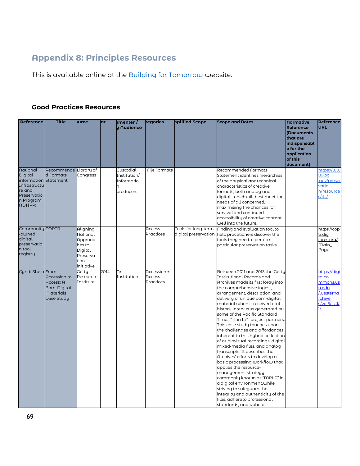# **Appendix 8: Principles Resources**

This is available online at the **Building for Tomorrow** website.

## **Good Practices Resources**

| <b>Reference</b>                                                                                                     | <b>Title</b>                                                                | <b>Jurce</b>                                                                           | ar   | ementer/<br>y Audience                               | tegories                           | nplified Scope      | <b>Scope and Notes</b>                                                                                                                                                                                                                                                                                                                                                                                                                                                                                                                                                                                                                                                                                                                                                                                                                                                       | <b>Normative</b><br><b>Reference</b><br>(Documents<br>that are<br>indispensabl<br>e for the<br>application<br>of this<br>document) | <b>Reference</b><br><b>URL</b>                                                                     |
|----------------------------------------------------------------------------------------------------------------------|-----------------------------------------------------------------------------|----------------------------------------------------------------------------------------|------|------------------------------------------------------|------------------------------------|---------------------|------------------------------------------------------------------------------------------------------------------------------------------------------------------------------------------------------------------------------------------------------------------------------------------------------------------------------------------------------------------------------------------------------------------------------------------------------------------------------------------------------------------------------------------------------------------------------------------------------------------------------------------------------------------------------------------------------------------------------------------------------------------------------------------------------------------------------------------------------------------------------|------------------------------------------------------------------------------------------------------------------------------------|----------------------------------------------------------------------------------------------------|
| <b>National</b><br>Digital<br>information Statement<br>Infrastructu<br>re and<br>Preservatio<br>n Program<br>nDIIPP: | Recommende Library of<br>d Formats                                          | Congress                                                                               |      | Custodial<br>Institution/<br>Informatio<br>producers | File Formats                       |                     | <b>Recommended Formats</b><br>Statement identifies hierarchies<br>of the physical and technical<br>characteristics of creative<br>formats, both analog and<br>digital, whichwill best meet the<br>needs of all concerned,<br>maximizing the chances for<br>survival and continued<br>accessibility of creative content<br>well into the future.                                                                                                                                                                                                                                                                                                                                                                                                                                                                                                                              |                                                                                                                                    | https://ww<br>w.loc<br>.gov/preser<br>vatio<br>n/resource<br>$s$ /rfs/                             |
| Community COPTR<br>-owned<br>digital<br>preservatio<br>n tool<br>registry                                            |                                                                             | Aligning<br>National<br>Approac<br>hes to<br>Digital<br>Preserva<br>tion<br>initiative |      |                                                      | Access<br>Practices                | Tools for long-term | Finding and evaluation tool to<br>digital preservation help practitioners discover the<br>tools they need to perform<br>particular preservation tasks.                                                                                                                                                                                                                                                                                                                                                                                                                                                                                                                                                                                                                                                                                                                       |                                                                                                                                    | https://cop<br>tr.dig<br>ipres.org/<br>Main_<br>Page                                               |
| Cyndi Shein From                                                                                                     | Accession to<br>Access: A<br>Born-Digital<br><b>Materials</b><br>Case Study | Getty<br>Research<br>Institute                                                         | 2014 | Art<br>Institution                                   | Accession +<br>Access<br>Practices |                     | Between 2011 and 2013 the Getty<br>Institutional Records and<br>Archives madelts first foray into<br>the comprehensive ingest,<br>arrangement, description, and<br>delivery of unique born-digital<br>material when it received oral<br>history interviews generated by<br>some of the Pacific Standard<br>Time: Art in L.A. project partners.<br>This case study touches upon<br>the challenges and affordances<br>inherent to this hybrid collection<br>of audiovisual recordings, digital<br>mixed-media files, and analog<br>transcripts. It describes the<br>Archives' efforts to develop a<br>basic processing workflow that<br>applies the resource-<br>management strategy<br>commonly known as "MPLP" in<br>a digital environment, while<br>striving to safeguard the<br>integrity and authenticity of the<br>files, adhereto professional<br>standards, and uphold |                                                                                                                                    | https://digi<br>talco<br>mmons.us<br>u.edu<br>/westerna<br>rchive<br>s/vol5/iss1/<br>$\frac{1}{2}$ |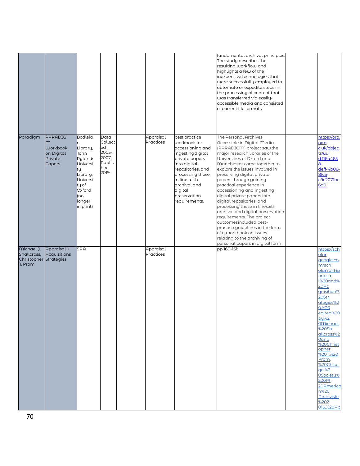|                                                                |                                                                    |                                                                                                                                        |                                                                  |                        |                                                                                                                                                                                                                             | fundamental archival principles.<br>The study describes the<br>resulting workflow and<br>highlights a few of the<br>inexpensive technologies that<br>were successfully employed to<br>automate or expedite steps in<br>the processing of content that<br>was transferred via easily-<br>accessible media and consisted<br>of current file formats                                                                                                                                                                                                                                                                                                             |                                                                                                                                                                                                                                                                                                                                                                                        |
|----------------------------------------------------------------|--------------------------------------------------------------------|----------------------------------------------------------------------------------------------------------------------------------------|------------------------------------------------------------------|------------------------|-----------------------------------------------------------------------------------------------------------------------------------------------------------------------------------------------------------------------------|---------------------------------------------------------------------------------------------------------------------------------------------------------------------------------------------------------------------------------------------------------------------------------------------------------------------------------------------------------------------------------------------------------------------------------------------------------------------------------------------------------------------------------------------------------------------------------------------------------------------------------------------------------------|----------------------------------------------------------------------------------------------------------------------------------------------------------------------------------------------------------------------------------------------------------------------------------------------------------------------------------------------------------------------------------------|
| Paradigm                                                       | PARADIG<br>m<br><b>Workbook</b><br>on Digital<br>Private<br>Papers | Bodleia<br>n<br>Library,<br>John<br>Rylands<br>Universi<br>ty<br>Library,<br>Universi<br>ty of<br>Oxford<br>(no<br>longer<br>in print) | Data<br>Collect<br>ed<br>2005-<br>2007,<br>Publis<br>hed<br>2019 | Appraisal<br>Practices | best practice<br>workbook for<br>accessioning and<br>ngesting digital<br>private papers<br>into digital<br>epositories, and<br>processing these<br>in line with<br>archival and<br>digital<br>preservation<br>requirements. | The Personal Archives<br>Accessible in Digital Media<br>(PARADIGM) project sawthe<br>major research libraries of the<br>Universities of Oxford and<br>Manchester come together to<br>explore the issues involved in<br>preserving digital private<br>papers through gaining<br>practical experience in<br>accessioning and ingesting<br>digital private papers into<br>digital repositories, and<br>processing these in linewith<br>archival and digital preservation<br>requirements. The project<br>outcomesincluded best-<br>practice guidelines in the form<br>of a workbook on issues<br>relating to the archiving of<br>personal papers in digital form | https://ora.<br>D.XO<br>c.uk/objec<br>ts/uui<br>d:116a465<br>$8-$<br>deff-4b06-<br>81c5-<br>c9c2071bc<br><b>6d0</b>                                                                                                                                                                                                                                                                    |
| Michael J.<br>Shallcross,<br>Christopher Strategies<br>J. Prom | Appraisal +<br><b>Acquisitions</b>                                 | SAA                                                                                                                                    |                                                                  | Appraisal<br>Practices |                                                                                                                                                                                                                             | pp 160-161;                                                                                                                                                                                                                                                                                                                                                                                                                                                                                                                                                                                                                                                   | https://sch<br>olar.<br>google.co<br>m/sch<br>olar?g=Ap<br>praisa<br><b>1%20and%</b><br>20AC<br>quisition%<br>20Str<br>ategies%2<br>0.%20<br>edited%20<br>by%2<br><b>O</b> <u>Michael</u><br>%20Sh<br>allcross%2<br><b>Oand</b><br>%20Christ<br>opher<br>%20J.%20<br>Prom.<br>%20Chica<br>qo:%2<br>OSociety%<br>20of%<br>20America<br>n%20<br><b>Archivists</b> ,<br>%202<br>016.%20Ap |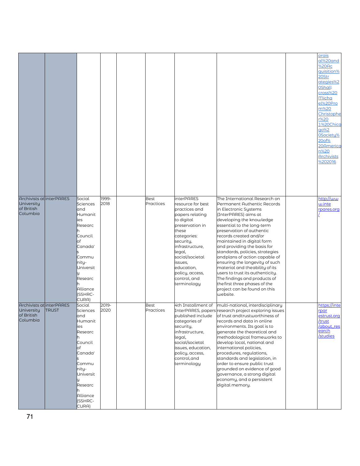| Archivists at interPARES<br>University<br>of British             |              | Social<br>Sciences<br>and                                                                                                                                     | 1999-<br>2018 | <b>Best</b><br>Practices | <b>interPARES</b><br>resource for best<br>practices and                                                                                                                                                          | The International Research on<br>Permanent Authentic Records<br>in Electronic Systems                                                                                                                                                                                                                                                                                                                                                                                                                                             | prais<br>al%20and<br>%20Ac<br>quisition%<br>20Str<br>ategies%2<br><b>OShall</b><br>cross%20<br>Micha<br>el%20Pro<br>m%20<br>Christophe<br>r%20<br>J.%20Chica<br><b>go%2</b><br>OSociety%<br>20of%<br>20America<br>n%20<br><b>Archivists</b><br>%202016<br>http://ww<br>w.inte |
|------------------------------------------------------------------|--------------|---------------------------------------------------------------------------------------------------------------------------------------------------------------|---------------|--------------------------|------------------------------------------------------------------------------------------------------------------------------------------------------------------------------------------------------------------|-----------------------------------------------------------------------------------------------------------------------------------------------------------------------------------------------------------------------------------------------------------------------------------------------------------------------------------------------------------------------------------------------------------------------------------------------------------------------------------------------------------------------------------|-------------------------------------------------------------------------------------------------------------------------------------------------------------------------------------------------------------------------------------------------------------------------------|
| Columbia                                                         |              | Humanit<br>ies<br>Researc<br>Council<br>of<br>Canada'<br>Commu<br>nity-<br>Universit<br>Researc<br>Alliance<br>(SSHRC-<br>CURA)                               |               |                          | papers relating<br>to digital<br>preservation in<br>these<br>categories:<br>security,<br>infrastructure,<br>legal,<br>social/societal<br>issues,<br>education,<br>policy, access,<br>control, and<br>terminology | (InterPARES) aims at<br>developing the knowledge<br>essential to the long-term<br>preservation of authentic<br>records created and/or<br>maintained in digital form<br>and providing the basis for<br>standards, policies, strategies<br>andplans of action capable of<br>ensuring the longevity of such<br>material and theability of its<br>users to trust its authenticity.<br>The findings and products of<br>the first three phases of the<br>project can be found on this<br>website.                                       | rpares.org                                                                                                                                                                                                                                                                    |
| Archivists at interPARES<br>University<br>of British<br>Columbia | <b>TRUST</b> | Social<br>Sciences<br>and<br>Humanit<br>ies<br>Researc<br>Council<br>lof<br>Canada'<br>Commu<br>nity-<br>Universit<br>Researc<br>Alliance<br>(SSHRC-<br>CURA) | 2019-<br>2020 | <b>Best</b><br>Practices | 4th Installment of<br>published include<br>categories of<br>security,<br>infrastructure,<br>legal,<br>social/societal<br>issues, education,<br>policy, access,<br>control, and<br>terminology                    | multi-national, interdisciplinary<br>InterPARES, papers research project exploring issues<br>of trust and trustworthiness of<br>records and data in online<br>environments. Its goal is to<br>generate the theoretical and<br>methodological frameworks to<br>develop local, national and<br>international policies,<br>procedures, regulations,<br>standards and legislation, in<br>order to ensure public trust<br>grounded on evidence of good<br>governance, a strong digital<br>economy, and a persistent<br>digital memory. | https://inte<br>rpar<br><u>estrust.org</u><br>/trust<br>/about_res<br>earch<br>/studies                                                                                                                                                                                       |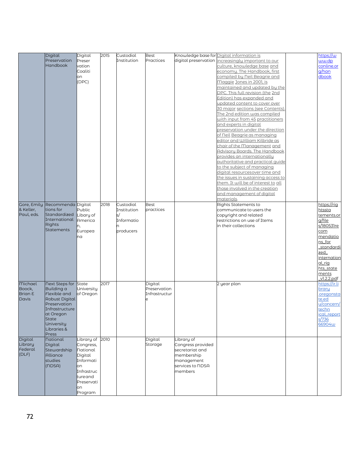|                | Digital                  | Digital         | 2015 | Custodial   | <b>Best</b>   |                        | Knowledge base for Digital information is                  | https://w     |
|----------------|--------------------------|-----------------|------|-------------|---------------|------------------------|------------------------------------------------------------|---------------|
|                | Preservation             | Preser          |      | Institution | Practices     | digital preservation i | ncreasingly important to our                               | ww.dp         |
|                | <b>Handbook</b>          | vation          |      |             |               |                        | culture, knowledge base and                                | conline.or    |
|                |                          | Coaliti         |      |             |               |                        | economy. The Handbook, first                               | g/han         |
|                |                          |                 |      |             |               |                        | compiled by Neil Beagrie and                               | dbook         |
|                |                          | on<br>(DPC)     |      |             |               |                        | Maggie Jones in 2001, is                                   |               |
|                |                          |                 |      |             |               |                        | maintained and updated by the                              |               |
|                |                          |                 |      |             |               |                        | DPC. This full revision (the 2nd                           |               |
|                |                          |                 |      |             |               |                        |                                                            |               |
|                |                          |                 |      |             |               |                        | Edition) has expanded and<br>updated content to cover over |               |
|                |                          |                 |      |             |               |                        | 30 major sections (see Contents).                          |               |
|                |                          |                 |      |             |               |                        | The 2nd edition was compiled                               |               |
|                |                          |                 |      |             |               |                        | with input from 45 practitioners                           |               |
|                |                          |                 |      |             |               |                        | and experts in digital                                     |               |
|                |                          |                 |      |             |               |                        | preservation under the direction                           |               |
|                |                          |                 |      |             |               |                        | of Neil Beagrie as managing                                |               |
|                |                          |                 |      |             |               |                        | editor and William Kilbride as                             |               |
|                |                          |                 |      |             |               |                        | chair of the Management and                                |               |
|                |                          |                 |      |             |               |                        | Advisory Boards. The Handbook                              |               |
|                |                          |                 |      |             |               |                        | provides an internationally                                |               |
|                |                          |                 |      |             |               |                        | authoritative and practical quide                          |               |
|                |                          |                 |      |             |               |                        | to the subject of managing                                 |               |
|                |                          |                 |      |             |               |                        | digital resourcesover time and                             |               |
|                |                          |                 |      |             |               |                        | the issues in sustaining access to                         |               |
|                |                          |                 |      |             |               |                        | them. It will be of interest to all                        |               |
|                |                          |                 |      |             |               |                        | those involved in the creation                             |               |
|                |                          |                 |      |             |               |                        | and management of digital                                  |               |
|                |                          |                 |      |             |               |                        | <u>materials</u> .                                         |               |
| Gore, Emily    | Recommenda Digital       |                 | 2018 | Custodial   | <b>Best</b>   |                        | Rights Statements to                                       | https://rig   |
| & Keller,      | tions for                | Public          |      | Institution | practices     |                        | communicate to users the                                   | htssta        |
| Paul, eds.     | Standardized             | Libary of       |      |             |               |                        | copyright and related                                      | tements.or    |
|                | International            | America         |      | Informatio  |               |                        | restrictions on use of Items                               | g/file        |
|                | Rights                   | n,              |      |             |               |                        | in their collections                                       | s/180531re    |
|                | <b>Statements</b>        | Europea         |      | producers   |               |                        |                                                            | com           |
|                |                          | na              |      |             |               |                        |                                                            | mendatio      |
|                |                          |                 |      |             |               |                        |                                                            | ns_for        |
|                |                          |                 |      |             |               |                        |                                                            | standardi     |
|                |                          |                 |      |             |               |                        |                                                            | zed           |
|                |                          |                 |      |             |               |                        |                                                            | internation   |
|                |                          |                 |      |             |               |                        |                                                            | <u>al_riq</u> |
|                |                          |                 |      |             |               |                        |                                                            | hts_state     |
|                |                          |                 |      |             |               |                        |                                                            | ments         |
|                |                          |                 |      |             |               |                        |                                                            | v1.2.2.pdf    |
| <b>Michael</b> | <b>Next Steps for</b>    | State           | 2017 |             | Digital       |                        | 2 year plan                                                | https://ir.li |
| Boock,         | Building a               | University      |      |             | Preservation  |                        |                                                            | brary         |
| Brian E        | Flexible and             | of Oregon       |      |             | Infrastructur |                        |                                                            | oregonsta     |
| <b>Davis</b>   | Robust Digital           |                 |      |             |               |                        |                                                            | te.ed         |
|                | Preservation             |                 |      |             |               |                        |                                                            | u/concern/    |
|                | Infrastructure           |                 |      |             |               |                        |                                                            | techn         |
|                | at Oregon                |                 |      |             |               |                        |                                                            | ical_report   |
|                | <b>State</b>             |                 |      |             |               |                        |                                                            | s/736         |
|                | University               |                 |      |             |               |                        |                                                            | 66904w        |
|                | Libraries &              |                 |      |             |               |                        |                                                            |               |
| Digital        | Press<br><b>National</b> | Library of 2010 |      |             | Digital       | Library of             |                                                            |               |
| Library        | Digital                  | Congress,       |      |             | Storage       | Congress provided      |                                                            |               |
| Federal        | Stewardship              | <b>National</b> |      |             |               | secretariat and        |                                                            |               |
| (DLF)          | Alliance                 | Digital         |      |             |               | membership             |                                                            |               |
|                | studies                  | Informati       |      |             |               |                        |                                                            |               |
|                |                          |                 |      |             |               | management             |                                                            |               |
|                | (UDSA)                   | on              |      |             |               | services to NDSA       |                                                            |               |
|                |                          | Infrastruc      |      |             |               | members                |                                                            |               |
|                |                          | tureand         |      |             |               |                        |                                                            |               |
|                |                          | Preservati      |      |             |               |                        |                                                            |               |
|                |                          | on              |      |             |               |                        |                                                            |               |
|                |                          | Program         |      |             |               |                        |                                                            |               |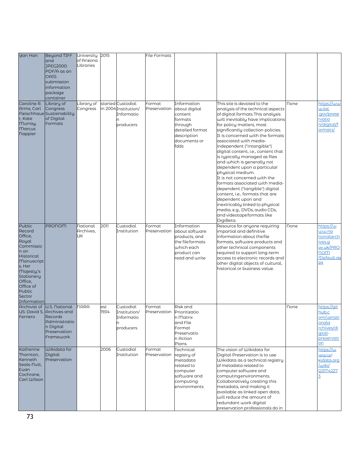| <b>Yan Han</b>            | Beyond TIFF                                             | University 2015         |             |                                           | <b>File Formats</b>                  |                               |                                                                        |             |                       |
|---------------------------|---------------------------------------------------------|-------------------------|-------------|-------------------------------------------|--------------------------------------|-------------------------------|------------------------------------------------------------------------|-------------|-----------------------|
|                           | land<br>JPEG2000:                                       | of Arizona<br>Libraries |             |                                           |                                      |                               |                                                                        |             |                       |
|                           | PDF/A as an<br><b>OAIS</b>                              |                         |             |                                           |                                      |                               |                                                                        |             |                       |
|                           | submission                                              |                         |             |                                           |                                      |                               |                                                                        |             |                       |
|                           | information                                             |                         |             |                                           |                                      |                               |                                                                        |             |                       |
|                           | package<br>container                                    |                         |             |                                           |                                      |                               |                                                                        |             |                       |
| Caroline R.<br>Arms, Carl | Library of<br>Congress                                  | ibrary of<br>Congress   |             | started Custodial<br>in 2004 Institution/ | Format<br>Preservation about digital | Information                   | This site is devoted to the<br>analysis of the technical aspects       | <b>none</b> | https://ww<br>w.loc   |
|                           | Fleischhaue Sustainability                              |                         |             | Informatio                                |                                      | content                       | of digital formats. This analysis                                      |             | .gov/prese            |
| r, Kate<br>Murray,        | of Digital<br>Formats                                   |                         |             | producers                                 |                                      | formats<br>through            | will inevitably have implications<br>for policy matters, most          |             | rvatio<br>n/digital/f |
| <b>Marcus</b>             |                                                         |                         |             |                                           |                                      | detailed format               | significantly collection policies.                                     |             | ormats/               |
| <b>Nappier</b>            |                                                         |                         |             |                                           |                                      | description                   | It is concerned with the formats                                       |             |                       |
|                           |                                                         |                         |             |                                           |                                      | documents or<br>fdds          | associated with media-<br>independent ("intangible")                   |             |                       |
|                           |                                                         |                         |             |                                           |                                      |                               | digital content, i.e., content that                                    |             |                       |
|                           |                                                         |                         |             |                                           |                                      |                               | is typically managed as files<br>and which is generally not            |             |                       |
|                           |                                                         |                         |             |                                           |                                      |                               | dependent upon a particular                                            |             |                       |
|                           |                                                         |                         |             |                                           |                                      |                               | physical medium.<br>It is not concerned with the                       |             |                       |
|                           |                                                         |                         |             |                                           |                                      |                               | formats associated with media-                                         |             |                       |
|                           |                                                         |                         |             |                                           |                                      |                               | dependent ("tangible") digital<br>content, i.e., formats that are      |             |                       |
|                           |                                                         |                         |             |                                           |                                      |                               | dependent upon and                                                     |             |                       |
|                           |                                                         |                         |             |                                           |                                      |                               | inextricably linked to physical                                        |             |                       |
|                           |                                                         |                         |             |                                           |                                      |                               | media, e.g., DVDs, audio CDs,<br>and videotape formats like            |             |                       |
|                           |                                                         |                         |             |                                           |                                      |                               | DigiBeta.                                                              |             |                       |
| Public<br>Record          | <b>PRONOM</b>                                           | National<br>Archives,   | 2011        | Custodial<br>Institution                  | Format<br>Preservation               | Information<br>about software | Resource for anyone requiring<br>impartial and definitive              | <b>None</b> | https://w<br>ww.na    |
| Office,<br>Royal          |                                                         | UК                      |             |                                           |                                      | products, and                 | information about the file                                             |             | tionalarch            |
| Commissio                 |                                                         |                         |             |                                           |                                      | the fileformats<br>which each | formats, software products and<br>other technical components           |             | ives.q<br>ov.uk/PRO   |
| n on<br>Historical        |                                                         |                         |             |                                           |                                      | product can                   | required to support long-term                                          |             | nom                   |
| Manuscript                |                                                         |                         |             |                                           |                                      | read and write                | access to electronic records and<br>other digital objects of cultural, |             | /Default.as<br>px     |
| s, Her<br>Majesty,'s      |                                                         |                         |             |                                           |                                      |                               | historical or business value.                                          |             |                       |
| Stationery                |                                                         |                         |             |                                           |                                      |                               |                                                                        |             |                       |
| Office,<br>Office of      |                                                         |                         |             |                                           |                                      |                               |                                                                        |             |                       |
| Public<br>Sector          |                                                         |                         |             |                                           |                                      |                               |                                                                        |             |                       |
| Information               |                                                         |                         |             |                                           |                                      |                               |                                                                        |             |                       |
|                           | Archivist of U.S. National<br>US: David S. Archives and | NARA                    | est<br>1934 | Custodial<br>Institution/                 | Format<br>Preservation Prioritizatio | Risk and                      |                                                                        | <b>none</b> | https://git<br>hub.c  |
| Ferriero                  | Records                                                 |                         |             | Informatio                                |                                      | n Matrix                      |                                                                        |             | om/usnati             |
|                           | Administratio<br>n Digital                              |                         |             | producers                                 |                                      | and File<br>Format            |                                                                        |             | onala<br>rchives/di   |
|                           | Preservation                                            |                         |             |                                           |                                      | Preservatio                   |                                                                        |             | gital-                |
|                           | Framework                                               |                         |             |                                           |                                      | n Action<br>Plans.            |                                                                        |             | preservati<br>on      |
| Katherine                 | Wikidata for                                            |                         | 2006        | Custodial                                 | Format                               | Technical                     | The vision of Wikidata for                                             |             | https://w             |
| Thornton,<br>Kenneth      | Digital<br>Preservation                                 |                         |             | Institution                               | Preservation                         | registry of<br>metadata       | Digital Preservation is to use<br>Wikidata as a technical registry     |             | ພພ.ພi<br>kidata.org   |
| Seals-Nutt,               |                                                         |                         |             |                                           |                                      | related to                    | of metadata related to                                                 |             | /wiki/                |
| <b>Euan</b><br>Cochrane,  |                                                         |                         |             |                                           |                                      | computer                      | computer software and                                                  |             | Q3174227              |
| <b>Carl Wilson</b>        |                                                         |                         |             |                                           |                                      | software and<br>computing     | computingenvironments.<br>Collaboratively creating this                |             | 3                     |
|                           |                                                         |                         |             |                                           |                                      | environments                  | metadata, and making it                                                |             |                       |
|                           |                                                         |                         |             |                                           |                                      |                               | available as linked open data,<br>will reduce the amount of            |             |                       |
|                           |                                                         |                         |             |                                           |                                      |                               | redundant work digital                                                 |             |                       |
|                           |                                                         |                         |             |                                           |                                      |                               | preservation professionals do in                                       |             |                       |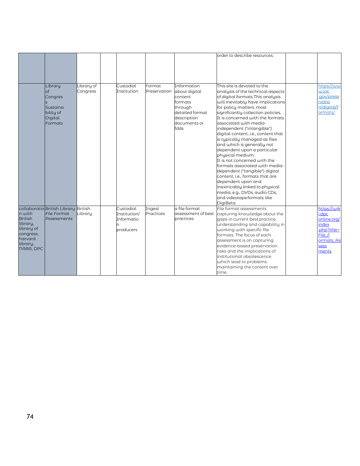|                                                                                                            |                                                                                  |                        |                                                      |                        |                                                                                                                         | order to describe resources.                                                                                                                                                                                                                                                                                                                                                                                                                                                                                                                                                                                                                                                                                                                  |                                                                                                            |
|------------------------------------------------------------------------------------------------------------|----------------------------------------------------------------------------------|------------------------|------------------------------------------------------|------------------------|-------------------------------------------------------------------------------------------------------------------------|-----------------------------------------------------------------------------------------------------------------------------------------------------------------------------------------------------------------------------------------------------------------------------------------------------------------------------------------------------------------------------------------------------------------------------------------------------------------------------------------------------------------------------------------------------------------------------------------------------------------------------------------------------------------------------------------------------------------------------------------------|------------------------------------------------------------------------------------------------------------|
|                                                                                                            | Library<br>of<br>Congres<br>Sustaina<br>bility of<br>Digital<br>Formats          | Library of<br>Congress | Custodial<br>Institution                             | Format<br>Preservation | Information<br>about digital<br>content<br>formats<br>through<br>detailed format<br>description<br>documents or<br>fdds | This site is devoted to the<br>analysis of the technical aspects<br>of digital formats. This analysis<br>will inevitably have implications<br>for policy matters, most<br>significantly collection policies.<br>It is concerned with the formats<br>associated with media-<br>independent ("intangible")<br>digital content, i.e., content that<br>is typically managed as files<br>and which is generally not<br>dependent upon a particular<br>physical medium.<br>It is not concerned with the<br>formats associated with media-<br>dependent ("tangible") digital<br>content, i.e., formats that are<br>dependent upon and<br>inextricably linked to physical<br>media, e.g., DVDs, audio CDs,<br>and videotape formats like<br>DigiBeta. | https://ww<br>w.loc<br>.gov/prese<br>rvatio<br>n/diaital/f<br>ormats/                                      |
| n with<br><b>British</b><br>library,<br>library of<br>congress,<br>harvard<br>library,<br><b>NARA, DPC</b> | collaboratio British Library British<br><b>File Format</b><br><b>Assessments</b> | Library                | Custodial<br>Institution/<br>Informatio<br>producers | Ingest<br>Practices    | a file format<br>assessment of best<br>practices                                                                        | File format assessments<br>capturing knowledge about the<br>gaps in current best practice,<br>understanding and capability in<br>working with specific file<br>formats. The focus of each<br>assessment is on capturing<br>evidence-based preservation<br>risks and the implications of<br>institutional obsolescence<br>which lead to problems<br>maintaining the content over<br>time.                                                                                                                                                                                                                                                                                                                                                      | https://wik<br>i.dpc<br>online.org/<br>index<br>.php?title=<br>File F<br>ormats As<br><b>sess</b><br>ments |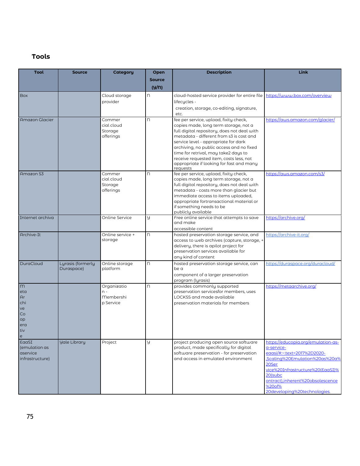## **Tools**

| Tool                                                                                                | <b>Source</b>                   | <b>Category</b>                                | Open          | <b>Description</b>                                                                                                                                                                                                                                                                                                                                                                                        | <b>Link</b>                                                                                                                                                                                                                                            |
|-----------------------------------------------------------------------------------------------------|---------------------------------|------------------------------------------------|---------------|-----------------------------------------------------------------------------------------------------------------------------------------------------------------------------------------------------------------------------------------------------------------------------------------------------------------------------------------------------------------------------------------------------------|--------------------------------------------------------------------------------------------------------------------------------------------------------------------------------------------------------------------------------------------------------|
|                                                                                                     |                                 |                                                | <b>Source</b> |                                                                                                                                                                                                                                                                                                                                                                                                           |                                                                                                                                                                                                                                                        |
|                                                                                                     |                                 |                                                | (y/n)         |                                                                                                                                                                                                                                                                                                                                                                                                           |                                                                                                                                                                                                                                                        |
| <b>Box</b>                                                                                          |                                 | Cloud storage<br>provider                      | n.            | cloud-hosted service provider for entire file<br>lifecycles -<br>creation, storage, co-editing, signature,<br>etc.                                                                                                                                                                                                                                                                                        | https://www.box.com/overview                                                                                                                                                                                                                           |
| Amazon Glacier                                                                                      |                                 | Commer<br>cial cloud<br>Storage<br>offerings   | n.            | fee per service, upload, fixity check,<br>copies made, long term storage, not a<br>full digital repository, does not deal with<br>metadata - different from s3 is cost and<br>service level - appropriate for dark<br>archiving, no public access and no fixed<br>time for retrival, may take2 days to<br>receive requested item, costs less, not<br>appropriate if looking for fast and many<br>requests | https://aws.amazon.com/glacier/                                                                                                                                                                                                                        |
| Amazon S3                                                                                           |                                 | Commer<br>cial cloud<br>Storage<br>offerings   | n             | fee per service, upload, fixity check,<br>copies made, long term storage, not a<br>full digital repository, does not deal with<br>metadata - costs more than glacier but<br>immediate access to items uploaded,<br>appropriate fortransactional material or<br>if something needs to be<br>publicly available                                                                                             | https://aws.amazon.com/s3/                                                                                                                                                                                                                             |
| Internet archiva                                                                                    |                                 | Online Service                                 | y             | Free online service that attempts to save<br>and make<br>accessible content                                                                                                                                                                                                                                                                                                                               | https://archive.org/                                                                                                                                                                                                                                   |
| Archive-It                                                                                          |                                 | Online service +<br>storage                    | n             | hosted preservation storage service, and<br>access to web archives (capture, storage, +<br>delivery, there is apilot project for<br>preservation services available for<br>any kind of content                                                                                                                                                                                                            | https://archive-it.org/                                                                                                                                                                                                                                |
| DuraCloud                                                                                           | Lyrasis (formerly<br>Duraspace) | Online storage<br>platform                     | n             | hosted preservation storage service, can<br>be a<br>component of a larger preservation<br>program (lyrasis)                                                                                                                                                                                                                                                                                               | https://duraspace.org/duracloud/                                                                                                                                                                                                                       |
| m<br>eta<br>Ar<br>chi<br>ve<br>Co<br>op<br>era<br>tiv<br>$\mathsf{e}% _{0}\left( \mathsf{e}\right)$ |                                 | Organizatio<br>$n -$<br>Membershi<br>p Service | n             | provides commonly supported<br>preservation servicesfor members, uses<br>LOCKSS and made available<br>preservation materials for members                                                                                                                                                                                                                                                                  | https://metaarchive.org/                                                                                                                                                                                                                               |
| <b>EaaSI</b><br>(emulation as<br>aservice<br>infrastructure)                                        | <b>Yale Library</b>             | Project                                        | A.            | project producing open source software<br>product, made specifically for digital<br>software preservation - for preservation<br>and access in emulated environment                                                                                                                                                                                                                                        | https://educopia.org/emulation-as-<br>a-service-<br>eaasi/#:~:text=2017%2D2020-<br>Scaling%20Emulation%20as%20a%<br>20Ser<br>vice%20Infrastructure%20(EaaSI)%<br>20(subc<br>ontract),inherent%20obsolescence<br>%20of%<br>20developing%20technologies. |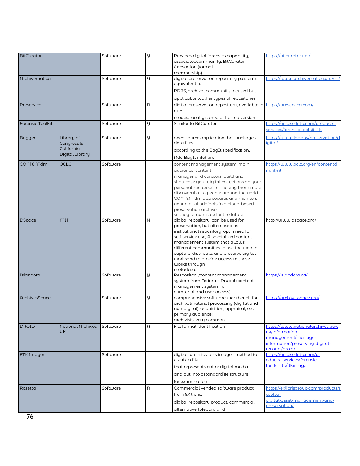| BitCurator              |                          | Software | y | Provides digital forensics capability,                                                 | https://bitcurator.net/              |
|-------------------------|--------------------------|----------|---|----------------------------------------------------------------------------------------|--------------------------------------|
|                         |                          |          |   | associatedcommunity: BitCurator                                                        |                                      |
|                         |                          |          |   | Consortion (formal                                                                     |                                      |
|                         |                          |          |   | membership)                                                                            |                                      |
| Archivematica           |                          | Software | y | digital preservation repository platform,<br>equivalent to                             | https://www.archivematica.org/en/    |
|                         |                          |          |   | RDRS, archival community focused but                                                   |                                      |
|                         |                          |          |   | applicable toother types of repositories                                               |                                      |
| Preservica              |                          | Software | n | digital preservation repository, available in https://preservica.com/                  |                                      |
|                         |                          |          |   | two                                                                                    |                                      |
|                         |                          |          |   | modes: locally stored or hosted version                                                |                                      |
| <b>Forensic Toolkit</b> |                          | Software | y | Similar to BitCurator                                                                  | https://accessdata.com/products-     |
|                         |                          |          |   |                                                                                        | services/forensic-toolkit-ftk        |
| <b>Bagger</b>           | Library of               | Software | y | open source application that packages                                                  | https://www.loc.gov/preservation/d   |
|                         | Congress &               |          |   | data files                                                                             | <i>igital</i>                        |
|                         | California               |          |   | according to the BagIt specification.                                                  |                                      |
|                         | Digital Library          |          |   |                                                                                        |                                      |
|                         |                          |          |   | Add BagIt infohere                                                                     |                                      |
| CONTENTdm               | <b>OCLC</b>              | Software |   | content management system; main                                                        | https://www.oclc.org/en/contentd     |
|                         |                          |          |   | qudience: content                                                                      | m.html                               |
|                         |                          |          |   | manager and curators, build and                                                        |                                      |
|                         |                          |          |   | showcase your digital collections on your<br>personalized website, making them more    |                                      |
|                         |                          |          |   | discoverable to people around theworld.                                                |                                      |
|                         |                          |          |   | CONTENT dm also secures and monitors                                                   |                                      |
|                         |                          |          |   | your digital originals in a cloud-based                                                |                                      |
|                         |                          |          |   | preservation archive                                                                   |                                      |
|                         |                          |          |   | so they remain safe for the future.                                                    |                                      |
| <b>DSpace</b>           | <b>MIT</b>               | Software | y | digital repository, can be used for                                                    | http://www.dspace.org/               |
|                         |                          |          |   | preservation, but often used as                                                        |                                      |
|                         |                          |          |   | institutional repository, optimized for                                                |                                      |
|                         |                          |          |   | self-service use, A specialized content                                                |                                      |
|                         |                          |          |   | management system that allows<br>different communities to use the web to               |                                      |
|                         |                          |          |   | capture, distribute, and preserve digital                                              |                                      |
|                         |                          |          |   | worksand to provide access to those                                                    |                                      |
|                         |                          |          |   | works through                                                                          |                                      |
|                         |                          |          |   | metadata.                                                                              |                                      |
| Islandora               |                          | Software | y | Respository/content management                                                         | https://islandora.ca/                |
|                         |                          |          |   | system from Fedora + Drupal (content                                                   |                                      |
|                         |                          |          |   | management system for                                                                  |                                      |
|                         |                          |          |   | curatorial and user access)                                                            |                                      |
| ArchivesSpace           |                          | Software | y | comprehensive software workbench for                                                   | https://archivesspace.org/           |
|                         |                          |          |   | archivalmaterial processing (digital and<br>non-digital); acquisition, appraisal, etc. |                                      |
|                         |                          |          |   | primary audience:                                                                      |                                      |
|                         |                          |          |   | archivists, very common                                                                |                                      |
| <b>DROID</b>            | <b>National Archives</b> | Software | y | File format identification                                                             | https://www.nationalarchives.gov.    |
|                         | <b>UK</b>                |          |   |                                                                                        | uk/information-                      |
|                         |                          |          |   |                                                                                        | management/manage-                   |
|                         |                          |          |   |                                                                                        | information/preserving-digital-      |
|                         |                          |          |   |                                                                                        | records/droid/                       |
| <b>FTK</b> Imager       |                          | Software |   | digital forensics, disk image - method to                                              | https://accessdata.com/pr            |
|                         |                          |          |   | create a file                                                                          | oducts- services/forensic-           |
|                         |                          |          |   | that represents entire digital media                                                   | toolkit-ftk/ftkimager                |
|                         |                          |          |   | and put into astandardize structure                                                    |                                      |
|                         |                          |          |   | for examination                                                                        |                                      |
| Rosetta                 |                          | Software | n | Commercial vended software product                                                     | https://exlibrisgroup.com/products/r |
|                         |                          |          |   | from EX libris,                                                                        | osetta-                              |
|                         |                          |          |   |                                                                                        | digital-asset-management-and-        |
|                         |                          |          |   | digital repository product, commercial                                                 | preservation/                        |
|                         |                          |          |   | alternative tofedora and                                                               |                                      |